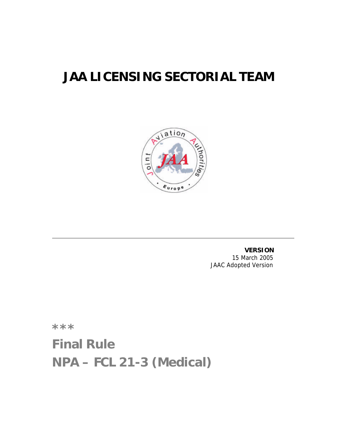# **JAA LICENSING SECTORIAL TEAM**



**VERSION** 15 March 2005 JAAC Adopted Version

**\*\*\***

**Final Rule NPA – FCL 21-3 (Medical)**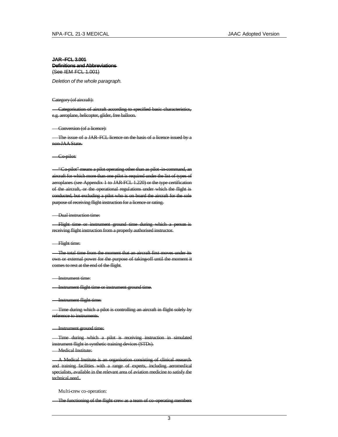# **JAR–FCL 3.001 Definitions and Abbreviations** (See IEM FCL 1.001)

*Deletion of the whole paragraph.*

## Category (of aircraft):

Categorisation of aircraft according to specified basic characteristics, e.g. aeroplane, helicopter, glider, free balloon.

### Conversion (of a licence):

The issue of a JAR–FCL licence on the basis of a licence issued by a non-JAA State.

Co-pilot:

"Co-pilot" means a pilot operating other than as pilot-in-command, an aircraft for which more than one pilot is required under the list of types of aeroplanes (see Appendix 1 to JAR-FCL 1.220) or the type certification of the aircraft, or the operational regulations under which the flight is conducted, but excluding a pilot who is on board the aircraft for the sole purpose of receiving flight instruction for a licence or rating.

#### Dual instruction time:

Flight time or instrument ground time during which a person is receiving flight instruction from a properly authorised instructor.

#### Flight time:

**The total time from the moment that an aircraft first moves under its** own or external power for the purpose of taking-off until the moment it comes to rest at the end of the flight.

#### Instrument time:

Instrument flight time or instrument ground time.

#### Instrument flight time:

Time during which a pilot is controlling an aircraft in flight solely by reference to instruments.

## Instrument ground time:

Time during which a pilot is receiving instruction in simulated instrument flight in synthetic training devices (STDs). **Medical Institute:** 

A Medical Institute is an organisation consisting of clinical research and training facilities with a range of experts, including aeromedical specialists, available in the relevant area of aviation medicine to satisfy the technical need.

#### Multi-crew co-operation:

The functioning of the flight crew as a team of co-operating members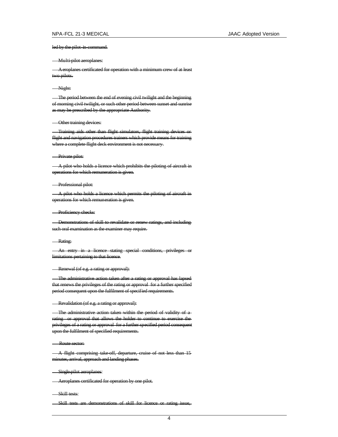## led by the pilot-in-command.

## Multi-pilot aeroplanes:

Aeroplanes certificated for operation with a minimum crew of at least two pilots.

## Night:

The period between the end of evening civil twilight and the beginning of morning civil twilight, or such other period between sunset and sunrise as may be prescribed by the appropriate Authority.

## **Other training devices:**

Training aids other than flight simulators, flight training devices or flight and navigation procedures trainers which provide means for training where a complete flight deck environment is not necessary.

# Private pilot:

A pilot who holds a licence which prohibits the piloting of aircraft in operations for which remuneration is given.

#### Professional pilot:

A pilot who holds a licence which permits the piloting of aircraft in operations for which remuneration is given.

## **Proficiency checks:**

**- Demonstrations of skill to revalidate or renew ratings, and including** such oral examination as the examiner may require.

#### -Rating:

An entry in a licence stating special conditions, privileges or limitations pertaining to that licence.

#### Renewal (of e.g. a rating or approval):

The administrative action taken after a rating or approval has lapsed that renews the privileges of the rating or approval for a further specified period consequent upon the fulfilment of specified requirements.

# - Revalidation (of e.g. a rating or approval):

The administrative action taken within the period of validity of a rating or approval that allows the holder to continue to exercise the privileges of a rating or approval for a further specified period consequent upon the fulfilment of specified requirements.

Route sector:

A flight comprising take-off, departure, cruise of not less than 15 minutes, arrival, approach and landing phases.

Single-pilot aeroplanes:

**Aeroplanes certificated for operation by one pilot.** 

Skill tests:

Skill tests are demonstrations of skill for licence or rating issue,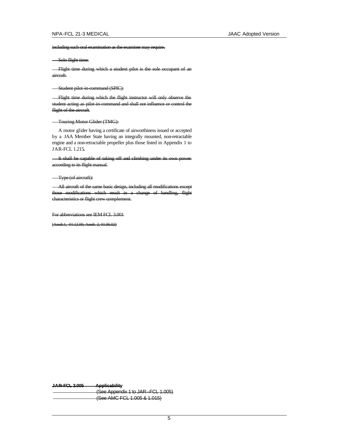including such oral examination as the examiner may require.

Solo flight time:

Flight time during which a student pilot is the sole occupant of an aircraft.

Student pilot-in-command (SPIC):

Flight time during which the flight instructor will only observe the student acting as pilot-in-command and shall not influence or control the flight of the aircraft.

# Touring Motor Glider (TMG):

A motor glider having a certificate of airworthiness issued or accepted by a JAA Member State having an integrally mounted, non-retractable engine and a non-retractable propeller plus those listed in Appendix 1 to JAR-FCL 1.215**.**

It shall be capable of taking off and climbing under its own power according to its flight manual.

Type (of aircraft):

All aircraft of the same basic design, including all modifications except those modifications which result in a change of handling, flight characteristics or flight crew complement.

For abbreviations see IEM FCL 3.001

[Amdt.1, 01.12.00; Amdt. 2, 01.06.02]

**JAR–FCL 3.005 Applicability**

(See Appendix 1 to JAR–FCL 1.005) (See AMC FCL 1.005 & 1.015)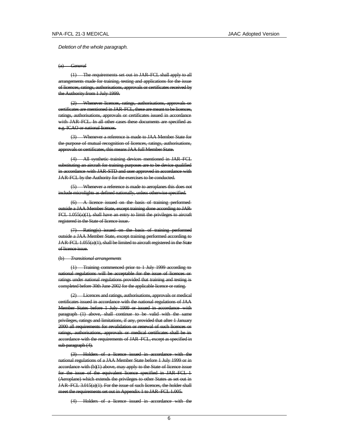*Deletion of the whole paragraph.*

#### (a) *General*

(1) The requirements set out in JAR–FCL shall apply to all arrangements made for training, testing and applications for the issue of licences, ratings, authorisations, approvals or certificates received by the Authority from 1 July 1999.

(2) Whenever licences, ratings, authorisations, approvals or certificates are mentioned in JAR–FCL, these are meant to be licences, ratings, authorisations, approvals or certificates issued in accordance with JAR–FCL. In all other cases these documents are specified as e.g. ICAO or national licences.

(3) Whenever a reference is made to JAA Member State for the purpose of mutual recognition of licences, ratings, authorisations, approvals or certificates, this means JAA full Member State.

(4) All synthetic training devices mentioned in JAR–FCL substituting an aircraft for training purposes are to be device qualified in accordance with JAR-STD and user approved in accordance with JAR-FCL by the Authority for the exercises to be conducted.

(5) Whenever a reference is made to aeroplanes this does not include microlights as defined nationally, unless otherwise specified.

(6) A licence issued on the basis of training performed outside a JAA Member State, except training done according to JAR-FCL 1.055(a)(1), shall have an entry to limit the privileges to aircraft registered in the State of licence issue.

(7) Rating(s) issued on the basis of training performed outside a JAA Member State, except training performed according to JAR-FCL 1.055(a)(1), shall be limited to aircraft registered in the State of licence issue.

## (b) *Transitional arrangements*

(1) Training commenced prior to 1 July 1999 according to national regulations will be acceptable for the issue of licences or ratings under national regulations provided that training and testing is completed before 30th June 2002 for the applicable licence or rating.

(2) Licences and ratings, authorisations, approvals or medical certificates issued in accordance with the national regulations of JAA Member States before 1 July 1999 or issued in accordance with paragraph (1) above, shall continue to be valid with the same privileges, ratings and limitations, if any, provided that after 1 January 2000 all requirements for revalidation or renewal of such licences or ratings, authorisations, approvals or medical certificates shall be in accordance with the requirements of JAR–FCL, except as specified in sub paragraph (4).

(3) Holders of a licence issued in accordance with the national regulations of a JAA Member State before 1 July 1999 or in accordance with (b)(1) above, may apply to the State of licence issue for the issue of the equivalent licence specified in JAR–FCL 1 (Aeroplane) which extends the privileges to other States as set out in JAR–FCL 3.015(a)(1). For the issue of such licences, the holder shall meet the requirements set out in Appendix 1 to JAR–FCL 1.005.

(4) Holders of a licence issued in accordance with the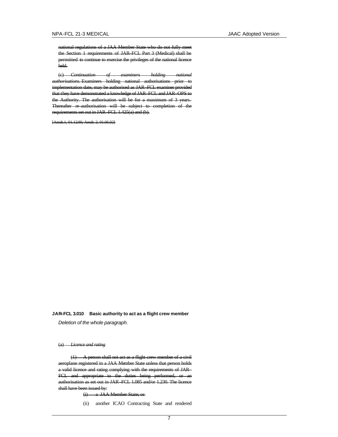national regulations of a JAA Member State who do not fully meet the Section 1 requirements of JAR–FCL Part 3 (Medical) shall be permitted to continue to exercise the privileges of the national licence held.

(c) *Continuation of examiners holding national authorisations.* Examiners holding national authorisations prior to implementation date, may be authorised as JAR–FCL examiner provided that they have demonstrated a knowledge of JAR–FCL and JAR–OPS to the Authority. The authorisation will be for a maximum of 3 years. Thereafter re-authorisation will be subject to completion of the requirements set out in JAR–FCL 1.425(a) and (b).

[Amdt.1, 01.12.00; Amdt. 2, 01.06.02]

## **JAR–FCL 3.010 Basic authority to act as a flight crew member**

*Deletion of the whole paragraph.*

### (a) *Licence and rating*

(1) A person shall not act as a flight crew member of a civil aeroplane registered in a JAA Member State unless that person holds a valid licence and rating complying with the requirements of JAR– FCL and appropriate to the duties being performed, or an authorisation as set out in JAR–FCL 1.085 and/or 1.230. The licence shall have been issued by:

(i) a JAA Member State; or

(ii) another ICAO Contracting State and rendered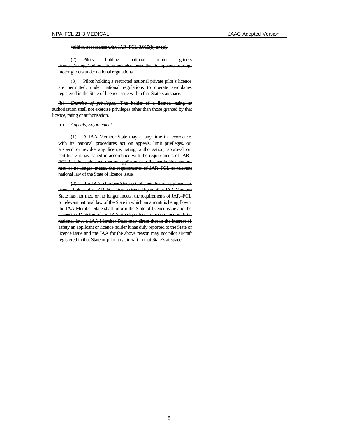valid in accordance with JAR–FCL 3.015(b) or (c).

(2) Pilots holding national motor gliders licences/ratings/authorisations are also permitted to operate touring motor gliders under national regulations.

(3) Pilots holding a restricted national private pilot's licence are permitted, under national regulations to operate aeroplanes registered in the State of licence issue within that State's airspace.

(b) *Exercise of privileges.* The holder of a licence, rating or authorisation shall not exercise privileges other than those granted by that licence, rating or authorisation.

(c) *Appeals, Enforcement*

(1) A JAA Member State may at any time in accordance with its national procedures act on appeals, limit privileges, or suspend or revoke any licence, rating, authorisation, approval or certificate it has issued in accordance with the requirements of JAR– FCL if it is established that an applicant or a licence holder has not met, or no longer meets, the requirements of JAR–FCL or relevant national law of the State of licence issue.

(2) If a JAA Member State establishes that an applicant or licence holder of a JAR–FCL licence issued by another JAA Member State has not met, or no longer meets, the requirements of JAR–FCL or relevant national law of the State in which an aircraft is being flown, the JAA Member State shall inform the State of licence issue and the Licensing Division of the JAA Headquarters. In accordance with its national law, a JAA Member State may direct that in the interest of safety an applicant or licence holder it has duly reported to the State of licence issue and the JAA for the above reason may not pilot aircraft registered in that State or pilot any aircraft in that State's airspace.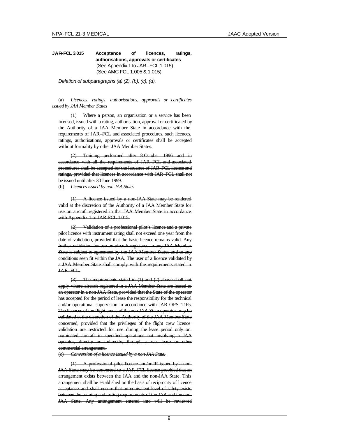# **JAR–FCL 3.015 Acceptance of licences, ratings, authorisations, approvals or certificates** (See Appendix 1 to JAR–FCL 1.015) (See AMC FCL 1.005 & 1.015)

*Deletion of subparagraphs (a) (2), (b), (c), (d).*

(a) *Licences, ratings, authorisations, approvals or certificates issued by JAA Member States*

(1) Where a person, an organisation or a service has been licensed, issued with a rating, authorisation, approval or certificated by the Authority of a JAA Member State in accordance with the requirements of JAR–FCL and associated procedures, such licences, ratings, authorisations, approvals or certificates shall be accepted without formality by other JAA Member States.

Training performed after 8 October 1996 and in accordance with all the requirements of JAR–FCL and associated procedures shall be accepted for the issuance of JAR–FCL licence and ratings, provided that licences in accordance with JAR–FCL shall not be issued until after 30 June 1999.

(b) *Licences issued by non-JAA States*

(1) A licence issued by a non-JAA State may be rendered valid at the discretion of the Authority of a JAA Member State for use on aircraft registered in that JAA Member State in accordance with Appendix 1 to JAR-FCL 1.015.

(2) Validation of a professional pilot's licence and a private pilot licence with instrument rating shall not exceed one year from the date of validation, provided that the basic licence remains valid. Any further validation for use on aircraft registered in any JAA Member State is subject to agreement by the JAA Member States and to any conditions seen fit within the JAA. The user of a licence validated by a JAA Member State shall comply with the requirements stated in JAR–FCL.

(3) The requirements stated in (1) and (2) above shall not apply where aircraft registered in a JAA Member State are leased to an operator in a non-JAA State, provided that the State of the operator has accepted for the period of lease the responsibility for the technical and/or operational supervision in accordance with JAR–OPS 1.165. The licences of the flight crews of the non-JAA State operator may be validated at the discretion of the Authority of the JAA Member State concerned, provided that the privileges of the flight crew licence validation are restricted for use during the lease period only on nominated aircraft in specified operations not involving a JAA operator, directly or indirectly, through a wet lease or other commercial arrangement.

(c) *Conversion of a licence issued by a non-JAA State.*

(1) A professional pilot licence and/or IR issued by a non-JAA State may be converted to a JAR–FCL licence provided that an arrangement exists between the JAA and the non-JAA State. This arrangement shall be established on the basis of reciprocity of licence acceptance and shall ensure that an equivalent level of safety exists between the training and testing requirements of the JAA and the non-JAA State. Any arrangement entered into will be reviewed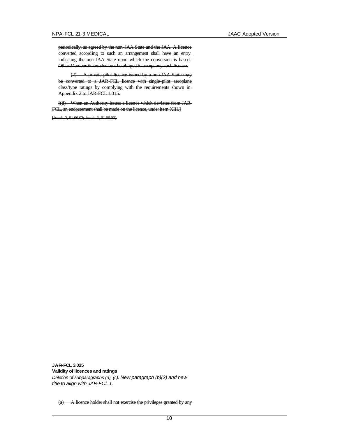periodically, as agreed by the non-JAA State and the JAA. A licence converted according to such an arrangement shall have an entry indicating the non-JAA State upon which the conversion is based. Other Member States shall not be obliged to accept any such licence.

(2) A private pilot licence issued by a non-JAA State may be converted to a JAR-FCL licence with single-pilot aeroplane class/type ratings by complying with the requirements shown in Appendix 2 to JAR-FCL 1.015.

**[**(d) When an Authority issues a licence which deviates from JAR-FCL, an endorsement shall be made on the licence, under item XIII.**]**

[Amdt. 2, 01.06.02; Amdt. 3, 01.06.03]

**JAR–FCL 3.025 Validity of licences and ratings** *Deletion of subparagraphs (a), (c). New paragraph (b)(2) and new title to align with JAR-FCL 1.*

(a) A licence holder shall not exercise the privileges granted by any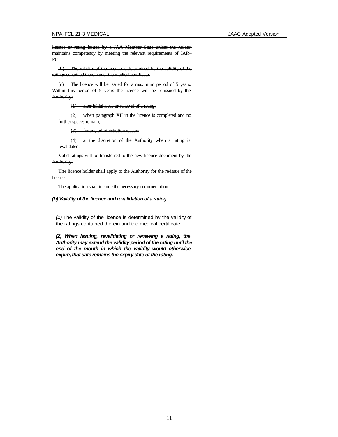licence or rating issued by a JAA Member State unless the holder maintains competency by meeting the relevant requirements of JAR– FCL.

(b) The validity of the licence is determined by the validity of the ratings contained therein and the medical certificate.

(c) The licence will be issued for a maximum period of 5 years. Within this period of 5 years the licence will be re-issued by the Authority:

(1) after initial issue or renewal of a rating;

(2) when paragraph XII in the licence is completed and no further spaces remain;

(3) for any administrative reason;

(4) at the discretion of the Authority when a rating is revalidated.

Valid ratings will be transferred to the new licence document by the Authority.

The licence holder shall apply to the Authority for the re-issue of the licence.

The application shall include the necessary documentation.

## *(b) Validity of the licence and revalidation of a rating*

*(1)* The validity of the licence is determined by the validity of the ratings contained therein and the medical certificate.

*(2) When issuing, revalidating or renewing a rating, the Authority may extend the validity period of the rating until the end of the month in which the validity would otherwise expire, that date remains the expiry date of the rating.*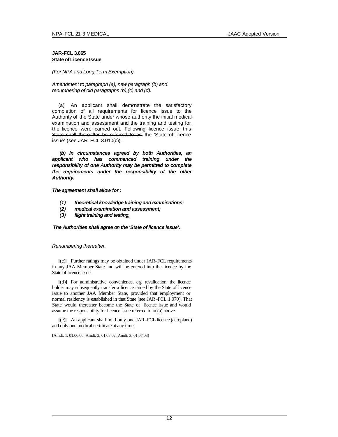# **JAR-FCL 3.065 State of Licence Issue**

*(For NPA and Long Term Exemption)*

*Amendment to paragraph (a), new paragraph (b) and renumbering of old paragraphs (b),(c) and (d).*

(a) An applicant shall demonstrate the satisfactory completion of all requirements for licence issue to the Authority of the State under whose authority the initial medical examination and assessment and the training and testing for the licence were carried out. Following licence issue, this State shall thereafter be referred to as the 'State of licence issue' (see JAR–FCL 3.010(c)).

*(b) In circumstances agreed by both Authorities, an applicant who has commenced training under the responsibility of one Authority may be permitted to complete the requirements under the responsibility of the other Authority.* 

*The agreement shall allow for :*

- *(1) theoretical knowledge training and examinations;*
- *(2) medical examination and assessment;*
- *(3) flight training and testing,*

*The Authorities shall agree on the 'State of licence issue'.*

*Renumbering thereafter.*

**[**(c)**]** Further ratings may be obtained under JAR–FCL requirements in any JAA Member State and will be entered into the licence by the State of licence issue.

**[**(d)**]** For administrative convenience, e.g. revalidation, the licence holder may subsequently transfer a licence issued by the State of licence issue to another JAA Member State, provided that employment or normal residency is established in that State (see JAR–FCL 1.070). That State would thereafter become the State of licence issue and would assume the responsibility for licence issue referred to in (a) above.

**[**(e)**]** An applicant shall hold only one JAR–FCL licence (aeroplane) and only one medical certificate at any time.

[Amdt. 1, 01.06.00; Amdt. 2, 01.08.02; Amdt. 3, 01.07.03]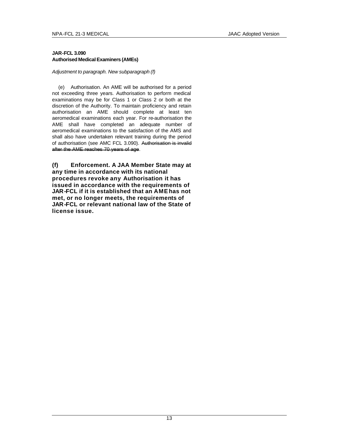# **JAR-FCL 3.090 Authorised Medical Examiners (AMEs)**

*Adjustment to paragraph. New subparagraph (f)* 

(e) Authorisation. An AME will be authorised for a period not exceeding three years. Authorisation to perform medical examinations may be for Class 1 or Class 2 or both at the discretion of the Authority. To maintain proficiency and retain authorisation an AME should complete at least ten aeromedical examinations each year. For re-authorisation the AME shall have completed an adequate number of aeromedical examinations to the satisfaction of the AMS and shall also have undertaken relevant training during the period of authorisation (see AMC FCL 3.090). Authorisation is invalid after the AME reaches 70 years of age.

**(f) Enforcement. A JAA Member State may at any time in accordance with its national procedures revoke any Authorisation it has issued in accordance with the requirements of JAR-FCL if it is established that an AME has not met, or no longer meets, the requirements of JAR-FCL or relevant national law of the State of license issue.**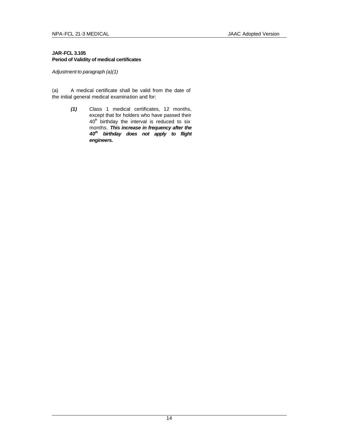# **JAR-FCL 3.105 Period of Validity of medical certificates**

*Adjustment to paragraph (a)(1)*

(a) A medical certificate shall be valid from the date of the initial general medical examination and for:

> *(1)* Class 1 medical certificates, 12 months, except that for holders who have passed their  $40<sup>h</sup>$  birthday the interval is reduced to six months. *This increase in frequency after the 40th birthday does not apply to flight engineers.*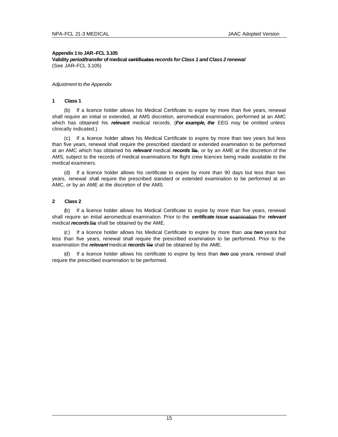# **Appendix 1 to JAR–FCL 3.105 Validity** *period/transfer* **of medical certificates** *records for Class 1 and Class 2 renewal* (See JAR–FCL 3.105)

# *Adjustment to the Appendix*

# **1 Class 1**

(b) If a licence holder allows his Medical Certificate to expire by more than five years, renewal shall require an initial or extended, at AMS discretion, aeromedical examination, performed at an AMC which has obtained his *relevant* medical records. (*For example, the* EEG may be omitted unless clinically indicated.)

(c) If a licence holder allows his Medical Certificate to expire by more than two years but less than five years, renewal shall require the prescribed standard or extended examination to be performed at an AMC which has obtained his *relevant* medical *records* file, or by an AME at the discretion of the AMS, subject to the records of medical examinations for flight crew licences being made available to the medical examiners.

(d) If a licence holder allows his certificate to expire by more than 90 days but less than two years, renewal shall require the prescribed standard or extended examination to be performed at an AMC, or by an AME at the discretion of the AMS.

# **2 Class 2**

(b) If a licence holder allows his Medical Certificate to expire by more than five years, renewal shall require an initial aeromedical examination. Prior to the *certificate issue* examination the *relevant*  medical *records* file shall be obtained by the AME.

(c) If a licence holder allows his Medical Certificate to expire by more than one *two* year*s* but less than five years, renewal shall require the prescribed examination to be performed. Prior to the examination the *relevant* medical *records* file shall be obtained by the AME.

(d) If a licence holder allows his certificate to expire by less than *two* one year**s**, renewal shall require the prescribed examination to be performed.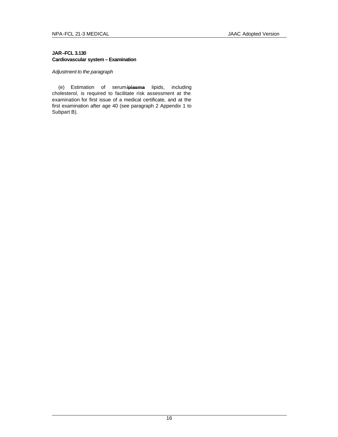# **JAR–FCL 3.130 Cardiovascular system – Examination**

# *Adjustment to the paragraph*

(e) Estimation of serum/plasma lipids, including cholesterol, is required to facilitate risk assessment at the examination for first issue of a medical certificate, and at the first examination after age 40 (see paragraph 2 Appendix 1 to Subpart B).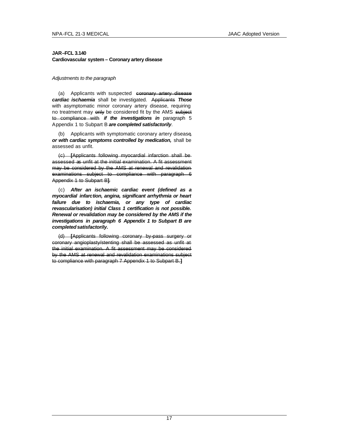# **JAR–FCL 3.140 Cardiovascular system – Coronary artery disease**

# *Adjustments to the paragraph*

(a) Applicants with suspected coronary artery disease *cardiac ischaemia* shall be investigated. Applicants *Those*  with asymptomatic minor coronary artery disease, requiring no treatment may only be considered fit by the AMS subject to compliance with *if the investigations in* paragraph 5 Appendix 1 to Subpart B *are completed satisfactorily*.

(b) Applicants with symptomatic coronary artery disease*, or with cardiac symptoms controlled by medication,* shall be assessed as unfit.

(c) **[**Applicants following myocardial infarction shall be assessed as unfit at the initial examination. A fit assessment may be considered by the AMS at renewal and revalidation examinations subject to compliance with paragraph 6 Appendix 1 to Subpart B**]**.

(c) *After an ischaemic cardiac event (defined as a myocardial infarction, angina, significant arrhythmia or heart failure due to ischaemia, or any type of cardiac revascularisation) initial Class 1 certification is not possible. Renewal or revalidation may be considered by the AMS if the investigations in paragraph 6 Appendix 1 to Subpart B are completed satisfactorily.*

(d) **[**Applicants following coronary by-pass surgery or coronary angioplasty/stenting shall be assessed as unfit at the initial examination. A fit assessment may be considered by the AMS at renewal and revalidation examinations subject to compliance with paragraph 7 Appendix 1 to Subpart B.**]**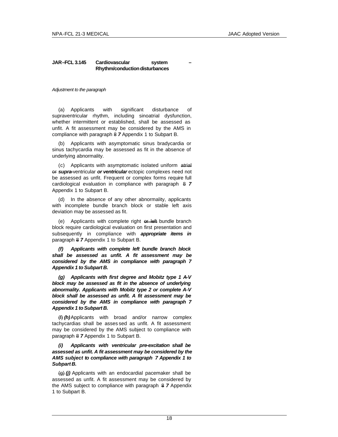# **JAR–FCL 3.145 Cardiovascular system – Rhythm/conduction disturbances**

*Adjustment to the paragraph*

(a) Applicants with significant disturbance of supraventricular rhythm, including sinoatrial dysfunction, whether intermittent or established, shall be assessed as unfit. A fit assessment may be considered by the AMS in compliance with paragraph 8 *7* Appendix 1 to Subpart B.

(b) Applicants with asymptomatic sinus bradycardia or sinus tachycardia may be assessed as fit in the absence of underlying abnormality.

(c) Applicants with asymptomatic isolated uniform atrial or *supra-*ventricular *or ventricular* ectopic complexes need not be assessed as unfit. Frequent or complex forms require full cardiological evaluation in compliance with paragraph 8 *7* Appendix 1 to Subpart B.

(d) In the absence of any other abnormality, applicants with incomplete bundle branch block or stable left axis deviation may be assessed as fit.

(e) Applicants with complete right or left bundle branch block require cardiological evaluation on first presentation and subsequently in compliance with *appropriate items in* paragraph 8 *7* Appendix 1 to Subpart B.

*(f) Applicants with complete left bundle branch block shall be assessed as unfit. A fit assessment may be considered by the AMS in compliance with paragraph 7 Appendix 1 to Subpart B.*

*(g) Applicants with first degree and Mobitz type 1 A-V block may be assessed as fit in the absence of underlying abnormality. Applicants with Mobitz type 2 or complete A-V block shall be assessed as unfit. A fit assessment may be considered by the AMS in compliance with paragraph 7 Appendix 1 to Subpart B.*

(f) *(h)*Applicants with broad and/or narrow complex tachycardias shall be asses sed as unfit. A fit assessment may be considered by the AMS subject to compliance with paragraph 8 *7* Appendix 1 to Subpart B.

*(i) Applicants with ventricular pre-excitation shall be assessed as unfit. A fit assessment may be considered by the AMS subject to compliance with paragraph 7 Appendix 1 to Subpart B.*

(g) *(j)* Applicants with an endocardial pacemaker shall be assessed as unfit. A fit assessment may be considered by the AMS subject to compliance with paragraph 8 *7* Appendix 1 to Subpart B.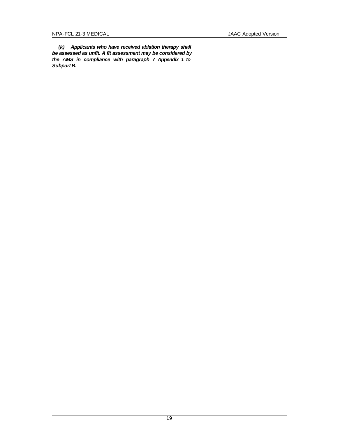*(k) Applicants who have received ablation therapy shall be assessed as unfit. A fit assessment may be considered by the AMS in compliance with paragraph 7 Appendix 1 to Subpart B.*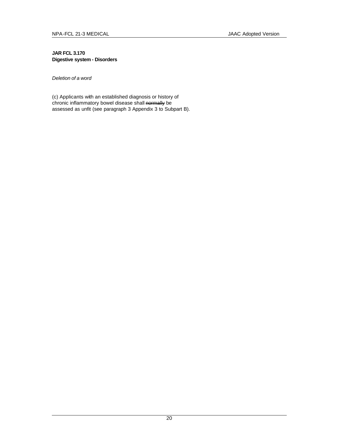# **JAR FCL 3.170 Digestive system - Disorders**

*Deletion of a word*

(c) Applicants with an established diagnosis or history of chronic inflammatory bowel disease shall normally be assessed as unfit (see paragraph 3 Appendix 3 to Subpart B).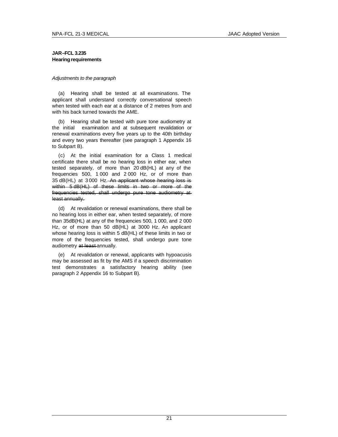# **JAR–FCL 3.235 Hearing requirements**

## *Adjustments to the paragraph*

(a) Hearing shall be tested at all examinations. The applicant shall understand correctly conversational speech when tested with each ear at a distance of 2 metres from and with his back turned towards the AME.

(b) Hearing shall be tested with pure tone audiometry at the initial examination and at subsequent revalidation or renewal examinations every five years up to the 40th birthday and every two years thereafter (see paragraph 1 Appendix 16 to Subpart B).

(c) At the initial examination for a Class 1 medical certificate there shall be no hearing loss in either ear, when tested separately, of more than 20 dB(HL) at any of the frequencies 500, 1 000 and 2 000 Hz, or of more than 35 dB(HL) at 3 000 Hz. An applicant whose hearing loss is within 5 dB(HL) of these limits in two or more of the frequencies tested, shall undergo pure tone audiometry at least annually.

(d) At revalidation or renewal examinations, there shall be no hearing loss in either ear, when tested separately, of more than 35dB(HL) at any of the frequencies 500, 1 000, and 2 000 Hz, or of more than 50 dB(HL) at 3000 Hz. An applicant whose hearing loss is within 5 dB(HL) of these limits in two or more of the frequencies tested, shall undergo pure tone audiometry at least annually.

(e) At revalidation or renewal, applicants with hypoacusis may be assessed as fit by the AMS if a speech discrimination test demonstrates a satisfactory hearing ability (see paragraph 2 Appendix 16 to Subpart B).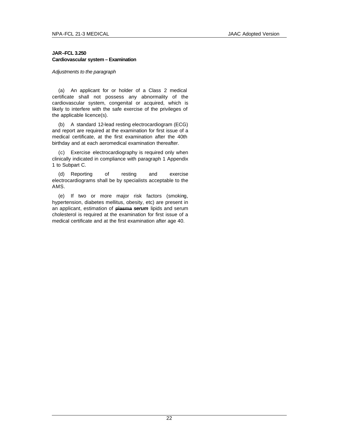# **JAR–FCL 3.250 Cardiovascular system – Examination**

*Adjustments to the paragraph*

(a) An applicant for or holder of a Class 2 medical certificate shall not possess any abnormality of the cardiovascular system, congenital or acquired, which is likely to interfere with the safe exercise of the privileges of the applicable licence(s).

(b) A standard 12-lead resting electrocardiogram (ECG) and report are required at the examination for first issue of a medical certificate, at the first examination after the 40th birthday and at each aeromedical examination thereafter.

(c) Exercise electrocardiography is required only when clinically indicated in compliance with paragraph 1 Appendix 1 to Subpart C.

(d) Reporting of resting and exercise electrocardiograms shall be by specialists acceptable to the AMS.

(e) If two or more major risk factors (smoking, hypertension, diabetes mellitus, obesity, etc) are present in an applicant, estimation of plasma *serum* lipids and serum cholesterol is required at the examination for first issue of a medical certificate and at the first examination after age 40.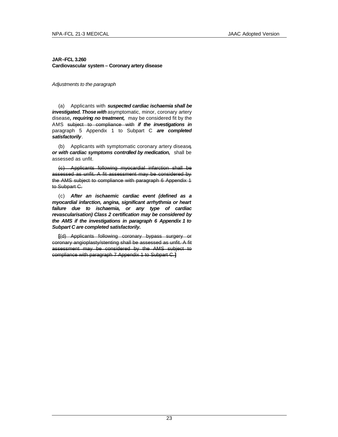# **JAR–FCL 3.260 Cardiovascular system – Coronary artery disease**

*Adjustments to the paragraph*

(a) Applicants with *suspected cardiac ischaemia shall be investigated. Those with* asymptomatic, minor, coronary artery disease*, requiring no treatment,* may be considered fit by the AMS subject to compliance with *if the investigations in* paragraph 5 Appendix 1 to Subpart C *are completed satisfactorily*.

(b) Applicants with symptomatic coronary artery disease*, or with cardiac symptoms controlled by medication,* shall be assessed as unfit.

(c) Applicants following myocardial infarction shall be assessed as unfit. A fit assessment may be considered by the AMS subject to compliance with paragraph 6 Appendix 1 to Subpart C.

(c) *After an ischaemic cardiac event (defined as a myocardial infarction, angina, significant arrhythmia or heart failure due to ischaemia, or any type of cardiac revascularisation) Class 2 certification may be considered by the AMS if the investigations in paragraph 6 Appendix 1 to Subpart C are completed satisfactorily.*

**[**(d) Applicants following coronary bypass surgery or coronary angioplasty/stenting shall be assessed as unfit. A fit assessment may be considered by the AMS subject to compliance with paragraph 7 Appendix 1 to Subpart C.**]**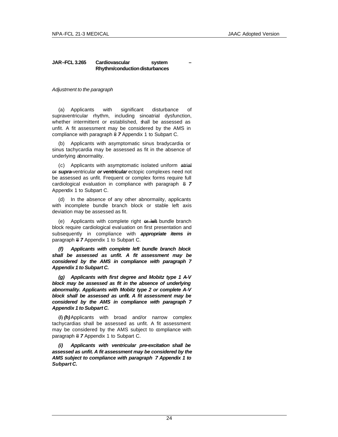# **JAR–FCL 3.265 Cardiovascular system – Rhythm/conduction disturbances**

*Adjustment to the paragraph*

(a) Applicants with significant disturbance of supraventricular rhythm, including sinoatrial dysfunction, whether intermittent or established, shall be assessed as unfit. A fit assessment may be considered by the AMS in compliance with paragraph 8 *7* Appendix 1 to Subpart C.

(b) Applicants with asymptomatic sinus bradycardia or sinus tachycardia may be assessed as fit in the absence of underlying abnormality.

(c) Applicants with asymptomatic isolated uniform atrial or *supra-*ventricular *or ventricular* ectopic complexes need not be assessed as unfit. Frequent or complex forms require full cardiological evaluation in compliance with paragraph 8 *7* Appendix 1 to Subpart C.

(d) In the absence of any other abnormality, applicants with incomplete bundle branch block or stable left axis deviation may be assessed as fit.

(e) Applicants with complete right or left bundle branch block require cardiological evaluation on first presentation and subsequently in compliance with *appropriate items in* paragraph 8 *7* Appendix 1 to Subpart C.

*(f) Applicants with complete left bundle branch block shall be assessed as unfit. A fit assessment may be considered by the AMS in compliance with paragraph 7 Appendix 1 to Subpart C.*

*(g) Applicants with first degree and Mobitz type 1 A-V block may be assessed as fit in the absence of underlying abnormality. Applicants with Mobitz type 2 or complete A-V block shall be assessed as unfit. A fit assessment may be considered by the AMS in compliance with paragraph 7 Appendix 1 to Subpart C.*

(f) *(h)*Applicants with broad and/or narrow complex tachycardias shall be assessed as unfit. A fit assessment may be considered by the AMS subject to compliance with paragraph 8 *7* Appendix 1 to Subpart C.

*(i) Applicants with ventricular pre-excitation shall be assessed as unfit. A fit assessment may be considered by the AMS subject to compliance with paragraph 7 Appendix 1 to Subpart C.*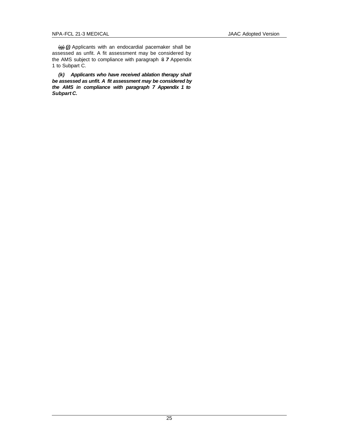(g) *(j)* Applicants with an endocardial pacemaker shall be assessed as unfit. A fit assessment may be considered by the AMS subject to compliance with paragraph 8 *7* Appendix 1 to Subpart C.

*(k) Applicants who have received ablation therapy shall be assessed as unfit. A fit assessment may be considered by the AMS in compliance with paragraph 7 Appendix 1 to Subpart C.*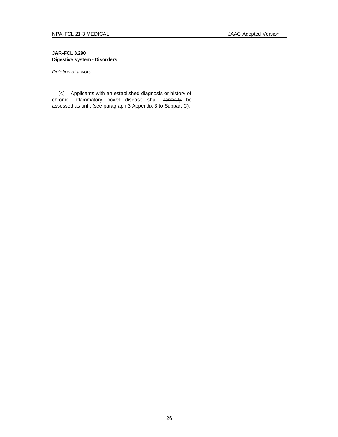# **JAR-FCL 3.290 Digestive system - Disorders**

*Deletion of a word*

(c) Applicants with an established diagnosis or history of chronic inflammatory bowel disease shall normally be assessed as unfit (see paragraph 3 Appendix 3 to Subpart C).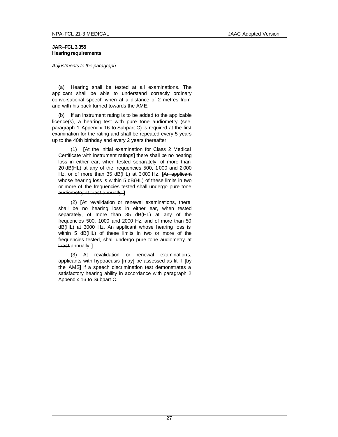# **JAR–FCL 3.355 Hearing requirements**

## *Adjustments to the paragraph*

(a) Hearing shall be tested at all examinations. The applicant shall be able to understand correctly ordinary conversational speech when at a distance of 2 metres from and with his back turned towards the AME.

(b) If an instrument rating is to be added to the applicable licence(s), a hearing test with pure tone audiometry (see paragraph 1 Appendix 16 to Subpart C) is required at the first examination for the rating and shall be repeated every 5 years up to the 40th birthday and every 2 years thereafter.

(1) **[**At the initial examination for Class 2 Medical Certificate with instrument ratings**]** there shall be no hearing loss in either ear, when tested separately, of more than 20 dB(HL) at any of the frequencies 500, 1 000 and 2 000 Hz, or of more than 35 dB(HL) at 3 000 Hz. **[**An applicant whose hearing loss is within 5 dB(HL) of these limits in two or more of the frequencies tested shall undergo pure tone audiometry at least annually.**]**

(2) **[**At revalidation or renewal examinations, there shall be no hearing loss in either ear, when tested separately, of more than 35 dB(HL) at any of the frequencies 500, 1000 and 2000 Hz, and of more than 50 dB(HL) at 3000 Hz. An applicant whose hearing loss is within 5 dB(HL) of these limits in two or more of the frequencies tested, shall undergo pure tone audiometry at least annually.**]**

(3) At revalidation or renewal examinations, applicants with hypoacusis **[**may**]** be assessed as fit if **[**by the AMS**]** if a speech discrimination test demonstrates a satisfactory hearing ability in accordance with paragraph 2 Appendix 16 to Subpart C.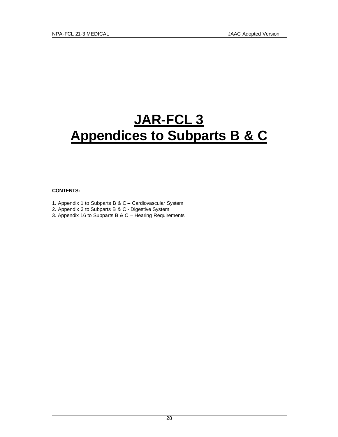# **JAR-FCL 3 Appendices to Subparts B & C**

# **CONTENTS:**

- 1. Appendix 1 to Subparts B & C Cardiovascular System
- 2. Appendix 3 to Subparts B & C Digestive System
- 3. Appendix 16 to Subparts B & C Hearing Requirements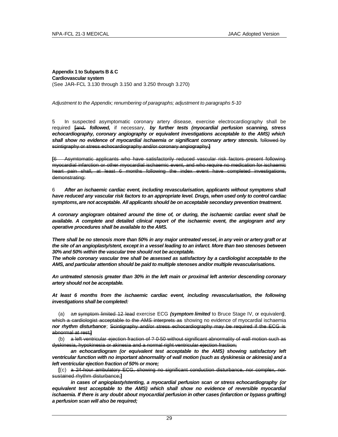**Appendix 1 to Subparts B & C Cardiovascular system** (See JAR–FCL 3.130 through 3.150 and 3.250 through 3.270)

# *Adjustment to the Appendix; renumbering of paragraphs; adjustment to paragraphs 5-10*

5 In suspected asymptomatic coronary artery disease, exercise electrocardiography shall be required **[**and, *followed,* if necessary, *by further tests (myocardial perfusion scanning, stress echocardiography, coronary angiography or equivalent investigations acceptable to the AMS) which*  shall show no evidence of myocardial ischaemia or significant coronary artery stenosis. followed by scintigraphy or stress echocardiography and/or coronary angiography.**]**

**[**6 Asymtomatic applicants who have satisfactorily reduced vascular risk factors present following myocardial infarction or other myocardial ischaemic event, and who require no medication for ischaemic heart pain shall, at least 6 months following the index event have completed investigations, demonstrating:

6 *After an ischaemic cardiac event, including revascularisation, applicants without symptoms shall have reduced any vascular risk factors to an appropriate level. Drugs, when used only to control cardiac symptoms, are not acceptable. All applicants should be on acceptable secondary prevention treatment.*

*A coronary angiogram obtained around the time of, or during, the ischaemic cardiac event shall be available. A complete and detailed clinical report of the ischaemic event, the angiogram and any operative procedures shall be available to the AMS.*

*There shall be no stenosis more than 50% in any major untreated vessel, in any vein or artery graft or at the site of an angioplasty/stent, except in a vessel leading to an infarct. More than two stenoses between 30% and 50% within the vascular tree should not be acceptable.*

*The whole coronary vascular tree shall be assessed as satisfactory by a cardiologist acceptable to the AMS, and particular attention should be paid to multiple stenoses and/or multiple revascularisations.* 

*An untreated stenosis greater than 30% in the left main or proximal left anterior descending coronary artery should not be acceptable.*

*At least 6 months from the ischaemic cardiac event, including revascularisation, the following investigations shall be completed:*

(a) a*n* symptom limited 12 lead exercise ECG *(symptom limited* to Bruce Stage IV, or equivalent*)*, which a cardiologist acceptable to the AMS interprets as showing no evidence of myocardial ischaemia *nor rhythm disturbance*; Scintigraphy and/or stress echocardiography may be required if the ECG is abnormal at rest;**]**

(b) a left ventricular ejection fraction of ? 0·50 without significant abnormality of wall motion such as dyskinesia, hypokinesia or akinesia and a normal right ventricular ejection fraction;

*an echocardiogram (or equivalent test acceptable to the AMS) showing satisfactory left ventricular function with no important abnormality of wall motion (such as dyskinesia or akinesia) and a left ventricular ejection fraction of 50% or more;*

**[**(c) a 24-hour ambulatory ECG, showing no significant conduction disturbance, nor complex, nor sustained rhythm disturbance;**]**

*in cases of angioplasty/stenting, a myocardial perfusion scan or stress echocardiography (or equivalent test acceptable to the AMS) which shall show no evidence of reversible myocardial ischaemia. If there is any doubt about myocardial perfusion in other cases (infarction or bypass grafting) a perfusion scan will also be required;*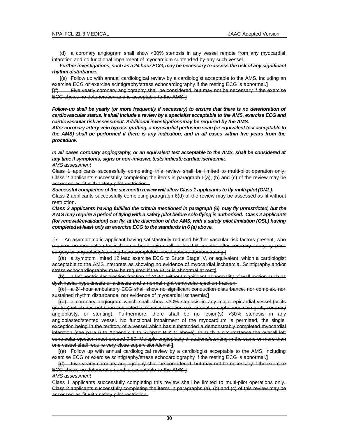(d) a coronary angiogram shall show <30% stenosis in any vessel remote from any myocardial infarction and no functional impairment of myocardium subtended by any such vessel.

*Further investigations, such as a 24 hour ECG, may be necessary to assess the risk of any significant rhythm disturbance.*

**[**(e) Follow up with annual cardiological review by a cardiologist acceptable to the AMS, including an exercise ECG or exercise scintigraphy/stress echocardiography if the resting ECG is abnormal.**]**

**[**(f) Five yearly coronary angiography shall be considered, but may not be necessary if the exercise ECG shows no deterioration and is acceptable to the AMS.**]**

*Follow-up shall be yearly (or more frequently if necessary) to ensure that there is no deterioration of cardiovascular status. It shall include a review by a specialist acceptable to the AMS, exercise ECG and cardiovascular risk assessment. Additional investigations may be required by the AMS.*

*After coronary artery vein bypass grafting, a myocardial perfusion scan (or equivalent test acceptable to the AMS) shall be performed if there is any indication, and in all cases within five years from the procedure.*

*In all cases coronary angiography, or an equivalent test acceptable to the AMS, shall be considered at any time if symptoms, signs or non-invasive tests indicate cardiac ischaemia. AMS assessment*

Class 1 applicants successfully completing this review shall be limited to multi-pilot operation only. Class 2 applicants successfully completing the items in paragraph 6(a), (b) and (c) of the review may be assessed as fit with safety pilot restriction.

*Successful completion of the six month review will allow Class 1 applicants to fly multi-pilot (OML).* Class 2 applicants successfully completing paragraph 6(d) of the review may be assessed as fit without restriction.

*Class 2 applicants having fulfilled the criteria mentioned in paragraph (6) may fly unrestricted, but the AMS may require a period of flying with a safety pilot before solo flying is authorised. Class 2 applicants (for renewal/revalidation) can fly, at the discretion of the AMS, with a safety pilot limitation (OSL) having completed at least only an exercise ECG to the standards in 6 (a) above.*

An asymptomatic applicant having satisfactorily reduced his/her vascular risk factors present, who requires no medication for ischaemic heart pain shall, at least 6 months after coronary artery by -pass surgery or angioplasty/stenting have completed investigations demonstrating:**]**

**[**(a) a symptom limited 12 lead exercise ECG to Bruce Stage IV, or equivalent, which a cardiologist acceptable to the AMS interprets as showing no evidence of myocardial ischaemia. Scintigraphy and/or stress echocardiography may be required if the ECG is abnormal at rest;**]**

(b) a left ventricular ejection fraction of ?0·50 without significant abnormality of wall motion such as dyskinesia, hypokinesia or akinesia and a normal right ventricular ejection fraction;

**[**(c) a 24-hour ambulatory ECG shall show no significant conduction disturbance, nor complex, nor sustained rhythm disturbance, nor evidence of myocardial ischaemia;**]**

**[**(d) a coronary angiogram which shall show <30% stenosis in any major epicardial vessel (or its graft(s)) which has not been subjected to revascularisation (i.e. arterial or saphenous vein graft, coronary angioplasty, or stenting). Furthermore, there shall be no lesion(s) >30% stenosis in any angioplasted/stented vessel. No functional impairment of the myocardium is permitted, the single exception being in the territory of a vessel which has substended a demonstrably completed myocardial infarction (see para 6 to Appendix 1 to Subpart B & C above). In such a circumstance the overall left ventricular ejection must exceed 0·50. Multiple angioplasty dilatations/stenting in the same or more than one vessel shall require very close supervision/denial.**]**

**[**(e) Follow up with annual cardiological review by a cardiologist acceptable to the AMS, including exercise ECG or exercise scintigraphy/stress echocardiography if the resting ECG is abnormal.**]**

**[**(f) Five yearly coronary angiography shall be considered, but may not be necessary if the exercise ECG shows no deterioration and is acceptable to the AMS.**]**

*AMS assessment*

Class 1 applicants successfully completing this review shall be limited to multi-pilot operations only. Class 2 applicants successfully completing the items in paragraphs (a), (b) and (c) of this review may be assessed as fit with safety pilot restriction.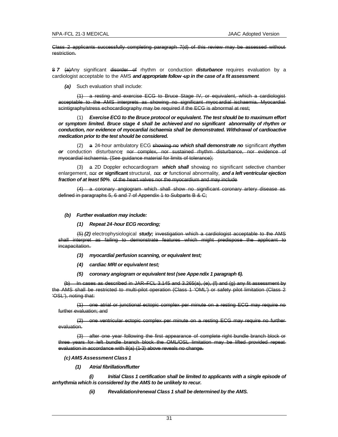Class 2 applicants successfully completing paragraph 7(d) of this review may be assessed without restriction.

8 *7* (a)Any significant disorder of rhythm or conduction *disturbance* requires evaluation by a cardiologist acceptable to the AMS *and appropriate follow -up in the case of a fit assessment*.

*(a)* Such evaluation shall include:

a resting and exercise ECG to Bruce Stage IV, or equivalent, which a cardiologist acceptable to the AMS interprets as showing no significant myoc ardial ischaemia. Myocardial scintigraphy/stress echocardiography may be required if the ECG is abnormal at rest;

(1) *Exercise ECG to the Bruce protocol or equivalent. The test should be to maximum effort or symptom limited. Bruce stage 4 shall be achieved and no significant abnormality of rhythm or conduction, nor evidence of myocardial ischaemia shall be demonstrated. Withdrawal of cardioactive medication prior to the test should be considered.*

(2) a 24-hour ambulatory ECG showing no *which shall demonstrate no* significant *rhythm or* conduction disturbance*;* nor complex, nor sustained rhythm disturbance, nor evidence of myocardial ischaemia. (See guidance material for limits of tolerance);

(3) a 2D Doppler echocardiogram *which shall* showing no significant selective chamber enlargement, nor *o***r significant** structural, nor *or* functional abnormality, *and a left ventricular ejection fraction of at least 50%*. of the heart valves nor the myocardium and may include

(4) a coronary angiogram which shall show no significant coronary artery disease as defined in paragraphs 5, 6 and 7 of Appendix 1 to Subparts B & C;

## *(b) Further evaluation may include:*

## *(1) Repeat 24-hour ECG recording;*

(5) *(2)* electrophysiological *study;* investigation which a cardiologist acceptable to the AMS shall interpret as failing to demonstrate features which might predispose the applicant to incapacitation.

*(3) myocardial perfusion scanning, or equivalent test;*

- *(4) cardiac MRI or equivalent test;*
- *(5) coronary angiogram or equivalent test (see Appendix 1 paragraph 6).*

(b) In cases as described in JAR–FCL 3.145 and 3.265(a), (e), (f) and (g) any fit assessment by the AMS shall be restricted to multi-pilot operation (Class 1 'OML') or safety pilot limitation (Class 2 'OSL'), noting that:

(1) one atrial or junctional ectopic complex per minute on a resting ECG may require no further evaluation; and

(2) one ventricular ectopic complex per minute on a resting ECG may require no further evaluation.

(3) after one year following the first appearance of complete right bundle branch block or three years for left bundle branch block the OML/OSL limitation may be lifted provided repeat evaluation in accordance with 8(a) (1-3) above reveals no change.

## *(c) AMS Assessment Class 1*

*(1) Atrial fibrillation/flutter*

*(i) Initial Class 1 certification shall be limited to applicants with a single episode of arrhythmia which is considered by the AMS to be unlikely to recur.*

*(ii) Revalidation/renewal Class 1 shall be determined by the AMS.*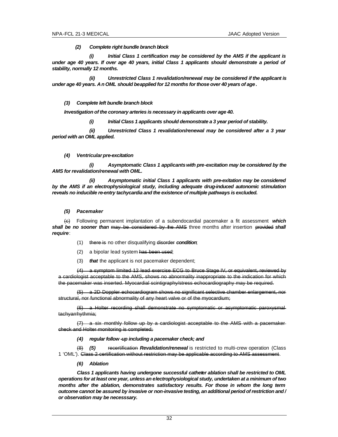*(2) Complete right bundle branch block*

*(i) Initial Class 1 certification may be considered by the AMS if the applicant is under age 40 years. If over age 40 years, initial Class 1 applicants should demonstrate a period of stability, normally 12 months.*

*(ii) Unrestricted Class 1 revalidation/renewal may be considered if the applicant is under age 40 years. An OML should be applied for 12 months for those over 40 years of age.*

## *(3) Complete left bundle branch block*

*Investigation of the coronary arteries is necessary in applicants over age 40.*

*(i) Initial Class 1 applicants should demonstrate a 3 year period of stability.*

*(ii) Unrestricted Class 1 revalidation/renewal may be considered after a 3 year period with an OML applied.*

## *(4) Ventricular pre-excitation*

*(i) Asymptomatic Class 1 applicants with pre-excitation may be considered by the AMS for revalidation/renewal with OML.*

*(ii) Asymptomatic initial Class 1 applicants with pre-exitation may be considered by the AMS if an electrophysiological study, including adequate drug-induced autonomic stimulation reveals no inducible re-entry tachycardia and the existence of multiple pathways is excluded.* 

## *(5) Pacemaker*

(c) Following permanent implantation of a subendocardial pacemaker a fit assessment *which shall be no sooner than* may be considered by the AMS three months after insertion provided *shall require*:

- (1) there is no other disqualifying disorder *condition*;
- (2) a bipolar lead system has been used;
- (3) *that* the applicant is not pacemaker dependent;

(4) a symptom limited 12 lead exercise ECG to Bruce Stage IV, or equivalent, reviewed by a cardiologist acceptable to the AMS, shows no abnormality inappropriate to the indication for which the pacemaker was inserted. Myocardial scintigraphy/stress echocardiography may be required.

(5) a 2D Doppler echocardiogram shows no significant selective chamber enlargement, nor structural, nor functional abnormality of any heart valve or of the myocardium;

(6) a Holter recording shall demonstrate no symptomatic or asymptomatic paroxysmal tachyarrhythmia;

(7) a six monthly follow up by a cardiologist acceptable to the AMS with a pacemaker check and Holter monitoring is completed;

# *(4) regular follow -up including a pacemaker check; and*

(8) *(5)* recertification *Revalidation/renewal* is restricted to multi-crew operation (Class 1 'OML'). Class 2 certification without restriction may be applicable according to AMS assessment.

*(6) Ablation*

*Class 1 applicants having undergone successful catheter ablation shall be restricted to OML operations for at least one year, unless an electrophysiological study, undertaken at a minimum of two months after the ablation, demonstrates satisfactory results. For those in whom the long term outcome cannot be assured by invasive or non-invasive testing, an additional period of restriction and / or observation may be necesssary.*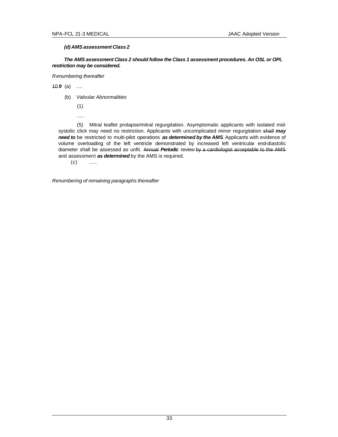# *(d) AMS assessment Class 2*

*The AMS assessment Class 2 should follow the Class 1 assessment procedures. An OSL or OPL restriction may be considered.*

*Renumbering thereafter*

10 *9* (a) ....

(b) *Valvular Abnormalities*

(1)

.....

(5) Mitral leaflet prolapse/mitral regurgitation. Asymptomatic applicants with isolated midsystolic click may need no restriction. Applicants with uncomplicated minor regurgitation shall *may need to* be restricted to multi-pilot operations *as determined by the AMS*. Applicants with evidence of volume overloading of the left ventricle demonstrated by increased left ventricular end-diastolic diameter shall be assessed as unfit. Annual *Periodic* review by a cardiologist acceptable to the AMS and assessment *as determined* by the AMS is required.

 $(c)$  .....

*Renumbering of remaining paragraphs thereafter*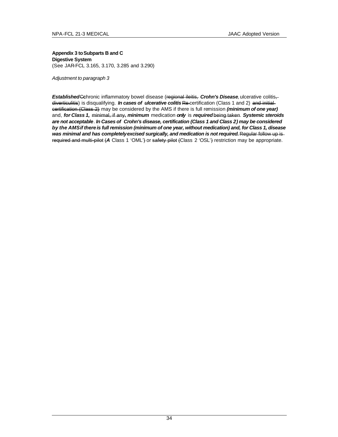# **Appendix 3 to Subparts B and C Digestive System** (See JAR-FCL 3.165, 3.170, 3.285 and 3.290)

*Adjustment to paragraph 3*

*Established*C**c**hronic inflammatory bowel disease (regional ileitis, *Crohn's Disease,*ulcerative colitis, diverticulitis) is disqualifying. *In cases of ulcerative colitis* Re-certification (Class 1 and 2) and initialcertification (Class 2) may be considered by the AMS if there is full remission *(minimum of one year)*  and, *for Class 1,* minimal, if any, *minimum* medication *only* is *required*being taken. *Systemic steroids are not acceptable*. *In Cases of Crohn's disease, certification (Class 1 and Class 2) may be considered by the AMS if there is full remission (minimum of one year, without medication) and, for Class 1, disease*  was minimal and has completely excised surgically, and medication is not required. Regular follow up isrequired and multi-pilot (*A* Class 1 'OML') or safety pilot (Class 2 'OSL') restriction may be appropriate.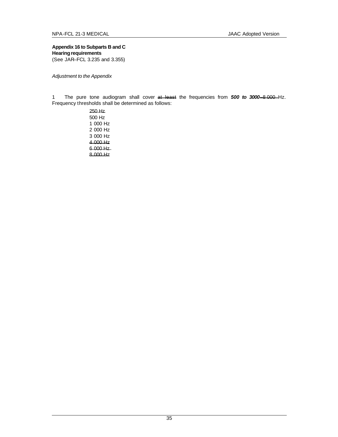**Appendix 16 to Subparts B and C Hearing requirements** (See JAR–FCL 3.235 and 3.355)

*Adjustment to the Appendix*

1 The pure tone audiogram shall cover at least the frequencies from *500 to 3000*–8 000 Hz. Frequency thresholds shall be determined as follows: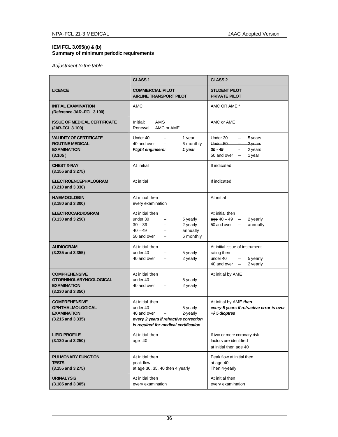# **IEM FCL 3.095(a) & (b) Summary of minimum periodic requirements**

# *Adjustment to the table*

|                                                                                                      | <b>CLASS 1</b>                                                                                                                                           | <b>CLASS 2</b>                                                                                      |
|------------------------------------------------------------------------------------------------------|----------------------------------------------------------------------------------------------------------------------------------------------------------|-----------------------------------------------------------------------------------------------------|
| <b>LICENCE</b>                                                                                       | <b>COMMERCIAL PILOT</b><br><b>AIRLINE TRANSPORT PILOT</b>                                                                                                | <b>STUDENT PILOT</b><br><b>PRIVATE PILOT</b>                                                        |
| <b>INITIAL EXAMINATION</b><br>(Reference JAR-FCL 3.100)                                              | AMC                                                                                                                                                      | AMC OR AME *                                                                                        |
| <b>ISSUE OF MEDICAL CERTIFICATE</b><br>(JAR-FCL 3.100)                                               | AMS<br>Initial:<br>Renewal: AMC or AME                                                                                                                   | AMC or AME                                                                                          |
| <b>VALIDITY OF CERTIFICATE</b><br><b>ROUTINE MEDICAL</b><br><b>EXAMINATION</b><br>(3.105)            | Under 40<br>1 year<br>6 monthly<br>40 and over<br>$\overline{\phantom{0}}$<br>1 year<br><b>Flight engineers:</b>                                         | Under 30<br>5 years<br>Under 50<br>2 years<br>$30 - 49$<br>2 years<br>50 and over<br>1 year         |
| <b>CHEST X-RAY</b><br>$(3.155$ and $3.275)$                                                          | At initial                                                                                                                                               | If indicated                                                                                        |
| <b>ELECTROENCEPHALOGRAM</b><br>$(3.210$ and $3.330)$                                                 | At initial                                                                                                                                               | If indicated                                                                                        |
| <b>HAEMOGLOBIN</b><br>$(3.180$ and $3.300)$                                                          | At initial then<br>every examination                                                                                                                     | At initial                                                                                          |
| <b>ELECTROCARDIOGRAM</b><br>$(3.130$ and $3.250)$                                                    | At initial then<br>under 30<br>5 yearly<br>$30 - 39$<br>2 yearly<br>$40 - 49$<br>annually<br>$\equiv$<br>50 and over<br>6 monthly                        | At initial then<br>$ace 40 - 49$<br>2 yearly<br>$\overline{\phantom{m}}$<br>50 and over<br>annually |
| <b>AUDIOGRAM</b><br>$(3.235$ and $3.355)$                                                            | At initial then<br>under 40<br>5 yearly<br>40 and over<br>2 yearly                                                                                       | At initial issue of instrument<br>rating then<br>under 40<br>5 yearly<br>40 and over<br>2 yearly    |
| <b>COMPREHENSIVE</b><br><b>OTORHINOLARYNGOLOGICAL</b><br><b>EXAMINATION</b><br>$(3.230$ and $3.350)$ | At initial then<br>under 40<br>5 yearly<br>40 and over<br>2 yearly                                                                                       | At initial by AME                                                                                   |
| <b>COMPREHENSIVE</b><br><b>OPHTHALMOLOGICAL</b><br><b>EXAMINATION</b><br>$(3.215$ and $3.335)$       | At initial then<br>under 40<br>5 yearly<br>40 and over<br>$2$ -yearly<br>every 2 years if refractive correction<br>is required for medical certification | At initial by AME then<br>every 5 years if refractive error is over<br>$+$ 5 dioptres               |
| <b>LIPID PROFILE</b><br>$(3.130$ and $3.250)$                                                        | At initial then<br>age 40                                                                                                                                | If two or more coronary risk<br>factors are identified<br>at initial then age 40                    |
| <b>PULMONARY FUNCTION</b><br><b>TESTS</b><br>$(3.155$ and $3.275)$                                   | At initial then<br>peak flow<br>at age 30, 35, 40 then 4 yearly                                                                                          | Peak flow at initial then<br>at age 40<br>Then 4-yearly                                             |
| <b>URINALYSIS</b><br>$(3.185$ and $3.305)$                                                           | At initial then<br>every examination                                                                                                                     | At initial then<br>every examination                                                                |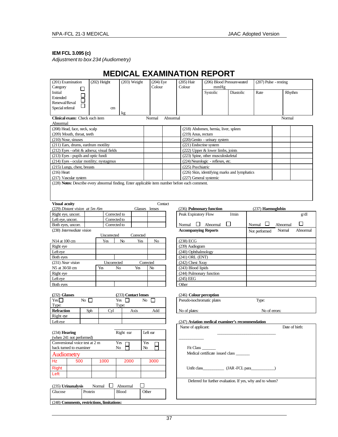# **IEM FCL 3.095 (c)**

*Adjustment to box 234 (Audiometry)*

|                                                                                                 |                  |                   |                      |                |                    | <b>MEDICAL EXAMINATION REPORT</b>       |                                                           |              |                         |          |                |
|-------------------------------------------------------------------------------------------------|------------------|-------------------|----------------------|----------------|--------------------|-----------------------------------------|-----------------------------------------------------------|--------------|-------------------------|----------|----------------|
| (201) Examination                                                                               | $(202)$ Height   |                   | $(203)$ Weight       |                | $(204)$ Eye        | $(205)$ Hair                            | (206) Blood Pressure-seated                               |              | $(207)$ Pulse - resting |          |                |
| Category<br>$\mathsf{L}$                                                                        |                  |                   |                      |                | Colour             | Colour                                  | mmHg                                                      |              |                         |          |                |
| Initial<br>$\Box$                                                                               |                  |                   |                      |                |                    |                                         | Systolic                                                  | Diastolic    | Rate                    | Rhythm   |                |
| <b>Extended</b><br>П<br>Renewal/Reval                                                           |                  |                   |                      |                |                    |                                         |                                                           |              |                         |          |                |
| Special referral                                                                                |                  | cm                |                      |                |                    |                                         |                                                           |              |                         |          |                |
|                                                                                                 |                  |                   | kg                   |                |                    |                                         |                                                           |              |                         |          |                |
| Clinical exam: Check each item                                                                  |                  |                   |                      |                | Normal<br>Abnormal |                                         |                                                           |              |                         | Normal   |                |
| Abnormal<br>(208) Head, face, neck, scalp                                                       |                  |                   |                      |                |                    |                                         | (218) Abdomen, hernia, liver, spleen                      |              |                         |          |                |
| (209) Mouth, throat, teeth                                                                      |                  |                   |                      |                |                    | $(219)$ Anus, rectum                    |                                                           |              |                         |          |                |
| (210) Nose, sinuses                                                                             |                  |                   |                      |                |                    |                                         | (220) Genito - urinary system                             |              |                         |          |                |
| (211) Ears, drums, eardrum motility                                                             |                  |                   |                      |                |                    | (221) Endocrine system                  |                                                           |              |                         |          |                |
| (212) Eyes - orbit & adnexa; visual fields                                                      |                  |                   |                      |                |                    |                                         | $(222)$ Upper & lower limbs, joints                       |              |                         |          |                |
| (213) Eyes - pupils and optic fundi                                                             |                  |                   |                      |                |                    |                                         | (223) Spine, other musculoskeletal                        |              |                         |          |                |
| (214) Eyes - ocular motility; nystagmus                                                         |                  |                   |                      |                |                    |                                         | (224) Neurologic - reflexes, etc.                         |              |                         |          |                |
| (215) Lungs, chest, breasts                                                                     |                  |                   |                      |                |                    | (225) Psychiatric                       |                                                           |              |                         |          |                |
| $(216)$ Heart                                                                                   |                  |                   |                      |                |                    |                                         | (226) Skin, identifying marks and lymphatics              |              |                         |          |                |
| (217) Vascular system                                                                           |                  |                   |                      |                |                    |                                         | (227) General systemic                                    |              |                         |          |                |
| (228) Notes: Describe every abnormal finding. Enter applicable item number before each comment. |                  |                   |                      |                |                    |                                         |                                                           |              |                         |          |                |
|                                                                                                 |                  |                   |                      |                |                    |                                         |                                                           |              |                         |          |                |
|                                                                                                 |                  |                   |                      |                |                    |                                         |                                                           |              |                         |          |                |
| <b>Visual acuity</b>                                                                            |                  |                   |                      |                | Contact            |                                         |                                                           |              |                         |          |                |
| (229) Distant vision at 5m/6m                                                                   |                  |                   |                      | Glasses lenses |                    | (236) Pulmonary function                |                                                           |              | (237) Haemoglobin       |          |                |
| Right eye, uncorr.                                                                              |                  | Corrected to      |                      |                |                    | Peak Expiratory Flow                    |                                                           | l/min        |                         |          | g/dl           |
| Left eye, uncorr.                                                                               |                  | Corrected to      |                      |                |                    |                                         |                                                           |              |                         |          |                |
| Both eyes, uncorr.                                                                              |                  | Corrected to      |                      |                |                    | $\mathbf{L}$<br>Normal                  | Abnormal                                                  | $\mathbf{I}$ | Normal                  | Abnormal | П              |
| (230) Intermediate vision                                                                       |                  |                   |                      |                |                    | <b>Accompanying Reports</b>             |                                                           |              | Not performed           | Normal   | Abnormal       |
|                                                                                                 |                  | Uncorrected       | Corrected            |                |                    |                                         |                                                           |              |                         |          |                |
| N14 at 100 cm                                                                                   |                  | Yes               | No                   | Yes            | N <sub>0</sub>     | (238) ECG                               |                                                           |              |                         |          |                |
| Right eye                                                                                       |                  |                   |                      |                |                    | (239) Audiogram                         |                                                           |              |                         |          |                |
| $\overline{\text{Left}}$ eye                                                                    |                  |                   |                      |                |                    | (240) Ophthalmology                     |                                                           |              |                         |          |                |
| Both eyes                                                                                       |                  |                   |                      |                |                    | (241) ORL (ENT)                         |                                                           |              |                         |          |                |
| (231) Near vision<br>N5 at 30-50 cm                                                             | Yes              | Uncorrected<br>No | Yes                  | Corrected      | No                 | (242) Chest X-ray<br>(243) Blood lipids |                                                           |              |                         |          |                |
| Right eye                                                                                       |                  |                   |                      |                |                    | (244) Pulmonary function                |                                                           |              |                         |          |                |
| Left eye                                                                                        |                  |                   |                      |                |                    | $(245)$ EEG                             |                                                           |              |                         |          |                |
| Both eyes                                                                                       |                  |                   |                      |                |                    | Other                                   |                                                           |              |                         |          |                |
|                                                                                                 |                  |                   |                      |                |                    |                                         |                                                           |              |                         |          |                |
| (232) Glasses                                                                                   |                  |                   | (233) Contact lenses |                |                    | (246) Colour perception                 |                                                           |              |                         |          |                |
| Yes                                                                                             | $\overline{N_0}$ | Yes               | $\Box$               | No             | $\perp$            | Pseudo-isochromatic plates              |                                                           |              | Type:                   |          |                |
| Type:                                                                                           |                  |                   | Type:                |                |                    |                                         |                                                           |              |                         |          |                |
| <b>Refraction</b>                                                                               | Sph              | Cyl               | Axis                 |                | Add                | No of plates:                           |                                                           |              | No of errors:           |          |                |
| Right eye                                                                                       |                  |                   |                      |                |                    |                                         |                                                           |              |                         |          |                |
| Left eye                                                                                        |                  |                   |                      |                |                    |                                         | (247) Aviation medical examiner's recommendation          |              |                         |          |                |
|                                                                                                 |                  |                   |                      |                |                    | Name of applicant:                      |                                                           |              |                         |          | Date of birth: |
| $(234)$ Hearing<br>(when 241 not performed)                                                     |                  |                   | Right ear            | Left ear       |                    |                                         |                                                           |              |                         |          |                |
| Conversional voice test at 2 m                                                                  |                  |                   | Yes $\Box$           | Yes            |                    |                                         |                                                           |              |                         |          |                |
| back turned to examiner                                                                         |                  | No                |                      | No             | ⊟                  | Fit Class $\_$                          |                                                           |              |                         |          |                |
| Audiometry                                                                                      |                  |                   |                      |                |                    |                                         | Medical certificate issued class                          |              |                         |          |                |
| Hz<br>500                                                                                       | 1000             |                   | 2000                 |                | 3000               |                                         |                                                           |              |                         |          |                |
|                                                                                                 |                  |                   |                      |                |                    |                                         |                                                           |              |                         |          |                |
| Right                                                                                           |                  |                   |                      |                |                    |                                         | Unfit class (JAR - FCL para                               |              |                         |          |                |
| Left                                                                                            |                  |                   |                      |                |                    |                                         |                                                           |              |                         |          |                |
|                                                                                                 |                  |                   |                      | $\mathsf{L}$   |                    |                                         | Deferred for further evaluation. If yes, why and to whom? |              |                         |          |                |
| (235) Urinanalysis                                                                              | Normal           |                   | Abnormal             |                |                    |                                         |                                                           |              |                         |          |                |
| Glucose                                                                                         | Protein          |                   | <b>Blood</b>         | Other          |                    |                                         |                                                           |              |                         |          |                |
| (248) Comments, restrictions, limitations:                                                      |                  |                   |                      |                |                    |                                         |                                                           |              |                         |          |                |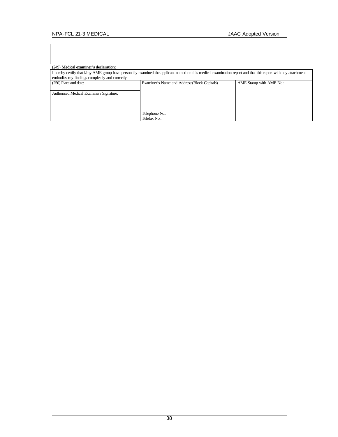| (249) Medical examiner's declaration:                                                                                                                                                                           |                                               |                         |  |  |  |  |
|-----------------------------------------------------------------------------------------------------------------------------------------------------------------------------------------------------------------|-----------------------------------------------|-------------------------|--|--|--|--|
| I hereby certify that I/my AME group have personally examined the applicant named on this medical examination report and that this report with any attachment<br>embodies my findings completely and correctly. |                                               |                         |  |  |  |  |
| (250) Place and date:                                                                                                                                                                                           | Examiner's Name and Address: (Block Capitals) | AME Stamp with AME No.: |  |  |  |  |
| Authorised Medical Examiners Signature:                                                                                                                                                                         |                                               |                         |  |  |  |  |
|                                                                                                                                                                                                                 | Telephone No.:<br>Telefax No.:                |                         |  |  |  |  |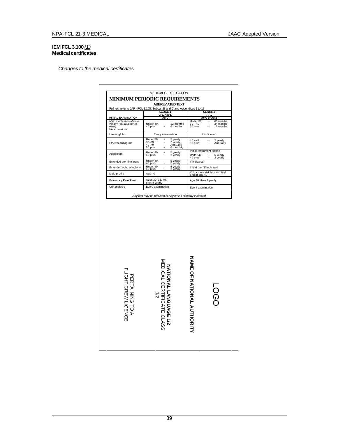# **IEM FCL 3.100***(1)* **Medical certificates**

*Changes to the medical certificates*

|                                                                                 |                                               |                                | <b>MEDICALCERTIFICATION</b>                   |                                                     |                                                   |
|---------------------------------------------------------------------------------|-----------------------------------------------|--------------------------------|-----------------------------------------------|-----------------------------------------------------|---------------------------------------------------|
| <b>MINIMUM PERIODIC REQUIREMENTS</b>                                            |                                               |                                |                                               |                                                     |                                                   |
|                                                                                 |                                               |                                | <b>ABBREVIATED TEXT</b>                       |                                                     |                                                   |
| Full text refer to JAR - FCL 3.105, Subpart B and C and Appendices 1 to 18      |                                               |                                |                                               |                                                     |                                                   |
|                                                                                 |                                               | CLASS <sub>1</sub><br>CPL ATPL |                                               |                                                     | CLASS <sub>2</sub><br>PPL                         |
| <b>INITIAL EXAMINATION</b>                                                      |                                               | <b>AMC</b>                     |                                               |                                                     | <b>AMC or AME</b>                                 |
| Max. medical certificate<br>validity (45 days for re-<br>exam)<br>No extensions | Under 40<br>40 plus -                         |                                | $-12$ months<br>6 months                      | Under 30<br>$30 - 49$<br>$\overrightarrow{50}$ plus | $-60$ months<br>- 24 months<br>- 12 months        |
| Haemoglobin                                                                     |                                               |                                | Every examination                             |                                                     | If indicated                                      |
| Electrocardiogram                                                               | Under 30<br>$30 - 39$<br>$40 - 49$<br>50 plus |                                | 5 yearly<br>2 yearly<br>Annually<br>6 monthly | $40 - 49$<br>50 plus                                | 2 yearly<br>2 yea<br>Annually                     |
| Audiogram                                                                       | Under 40<br>40 plus                           | ٠<br>٠                         | 5 yearly<br>2 yearly                          | Under 40<br>40 plus                                 | Initial Instrument Rating<br>5 yearly<br>2 vearly |
| Extended otorhinolarvng                                                         | Under 40<br>40 plus                           |                                | 5 yearly<br>2 vearly                          | If indicated                                        |                                                   |
| Extended ophthalmology                                                          | Under 40<br>40 plus                           | $\sim$                         | 5 yearly<br>2 vearly                          | Initial then if indicated                           |                                                   |
| Lipid profile                                                                   | Age 40                                        |                                |                                               | and at age 40                                       | If 2 or more risk factors initial                 |
| Pulmonary Peak Flow                                                             | Ages 30, 35, 40,<br>then 4 yearly             |                                |                                               | Age 40, then 4 yearly                               |                                                   |
| Urinanalysis                                                                    | Every examination                             |                                |                                               | Every examination                                   |                                                   |



**LOGO** 

**NAME OF NATIONAL AUTHORITY**

NAME OF NATIONAL AUTHORITY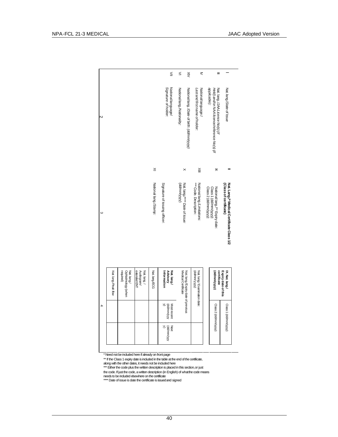|   |                      |                                                |                                          |                       | $\leq$                                        | $\leq$                     | $\leq$                                      | ⋜                                                     | Ξ                                                                                                |                                                                     |
|---|----------------------|------------------------------------------------|------------------------------------------|-----------------------|-----------------------------------------------|----------------------------|---------------------------------------------|-------------------------------------------------------|--------------------------------------------------------------------------------------------------|---------------------------------------------------------------------|
| N |                      |                                                |                                          |                       | Signature of holder:<br>National language/    | Nationallang./Nationality: | National lang.:/Date of birth: (dd/mm/yyyy) | National language:/<br>Last and first name of holder: | applicable):<br>Nat. lang:/JAA Licence No(s) (if<br>Held) and/or NAA licence/reference No(s) (if | Nat.lang./State of Issue                                            |
|   |                      |                                                |                                          | $\geq$                |                                               |                            | $\times$                                    | $\leq$                                                | $\mathbf{\overline{z}}$                                                                          |                                                                     |
| ω |                      |                                                |                                          | National lang./Stamp: | Signature of issuing officer:                 | (AVYVVV)                   | Nat. lang./**** Date of issue:              | *** Code. Description:<br>National lang./Limitations: | Class 2 (dd/mm/yyyy):<br>Class 1 (dd/mm/yyyy):<br>National lang./** Expiry date:                 | Nat. LangJ* Medical Certificate Class 1/2<br>(Class of certificate) |
|   | Nat. lang./Peak flow | Ophtalmology (when<br>required)<br>Nat. lang./ | Audiogram/<br>extended ENT<br>Nat.lang./ | Nat. lang/ECG         | <b>Advisory</b><br>Information<br>Nat. lang./ | Medical Certificate        | Nat. lang./Expiry date of previous          | Nat. lang/ Examination date:<br>(AKKA/uuu/pb)         | certificate<br>(AAAJuuu/AAA)                                                                     | Expiry date of this<br>IX. Nat. lang/                               |
| 4 |                      |                                                |                                          |                       | S<br>(dd/mm/yyy<br>Most recent                |                            |                                             |                                                       | Class 2 (dd/mm/yyyy)                                                                             | Class 1 (dd/mm/yyyy)                                                |
|   |                      |                                                |                                          |                       | S<br>Next<br>(dd/mm/yyy                       |                            |                                             |                                                       |                                                                                                  |                                                                     |

\* Need not be included here if already on front page

\*\* If the Class 1 expiry date is included in the table at the end of the certificate,<br>along with the other dates, it needs not be included here<br>\*\*\* Either the code plus the written description is placed in this section, or

the code. If just the code, a written description (in English) of what the code means<br>needs to be included elsewhere on the certificate<br>\*\*\*\* Date of issue is date the certificate is issued and signed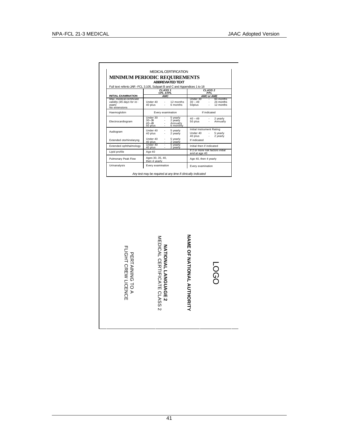$\Gamma$ 

| Full text referto JAR - FCL 3.105, Subpart B and C and Appendices 1 to 18       |                                                                                   |                       |                                                                                               |              |                                   |  |
|---------------------------------------------------------------------------------|-----------------------------------------------------------------------------------|-----------------------|-----------------------------------------------------------------------------------------------|--------------|-----------------------------------|--|
| <b>INITIAL EXAMINATION</b>                                                      | <b>CLASS 1</b><br>CPL ATPL<br><b>AMC</b>                                          |                       | CLASS <sub>2</sub>                                                                            |              |                                   |  |
| Max. medical certificate<br>validity (45 days for re-<br>exam)<br>No extensions | Under 40<br>40 plus<br>Ĩ.                                                         | 12 months<br>6 months | AMC or AME<br>Under 30<br>60 months<br>24 months<br>$30 - 49$<br>$50$ plus<br>12 months<br>Ĭ. |              |                                   |  |
| Haemoglobin                                                                     | Every examination                                                                 |                       |                                                                                               | If indicated |                                   |  |
| Electrocardiogram                                                               | Under 30<br>5 yearly<br>2 yearly<br>$30 - 39$<br>$40 - 49$<br>50 plus             | Annually<br>6 monthly | $40 - 49$<br>50 plus                                                                          |              | 2 yearly<br>Annually              |  |
| Audiogram                                                                       | Under 40<br>5 yearly<br>40 plus<br>2 yearly                                       |                       | Initial Instrument Rating<br>Under 40<br>40 plus                                              |              | 5 yearly<br>2 yearly              |  |
| Extended otorhinolaryng                                                         | Under 40<br>5 yearly<br>40 plus<br>2 yearly                                       |                       | If indicated                                                                                  |              |                                   |  |
| Extended ophthalmology                                                          | Under 40<br>5 yearly<br>40 plus<br>2 yearly                                       |                       | Initial then if indicated                                                                     |              |                                   |  |
| Lipid profile                                                                   | Age 40                                                                            |                       | and at age 40                                                                                 |              | If 2 or more risk factors initial |  |
| Pulmonary Peak Flow                                                             | Ages 30, 35, 40,<br>then 4 yearly                                                 |                       | Age 40, then 4 yearly                                                                         |              |                                   |  |
|                                                                                 |                                                                                   |                       | Every examination                                                                             |              |                                   |  |
|                                                                                 | Every examination<br>Any test may be required at any time if clinically indicated |                       |                                                                                               |              |                                   |  |
| Urinanalysis                                                                    |                                                                                   |                       |                                                                                               |              |                                   |  |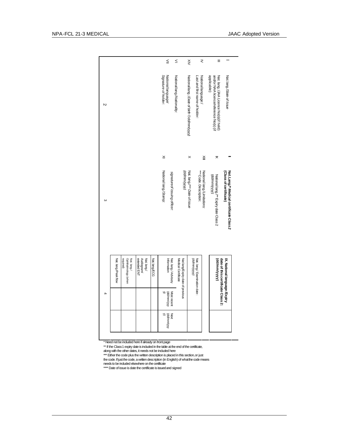|   |                     |                                                 |                                          |               | $\leq$                                                | $\leq$                     |                                  | $\leq$                                    | ₹                                                     | $\equiv$                                                                                        |                                                                    |
|---|---------------------|-------------------------------------------------|------------------------------------------|---------------|-------------------------------------------------------|----------------------------|----------------------------------|-------------------------------------------|-------------------------------------------------------|-------------------------------------------------------------------------------------------------|--------------------------------------------------------------------|
| Z |                     |                                                 |                                          |               | Nationallanguage/<br>Signature of holder:             | Nationallang./Nationality: |                                  | National lang∴/Date of birth ©dd/mm/yyyy) | National language:/<br>Last and first name of holder: | and/or NAA licence/reference No(s) (if<br>applicable):<br>Nat. lang:/JAA Licence No(s)(if held) | Nat.lang./State of Issue                                           |
|   |                     |                                                 |                                          |               | ×                                                     |                            |                                  | $\times$                                  | $\leq$                                                | ×                                                                                               |                                                                    |
| ω |                     |                                                 |                                          |               | National lang./Stamp:<br>signatureof issuing officer: |                            | (KNyww)                          | Nat. lang./*** Date of issue              | *** Code. Description:<br>National lang./Limitations: | National lang./** Expiry date Class 2<br>(dd/mm/yyyy):                                          | Nat. Lang./* Medical certificate Class 2<br>(Class of certificate) |
|   | Nat lang./Peak flow | required)<br>Ophthalmology (when<br>Nat. lang./ | extended ENT<br>Audiogram/<br>Nat. lang/ | Nat. lang/ECG | Information<br>Nat. lang./ Advisory                   | Medical Certificate        | Nat lang/Expiry date of previous | (AAAnuu/pp)                               | Nat. lang./Examination date:                          | (AAAAuuu/pp)                                                                                    | date of this certificate Class 2:<br>IX. National language /Expiry |
| 4 |                     |                                                 |                                          |               | Most recent<br>(dd/mm/yyy                             |                            |                                  |                                           |                                                       |                                                                                                 |                                                                    |
|   |                     |                                                 |                                          |               | (dd/mm/yyy<br>$\leq$<br>Next                          |                            |                                  |                                           |                                                       |                                                                                                 |                                                                    |

\* Need not be included here if already on front page

\*\* If the Class 1 expiry date is included in the table at the end of the certificate,<br>along with the other dates, it needs not be included here<br>\*\*\* Either the code plus the written description is placed in this section, or

the code. If just the code, a written description (in English) of what the code means<br>needs to be included elsewhere on the certificate<br>\*\*\*\* Date of issue is date the certificate is issued and signed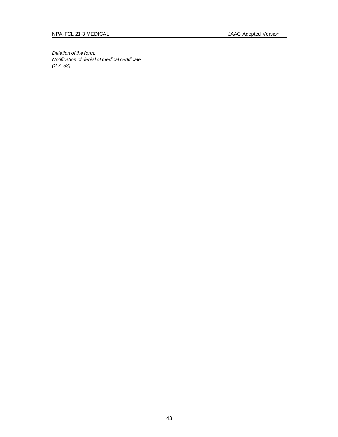*Deletion of the form: Notification of denial of medical certificate (2-A-33)*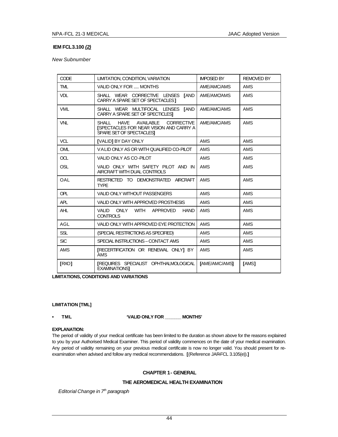# **IEM FCL 3.100** *(2)*

*New Subnumber*

| <b>CODE</b> | LIMITATION, CONDITION, VARIATION                                                                                                     | <b>IMPOSED BY</b>    | <b>REMOVED BY</b> |
|-------------|--------------------------------------------------------------------------------------------------------------------------------------|----------------------|-------------------|
| <b>TML</b>  | VALID ONLY FOR  MONTHS                                                                                                               | AME/AMC/AMS          | AMS               |
| <b>VDL</b>  | SHALL WEAR CORRECTIVE LENSES<br><b>TAND</b><br>CARRY A SPARE SET OF SPECTACLES 1                                                     | AME/AMC/AMS          | <b>AMS</b>        |
| <b>VML</b>  | SHALL WEAR MULTIFOCAL LENSES<br><b>TAND</b><br>CARRY A SPARE SET OF SPECTICLEST                                                      | AME/AMC/AMS          | <b>AMS</b>        |
| <b>VNL</b>  | SHALL<br><b>HAVE</b><br>AVAILABLE<br><b>CORRECTIVE</b><br><b>ISPECTACLES FOR NEAR VISION AND CARRY A</b><br>SPARE SET OF SPECTACLESI | AME/AMC/AMS          | <b>AMS</b>        |
| <b>VCL</b>  | <b>[VALID] BY DAY ONLY</b>                                                                                                           | <b>AMS</b>           | <b>AMS</b>        |
| <b>OML</b>  | VALID ONLY AS OR WITH QUALIFIED CO-PILOT                                                                                             | <b>AMS</b>           | <b>AMS</b>        |
| OCL         | VALID ONLY AS CO-PILOT                                                                                                               | <b>AMS</b>           | <b>AMS</b>        |
| OSL         | VALID ONLY WITH SAFETY PILOT AND IN<br>AIRCRAFT WITH DUAL CONTROLS                                                                   | AMS                  | AMS               |
| OAL         | RESTRICTED TO DEMONSTRATED AIRCRAFT<br><b>TYPE</b>                                                                                   | AMS                  | AMS               |
| OPL         | <b>VALID ONLY WITHOUT PASSENGERS</b>                                                                                                 | AMS                  | AMS               |
| APL         | VALID ONLY WITH APPROVED PROSTHESIS                                                                                                  | <b>AMS</b>           | <b>AMS</b>        |
| <b>AHL</b>  | VALID<br>ONLY<br>WITH<br>APPROVED<br><b>HAND</b><br><b>CONTROLS</b>                                                                  | <b>AMS</b>           | <b>AMS</b>        |
| AGL         | VALID ONLY WITH APPROVED EYE PROTECTION                                                                                              | <b>AMS</b>           | <b>AMS</b>        |
| <b>SSL</b>  | (SPECIAL RESTRICTIONS AS SPECIFIED)                                                                                                  | AMS                  | AMS               |
| <b>SIC</b>  | SPECIAL INSTRUCTIONS - CONTACT AMS                                                                                                   | <b>AMS</b>           | <b>AMS</b>        |
| <b>AMS</b>  | <b>IRECERTIFICATION OR RENEWAL ONLY1 BY</b><br><b>AMS</b>                                                                            | <b>AMS</b>           | AMS               |
| [RXO]       | <b>IREQUIRES SPECIALIST OPHTHALMOLOGICAL</b><br><b>EXAMINATIONS1</b>                                                                 | <b>IAME/AMC/AMSI</b> | <b>TAMS1</b>      |

**LIMITATIONS, CONDITIONS AND VARIATIONS**

#### **LIMITATION [TML]**

**• TML 'VALID ONLY FOR \_\_\_\_\_\_\_ MONTHS'**

## **EXPLANATION:**

The period of validity of your medical certificate has been limited to the duration as shown above for the reasons explained to you by your Authorised Medical Examiner. This period of validity commences on the date of your medical examination. Any period of validity remaining on your previous medical certificate is now no longer valid. You should present for reexamination when advised and follow any medical recommendations. **[**(Reference JAR-FCL 3.105(e)).**]**

# **CHAPTER 1 - GENERAL**

# **THE AEROMEDICAL HEALTH EXAMINATION**

*Editorial Change in 7th paragraph*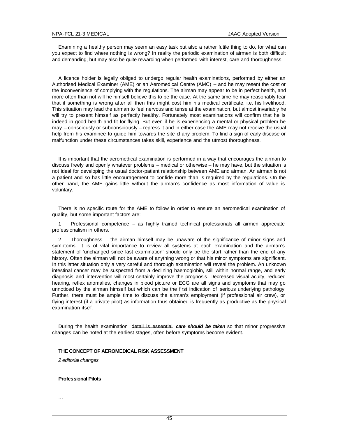Examining a healthy person may seem an easy task but also a rather futile thing to do, for what can you expect to find where nothing is wrong? In reality the periodic examination of airmen is both difficult and demanding, but may also be quite rewarding when performed with interest, care and thoroughness.

A licence holder is legally obliged to undergo regular health examinations, performed by either an Authorised Medical Examiner (AME) or an Aeromedical Centre (AMC) – and he may resent the cost or the inconvenience of complying with the regulations. The airman may appear to be in perfect health, and more often than not will he himself believe this to be the case. At the same time he may reasonably fear that if something is wrong after all then this might cost him his medical certificate, i.e. his livelihood. This situation may lead the airman to feel nervous and tense at the examination, but almost invariably he will try to present himself as perfectly healthy. Fortunately most examinations will confirm that he is indeed in good health and fit for flying. But even if he is experiencing a mental or physical problem he may – consciously or subconsciously – repress it and in either case the AME may not receive the usual help from his examinee to guide him towards the site of any problem. To find a sign of early disease or malfunction under these circumstances takes skill, experience and the utmost thoroughness.

It is important that the aeromedical examination is performed in a way that encourages the airman to discuss freely and openly whatever problems – medical or otherwise – he may have, but the situation is not ideal for developing the usual doctor-patient relationship between AME and airman. An airman is not a patient and so has little encouragement to confide more than is required by the regulations. On the other hand, the AME gains little without the airman's confidence as most information of value is voluntary.

There is no specific route for the AME to follow in order to ensure an aeromedical examination of quality, but some important factors are:

1 Professional competence – as highly trained technical professionals all airmen appreciate professionalism in others.

2 Thoroughness – the airman himself may be unaware of the significance of minor signs and symptoms. It is of vital importance to review all systems at each examination and the airman's statement of 'unchanged since last examination' should only be the start rather than the end of any history. Often the airman will not be aware of anything wrong or that his minor symptoms are significant. In this latter situation only a very careful and thorough examination will reveal the problem. An unknown intestinal cancer may be suspected from a declining haemoglobin, still within normal range, and early diagnosis and intervention will most certainly improve the prognosis. Decreased visual acuity, reduced hearing, reflex anomalies, changes in blood picture or ECG are all signs and symptoms that may go unnoticed by the airman himself but which can be the first indication of serious underlying pathology. Further, there must be ample time to discuss the airman's employment (if professional air crew), or flying interest (if a private pilot) as information thus obtained is frequently as productive as the physical examination itself.

During the health examination detail is essential *care should be taken* so that minor progressive changes can be noted at the earliest stages, often before symptoms become evident.

#### **THE CONCEPT OF AEROMEDICAL RISK ASSESSMENT**

*2 editorial changes*

# **Professional Pilots**

...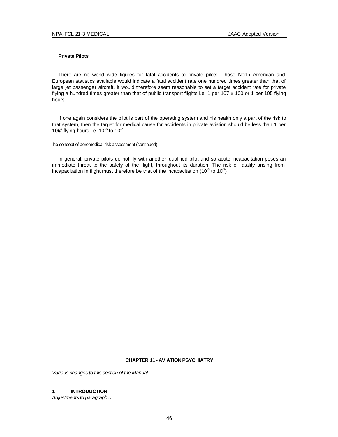# **Private Pilots**

There are no world wide figures for fatal accidents to private pilots. Those North American and European statistics available would indicate a fatal accident rate one hundred times greater than that of large jet passenger aircraft. It would therefore seem reasonable to set a target accident rate for private flying a hundred times greater than that of public transport flights i.e. 1 per 107 x 100 or 1 per 105 flying hours.

If one again considers the pilot is part of the operating system and his health only a part of the risk to that system, then the target for medical cause for accidents in private aviation should be less than 1 per 106<sup>6</sup> flying hours i.e.  $10^{-6}$  to  $10^{-7}$ .

#### The concept of aeromedical risk assessment (continued)

In general, private pilots do not fly with another qualified pilot and so acute incapacitation poses an immediate threat to the safety of the flight, throughout its duration. The risk of fatality arising from incapacitation in flight must therefore be that of the incapacitation (10<sup>-6</sup> to 10<sup>-7</sup>).

# **CHAPTER 11 - AVIATION PSYCHIATRY**

*Various changes to this section of the Manual*

# **1 INTRODUCTION**

*Adjustments to paragraph c*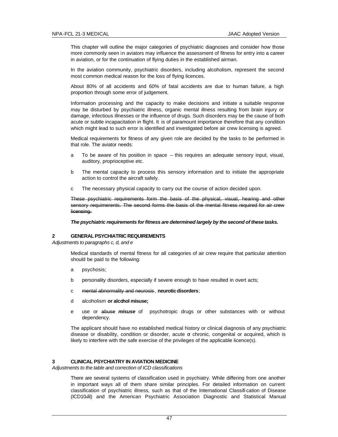This chapter will outline the major categories of psychiatric diagnoses and consider how those more commonly seen in aviators may influence the assessment of fitness for entry into a career in aviation, or for the continuation of flying duties in the established airman.

In the aviation community, psychiatric disorders, including alcoholism, represent the second most common medical reason for the loss of flying licences.

About 80% of all accidents and 60% of fatal accidents are due to human failure, a high proportion through some error of judgement.

Information processing and the capacity to make decisions and initiate a suitable response may be disturbed by psychiatric illness, organic mental illness resulting from brain injury or damage, infectious illnesses or the influence of drugs. Such disorders may be the cause of both acute or subtle incapacitation in flight. It is of paramount importance therefore that any condition which might lead to such error is identified and investigated before air crew licensing is agreed.

Medical requirements for fitness of any given role are decided by the tasks to be performed in that role. The aviator needs:

- a To be aware of his position in space this requires an adequate sensory input, visual, auditory, proprioceptive etc.
- b The mental capacity to process this sensory information and to initiate the appropriate action to control the aircraft safely.
- c The necessary physical capacity to carry out the course of action decided upon.

These psychiatric requirements form the basis of the physical, visual, hearing and other sensory requimerents. The second forms the basis of the mental fitness required for air crew licensing.

*The psychiatric requirements for fitness are determined largely by the second of these tasks.*

# **2 GENERAL PSYCHIATRIC REQUIREMENTS**

*Adjustments to paragraphs c, d, and e*

Medical standards of mental fitness for all categories of air crew require that particular attention should be paid to the following:

- a psychosis;
- b personality disorders, especially if severe enough to have resulted in overt acts;
- c mental abnormality and neurosis , **neurotic disorders**;
- d alcoholism **or alcohol misuse;**
- e use or abuse *misuse* of psychotropic drugs or other substances with or without dependency.

The applicant should have no established medical history or clinical diagnosis of any psychiatric disease or disability, condition or disorder, acute  $\sigma$  chronic, congenital or acquired, which is likely to interfere with the safe exercise of the privileges of the applicable licence(s).

# **3 CLINICAL PSYCHIATRY IN AVIATION MEDICINE**

*Adjustments to the table and correction of ICD classifications*

There are several systems of classification used in psychiatry. While differing from one another in important ways all of them share similar principles. For detailed information on current classification of psychiatric illness, such as that of the International Classifi cation of Disease (ICD10-R) and the American Psychiatric Association Diagnostic and Statistical Manual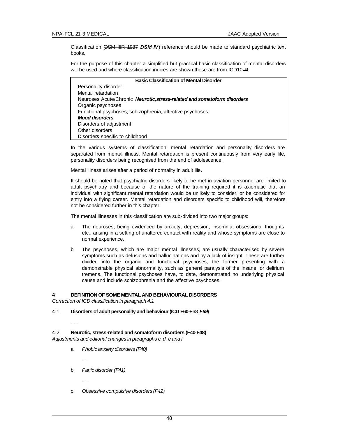Classification (DSM IIIR 1987 *DSM IV*) reference should be made to standard psychiatric text books.

For the purpose of this chapter a simplified but practical basic classification of mental disorder*s* will be used and where classification indices are shown these are from ICD10-R.

| <b>Basic Classification of Mental Disorder</b>                           |
|--------------------------------------------------------------------------|
| Personality disorder                                                     |
| Mental retardation                                                       |
| Neuroses Acute/Chronic Neurotic, stress-related and somatoform disorders |
| Organic psychoses                                                        |
| Functional psychoses, schizophrenia, affective psychoses                 |
| <b>Mood disorders</b>                                                    |
| Disorders of adjustment                                                  |
| Other disorders                                                          |
| Disorders specific to childhood                                          |

In the various systems of classification, mental retardation and personality disorders are separated from mental illness. Mental retardation is present continuously from very early life, personality disorders being recognised from the end of adolescence.

Mental illness arises after a period of normality in adult life.

It should be noted that psychiatric disorders likely to be met in aviation personnel are limited to adult psychiatry and because of the nature of the training required it is axiomatic that an individual with significant mental retardation would be unlikely to consider, or be considered for entry into a flying career. Mental retardation and disorders specific to childhood will, therefore not be considered further in this chapter.

The mental illnesses in this classification are sub-divided into two major groups:

- a The neuroses, being evidenced by anxiety, depression, insomnia, obsessional thoughts etc., arising in a setting of unaltered contact with reality and whose symptoms are close to normal experience.
- b The psychoses, which are major mental illnesses, are usually characterised by severe symptoms such as delusions and hallucinations and by a lack of insight. These are further divided into the organic and functional psychoses, the former presenting with a demonstrable physical abnormality, such as general paralysis of the insane, or delirium tremens. The functional psychoses have, to date, demonstrated no underlying physical cause and include schizophrenia and the affective psychoses.

# **4 DEFINITION OF SOME MENTAL AND BEHAVIOURAL DISORDERS**

*Correction of ICD classification in paragraph 4.1*

4.1 **Disorders of adult personality and behaviour (ICD F60-**F68 *F69***)**

.....

## 4.2 **Neurotic, stress-related and somatoform disorders (F40-F48)** *Adjustments and editorial changes in paragraphs c, d, e and f*

- a *Phobic anxiety disorders (F40)*
- b *Panic disorder (F41)*

*......*

c *Obsessive compulsive disorders (F42)*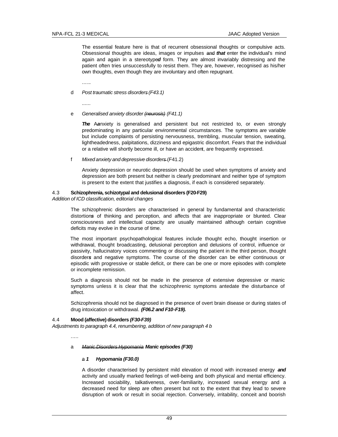The essential feature here is that of recurrent obsessional thoughts or compulsive acts. Obsessional thoughts are ideas, images or impulses and *that* enter the individual's mind again and again in a stereotype*d* form. They are almost invariably distressing and the patient often tries unsuccessfully to resist them. They are, however, recognised as his/her own thoughts, even though they are involuntary and often repugnant.

......

d *Post traumatic stress disorders (F43.1)*

......

e *Generalised anxiety disorder (neurosis) (F41.1)*

**The** Aanxiety is generalised and persistent but not restricted to, or even strongly predominating in any particular environmental circumstances. The symptoms are variable but include complaints of persisting nervousness, trembling, muscular tension, sweating, lightheadedness, palpitations, dizziness and epigastric discomfort. Fears that the individual or a relative will shortly become ill, or have an accident, are frequently expressed.

f *Mixed anxiety and depressive disorders* (F41.2)

Anxiety depression or neurotic depression should be used when symptoms of anxiety and depression are both present but neither is clearly predominant and neither type of symptom is present to the extent that justifies a diagnosis, if each is considered separately.

### 4.3 **Schizophrenia, schizotypal and delusional disorders (F20-F29)**

#### *Addition of ICD classification, editorial changes*

The schizophrenic disorders are characterised in general by fundamental and characteristic distortion*s* of thinking and perception, and affects that are inappropriate or blunted. Clear consciousness and intellectual capacity are usually maintained although certain cognitive deficits may evolve in the course of time.

The most important psychopathological features include thought echo, thought insertion or withdrawal, thought broadcasting, delusional perception and delusions of control, influence or passivity, hallucinatory voices commenting or discussing the patient in the third person, thought disorder*s* and negative symptoms. The course of the disorder can be either continuous or episodic with progressive or stable deficit, or there can be one or more episodes with complete or incomplete remission.

Such a diagnosis should not be made in the presence of extensive depressive or manic symptoms unless it is clear that the schizophrenic symptoms antedate the disturbance of affect.

Schizophrenia should not be diagnosed in the presence of overt brain disease or during states of drug intoxication or withdrawal. *(F06.2 and F10-F19).*

# 4.4 **Mood (affective) disorders** *(F30-F39)*

*Adjustments to paragraph 4.4, renumbering, addition of new paragraph 4 b*

.....

# a *Manic Disorders Hypomania Manic episodes (F30)*

# a *1 Hypomania (F30.0)*

A disorder characterised by persistent mild elevation of mood with increased energy *and* activity and usually marked feelings of well-being and both physical and mental efficiency. Increased sociability, talkativeness, over-familiarity, increased sexual energy and a decreased need for sleep are often present but not to the extent that they lead to severe disruption of work or result in social rejection. Conversely, irritability, conceit and boorish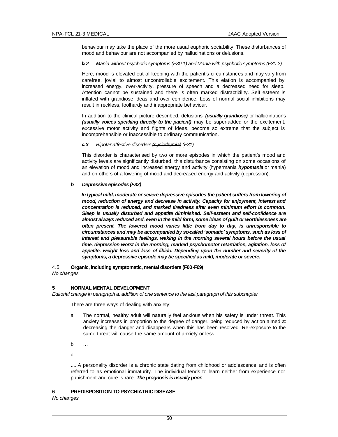behaviour may take the place of the more usual euphoric sociability. These disturbances of mood and behaviour are not accompanied by hallucinations or delusions.

# b *2 Mania without psychotic symptoms (F30.1) and Mania with psychotic symptoms (F30.2)*

Here, mood is elevated out of keeping with the patient's circumstances and may vary from carefree, jovial to almost uncontrollable excitement. This elation is accompanied by increased energy, over-activity, pressure of speech and a decreased need for sleep. Attention cannot be sustained and there is often marked distractibility. Self esteem is inflated with grandiose ideas and over confidence. Loss of normal social inhibitions may result in reckless, foolhardy and inappropriate behaviour.

In addition to the clinical picture described, delusions *(usually grandiose)* or halluc inations *(usually voices speaking directly to the pacient)* may be super-added or the excitement, excessive motor activity and flights of ideas, become so extreme that the subject is incomprehensible or inaccessible to ordinary communication.

# c *3 Bipolar affective disorders (cyclothymia) (F31)*

This disorder is characterised by two or more episodes in which the patient's mood and activity levels are significantly disturbed, this disturbance consisting on some occasions of an elevation of mood and increased energy and activity (hypermania *hypomania* or mania) and on others of a lowering of mood and decreased energy and activity (depression).

# *b Depressive episodes (F32)*

*In typical mild, moderate or severe depressive episodes the patient suffers from lowering of mood, reduction of energy and decrease in activity. Capacity for enjoyment, interest and concentration is reduced, and marked tiredness after even minimum effort is common. Sleep is usually disturbed and appetite diminished. Self-esteem and self-confidence are almost always reduced and, even in the mild form, some ideas of guilt or worthlessness are often present. The lowered mood varies little from day to day, is unresponsible to circumstances and may be accompanied by so-called 'somatic' symptoms, such as loss of interest and pleasurable feelings, waking in the morning several hours before the usual time, depression worst in the morning, marked psychomotor retardation, agitation, loss of appetite, weight loss and loss of libido. Depending upon the number and severity of the symptoms, a depressive episode may be specified as mild, moderate or severe.*

4.5 **Organic, including symptomatic, mental disorders (F00-F09)** *No changes*

# **5 NORMAL MENTAL DEVELOPMENT**

*Editorial change in paragraph a, addition of one sentence to the last paragraph of this subchapter*

There are three ways of dealing with anxiety:

- a The normal, healthy adult will naturally feel anxious when his safety is under threat. This anxiety increases in proportion to the degree of danger, being reduced by action aimed at decreasing the danger and disappears when this has been resolved. Re-exposure to the same threat will cause the same amount of anxiety or less.
- b ...
- c .....

.....A personality disorder is a chronic state dating from childhood or adolescence and is often referred to as emotional immaturity. The individual tends to learn neither from experience nor punishment and cure is rare. *The prognosis is usually poor.*

# **6 PREDISPOSITION TO PSYCHIATRIC DISEASE**

*No changes*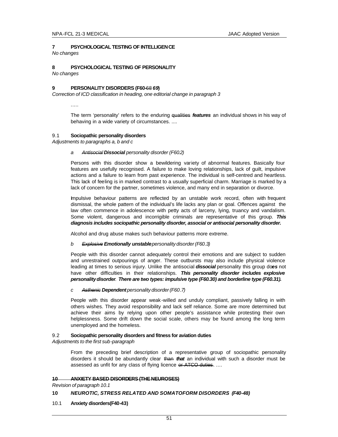# **7 PSYCHOLOGICAL TESTING OF INTELLIGENCE**

*No changes*

### **8 PSYCHOLOGICAL TESTING OF PERSONALITY** *No changes*

# **9 PERSONALITY DISORDERS (F60-**68 *69***)**

*Correction of ICD classification in heading, one editorial change in paragraph 3*

.....

The term 'personality' refers to the enduring qualities *features* an individual shows in his way of behaving in a wide variety of circumstances. ....

# 9.1 **Sociopathic personality disorders**

*Adjustments to paragraphs a, b and c*

# *a Antisocial Dissocial personality disorder (F60.2)*

Persons with this disorder show a bewildering variety of abnormal features. Basically four features are usefully recognised. A failure to make loving relationships, lack of guilt, impulsive actions and a failure to learn from past experience. The individual is self-centred and heartless. This lack of feeling is in marked contrast to a usually superficial charm. Marriage is marked by a lack of concern for the partner, sometimes violence, and many end in separation or divorce.

Impulsive behaviour patterns are reflected by an unstable work record, often with frequent dismissal, the whole pattern of the individual's life lacks any plan or goal. Offences against the law often commence in adolescence with petty acts of larceny, lying, truancy and vandalism. Some violent, dangerous and incorrigible criminals are representative of this group. *This diagnosis includes sociopathic personality disorder, associal or antisocial personality disorder.*

Alcohol and drug abuse makes such behaviour patterns more extreme.

# *b Explosive Emotionally unstable personality disorder(F60.3)*

People with this disorder cannot adequately control their emotions and are subject to sudden and unrestrained outpourings of anger. These outbursts may also include physical violence leading at times to serious injury. Unlike the antisocial *dissocial* personality this group do*es* not have other difficulties in their relationships. *This personality disorder includes explosive personality disorder*. *There are two types: impulsive type (F60.30) and borderline type (F60.31).*

# *c Asthenic Dependent personality disorder (F60.7)*

People with this disorder appear weak -willed and unduly compliant, passively falling in with others wishes. They avoid responsibility and lack self reliance. Some are more determined but achieve their aims by relying upon other people's assistance while protesting their own helplessness. Some drift down the social scale, others may be found among the long term unemployed and the homeless.

# 9.2 **Sociopathic personality disorders and fitness for aviation duties**

*Adjustments to the first sub-paragraph*

From the preceding brief description of a representative group of sociopathic personality disorders it should be abundantly clear than *that* an individual with such a disorder must be assessed as unfit for any class of flying licence or ATCO duties. ....

# **10 ANXIETY BASED DISORDERS (THE NEUROSES)**

*Revision of paragraph 10.1*

# **10** *NEUROTIC, STRESS RELATED AND SOMATOFORM DISORDERS (F40-48)*

10.1 **Anxiety disorders(F40-43)**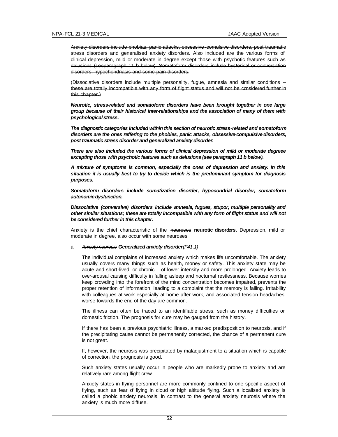Anxiety disorders include phobias, panic attacks, obsessive -comulsive disorders, post traumatic stress disorders and generalised anxiety disorders. Also included are the various forms of clinical depression, mild or moderate in degree except those with psychotic features such as delusions (seeparagraph 11 b below). Somatoform disorders include hysterical or conversation disorders, hypochondriasis and some pain disorders.

(Dissociative disorders include multiple personality, fugue, amnesia and similar conditions – these are totally incompatible with any form of flight status and will not be considered further in this chapter.)

*Neurotic, stress-related and somatoform disorders have been brought together in one large group because of their historical inter-relationships and the association of many of them with psychological stress.*

*The diagnostic categories included within this section of neurotic stress-related and somatoform disorders are the ones reffering to the phobies, panic attacks, obsessive-compulsive disorders, post traumatic stress disorder and generalized anxiety disorder.*

*There are also included the various forms of clinical depression of mild or moderate degreee excepting those with psychotic features such as delusions (see paragraph 11 b below).*

*A mixture of symptoms is common, especially the ones of depression and anxiety. In this situation it is usually best to try to decide which is the predominant symptom for diagnosis purposes.*

*Somatoform disorders include somatization disorder, hypocondrial disorder, somatoform autonomic dysfunction.*

*Dissociative (conversive) disorders include amnesia, fugues, stupor, multiple personality and other similar situations; these are totally incompatible with any form of flight status and will not be considered further in this chapter.*

Anxiety is the chief characteristic of the neuroses **neurotic disorders**. Depression, mild or moderate in degree, also occur with some neuroses.

#### a *Anxiety neurosis Generalized anxiety disorder (F41.1)*

The individual complains of increased anxiety which makes life uncomfortable. The anxiety usually covers many things such as health, money or safety. This anxiety state may be acute and short-lived, or chronic – of lower intensity and more prolonged. Anxiety leads to over-arousal causing difficulty in falling asleep and nocturnal restlessness. Because worries keep crowding into the forefront of the mind concentration becomes impaired, prevents the proper retention of information, leading to a complaint that the memory is failing. Irritability with colleagues at work especially at home after work, and associated tension headaches, worse towards the end of the day are common.

The illness can often be traced to an identifiable stress, such as money difficulties or domestic friction. The prognosis for cure may be gauged from the history.

If there has been a previous psychiatric illness, a marked predisposition to neurosis, and if the precipitating cause cannot be permanently corrected, the chance of a permanent cure is not great.

If, however, the neurosis was precipitated by maladjustment to a situation which is capable of correction, the prognosis is good.

Such anxiety states usually occur in people who are markedly prone to anxiety and are relatively rare among flight crew.

Anxiety states in flying personnel are more commonly confined to one specific aspect of flying, such as fear of flying in cloud or high altitude flying. Such a localised anxiety is called a phobic anxiety neurosis, in contrast to the general anxiety neurosis where the anxiety is much more diffuse.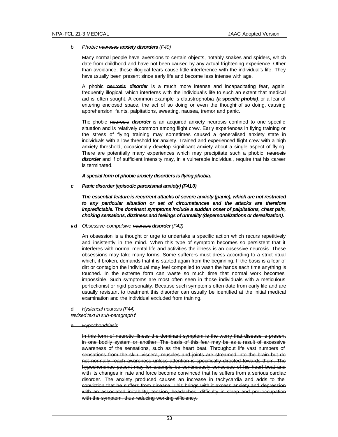### b *Phobic neuroses anxiety disorders (F40)*

Many normal people have aversions to certain objects, notably snakes and spiders, which date from childhood and have not been caused by any actual frightening experience. Other than avoidance, these illogical fears cause little interference with the individual's life. They have usually been present since early life and become less intense with age.

A phobic neurosis *disorder* is a much more intense and incapacitating fear, again frequently illogical, which interferes with the individual's life to such an extent that medical aid is often sought. A common example is claustrophobia *(a specific phobia)*, or a fear of entering enclosed space, the act of so doing or even the though*t* of so doing, causing apprehension, faints, palpitations, sweating, nausea, tremor and panic.

The phobic neurosis *disorder* is an acquired anxiety neurosis confined to one specific situation and is relatively common among flight crew. Early experiences in flying training or the stress of flying training may sometimes caused a generalised anxiety state in individuals with a low threshold for anxiety. Trained and experienced flight crew with a high anxiety threshold, occasionally develop significant anxiety about a single aspect of flying. There are potentially many experiences which may precipitate such a phobic neurosis *disorder* and if of sufficient intensity may, in a vulnerable individual, require that his career is terminated.

### *A special form of phobic anxiety disorders is flying phobia***.**

*c Panic disorder (episodic paroxismal anxiety) (F41.0)*

*The essential feature is recurrent attacks of severe anxiety (panic), which are not restricted to any particular situation or set of circumstances and the attacks are therefore impredictable. The dominant symptoms include a sudden onset of palpitations, chest pain, choking sensations, dizziness and feelings of unreality (depersonalizations or derealization).*

*c d Obsessive-compulsive neurosis disorder (F42)*

An obsession is a thought or urge to undertake a specific action which recurs repetitively and insistently in the mind. When this type of symptom becomes so persistent that it interferes with normal mental life and activities the illness is an obsessive neurosis. These obsessions may take many forms. Some sufferers must dress according to a strict ritual which, if broken, demands that it is started again from the beginning. If the basis is a fear of dirt or contagion the individual may feel compelled to wash the hands each time anything is touched. In the extreme form can waste so much time that normal work becomes impossible. Such symptoms are most often seen in those individuals with a meticulous perfectionist or rigid personality. Because such symptoms often date from early life and are usually resistant to treatment this disorder can usually be identified at the initial medical examination and the individual excluded from training.

# d *Hysterical neurosis (F44)*

*revised text in sub-paragraph f* 

e *Hypochondriasis*

In this form of neurotic illness the dominant symptom is the worry that disease is present in one bodily system or another. The basis of this fear may be as a result of excessive awareness of the sensations, such as the heart beat. Throughout life vast numbers of sensations from the skin, viscera, muscles and joints are streamed into the brain but do not normally reach awareness unless attention is specifically directed towards them. The hypochondriac patient may for example be continuously conscious of his heart beat and with its changes in rate and force become convinced that he suffers from a serious cardiac disorder. The anxiety produced causes an increase in tachycardia and adds to the conviction that he suffers from disease. This brings with it excess anxiety and depression with an associated irritability, tension, headaches, difficulty in sleep and pre-occupation with the symptom, thus reducing working efficiency.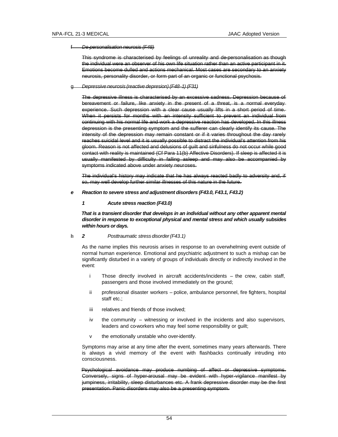#### f *De-personalisation neurosis (F48)*

This syndrome is characterised by feelings of unreality and de-personalisation as though the individual were an observer of his own life situation rather than an active participant in it. Emotions become dulled and actions mechanical. Most cases are secondary to an anxiety neurosis, personality disorder, or form part of an organic or functional psychosis.

#### g *Depressive neurosis (reactive depresion) (F48-1) (F31)*

The depressive illness is characterised by an excessive sadness. Depression because of bereavement or failure, like anxiety in the present of a threat, is a normal everyday experience. Such depression with a clear cause usually lifts in a short period of time. When it persists for months with an intensity sufficient to prevent an individual from continuing with his normal life and work a depressive reaction has developed. In this illness depression is the presenting symptom and the sufferer can clearly identify its cause. The intensity of the depression may remain constant or if it varies throughout the day rarely reaches suicidal level and it is usually possible to distract the individual's attention from his gloom. Reason is not affected and delusions of guilt and sinfulness do not occur while good contact with reality is maintained (Cf Para 11(b) Affective Disorders). If sleep is affected it is usually manifested by difficulty in falling asleep and may also be accompanied by symptoms indicated above under anxiety neuroses.

The individual's history may indicate that he has always reacted badly to adversity and, if so, may well develop further similar illnesses of this nature in the future.

#### *e Reaction to severe stress and adjustment disorders (F43.0, F43.1, F43.2)*

# *1 Acute stress reaction (F43.0)*

*That is a transient disorder that develops in an individual without any other apparent mental disorder in response to exceptional physical and mental stress and which usually subsides within hours or days.*

# h *2 Posttraumatic stress disorder (F43.1)*

As the name implies this neurosis arises in response to an overwhelming event outside of normal human experience. Emotional and psychiatric adjustment to such a mishap can be significantly disturbed in a variety of groups of individuals directly or indirectly involved in the event:

- i Those directly involved in aircraft accidents/incidents the crew, cabin staff, passengers and those involved immediately on the ground;
- ii professional disaster workers police, ambulance personnel, fire fighters, hospital staff etc.;
- iii relatives and friends of those involved;
- iv the community witnessing or involved in the incidents and also supervisors, leaders and co-workers who may feel some responsibility or guilt;
- the emotionally unstable who over-identify.

Symptoms may arise at any time after the event, sometimes many years afterwards. There is always a vivid memory of the event with flashbacks continually intruding into consciousness.

Psychological avoidance may produce numbing of affect or depressive symptoms. Conversely, signs of hyper-arousal may be evident with hyper-vigilance manifest by jumpiness, irritability, sleep disturbances etc. A frank depressive disorder may be the first presentation. Panic disorders may also be a presenting symptom.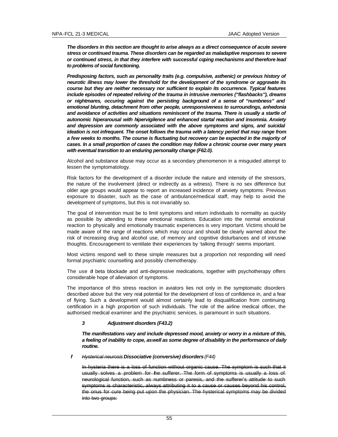*The disorders in this section are thought to arise always as a direct consequence of acute severe stress or continued trauma. These disorders can be regarded as maladaptive responses to severe or continued stress, in that they interfere with successful coping mechanisms and therefore lead to problems of social functioning.*

*Predisposing factors, such as personality traits (e.g. compulsive, asthenic) or previous history of neurotic illness may lower the threshold for the development of the syndrome or aggravate its course but they are neither necessary nor sufficient to explain its occurrence. Typical features include episodes of repeated reliving of the trauma in intrusive memories ("flashbacks"), dreams or nightmares, occuring against the persisting background of a sense of "numbness" and emotional blunting, detachment from other people, unresponsiveness to surroundings, anhedonia and avoidance of activities and situations reminiscent of the trauma. There is usually a startle of autonomic hiperarousal with hipervigilence and enhanced startal reaction and insomnia. Anxiety and depression are commonly associated with the above symptoms and signs, and suicidal ideation is not infrequent. The onset follows the trauma with a latency period that may range from a few weeks to months. The course is fluctuating but recovery can be expected in the majority of cases. In a small proportion of cases the condition may follow a chronic course over many years with eventual transition to an enduring personality change (F62.0).*

Alcohol and substance abuse may occur as a secondary phenomenon in a misguided attempt to lessen the symptomatology.

Risk factors for the development of a disorder include the nature and intensity of the stressors, the nature of the involvement (direct or indirectly as a witness). There is no sex difference but older age groups would appear to report an increased incidence of anxiety symptoms. Previous exposure to disaster, such as the case of ambulance/medical staff, may help to avoid the development of symptoms, but this is not invariably so.

The goal of intervention must be to limit symptoms and return individuals to normality as quickly as possible by attending to these emotional reactions. Education into the normal emotional reaction to physically and emotionally traumatic experiences is very important. Victims should be made aware of the range of reactions which may occur and should be clearly warned about the risk of increasing drug and alcohol use, of memory and cognitive disturbances and of intrusive thoughts. Encouragement to ventilate their experiences by 'talking through' seems important.

Most victims respond well to these simple measures but a proportion not responding will need formal psychiatric counselling and possibly chemotherapy.

The use of beta blockade and anti-depressive medications, together with psychotherapy offers considerable hope of alleviation of symptoms.

The importance of this stress reaction in aviators lies not only in the symptomatic disorders described above but the very real potential for the development of loss of confidence in, and a fear of flying. Such a development would almost certainly lead to disqualification from continuing certification in a high proportion of such individuals. The role of the airline medical officer, the authorised medical examiner and the psychiatric services, is paramount in such situations.

# *3 Adjustment disorders (F43.2)*

*The manifestations vary and include depressed mood, anxiety or worry in a mixture of this, a feeling of inability to cope, as well as some degree of disability in the performance of daily routine.*

*f Hysterical neurosis Dissociative (conversive) disorders (F44)*

In hysteria there is a loss of function without organic cause. The symptom is such that it usually solves a problem for the sufferer. The form of symptoms is usually a loss of neurological function, such as numbness or paresis, and the sufferer's attitude to such symptoms is characteristic, always attributing it to a cause or causes beyond his control, the onus for cure being put upon the physician. The hysterical symptoms may be divided into two groups: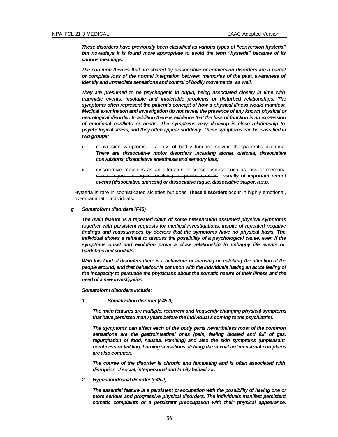*These disorders have previously been classified as various types of "conversion hysteria" but nowadays it is found more appropriate to avoid the term "hysteria" because of its various meanings.* 

*The common themes that are shared by dissociative or conversion disorders are a partial or complete loss of the normal integration between memories of the past, awareness of identify and immediate sensations and control of bodily movements, as well.*

*They are presumed to be psychogenic in origin, being associated closely in time with traumatic events, insoluble and intolerable problems or disturbed relationships. The symptoms often represent the patient's concept of how a physical illness would manifest. Medical examination and investigation do not reveal the presence of any known physical or neurological disorder. In addition there is evidence that the loss of function is an expression of emotional conflicts or needs. The symptoms may develop in close relationship to psychological stress, and they often appear suddenly. These symptoms can be classified in two groups:*

- i conversion symptoms a loss of bodily function solving the pacient's dilemma*. There are dissociative motor disorders including afonia, disfonia; dissociative convulsions, dissociative anesthesia and sensory loss;*
- ii dissociative reactions as an alteration of consciousness such as loss of memory $<sub>7</sub>$ </sub> coma, fugue etc. again resolving a specific conflict*. usually of important recent events (dissociative amnesia) or dissociative fugue, dissociative stupor, a.s.o.*

Hysteria is rare in sophisticated sicieties but does **These dissorders** occur in highly emotional, over-drammatic individuals**.**

*g Somatoform disorders (F45)*

*The main feature is a repeated claim of some presentation assumed physical symptoms together with persistent requests for medical investigations, inspite of repeated negative findings and reassurances by doctors that the symptoms have no physical basis. The individual shows a refusal to discuss the possibility of a psychological cause, even if the symptoms onset and evolution prove a close relationship to unhappy life events or hardships and conflicts.*

*With this kind of disorders there is a behaviour or focusing on catching the attention of the people around; and that behaviour is common with the individuals having an acute feeling of the incapacity to persuade the physicians about the somatic nature of their illness and the need of a new investigation.*

*Somatoform disorders include:*

*1 Somatization disorder (F45.0)*

*The main features are multiple, recurrent and frequently changing physical symptoms that have persisted many years before the individual's coming to the psychiatrist.*

*The symptoms can affect each of the body parts nevertheless most of the common sensations are the gastrointestinal ones (pain, feeling bloated and full of gas, regurgitation of food, nausea, vomiting) and also the skin symptoms (unpleasant numbness or tinkling, burning sensations, itching) the sexual andmenstrual complains are also common.* 

*The course of the disorder is chronic and fluctuating and is often associated with disruption of social, interpersonal and family behaviour.*

*2 Hypochondriacal disorder (F45.2)*

*The essential feature is a persistent preocupation with the possibility of having one or more serious and progressive physical disorders. The individuals manifest persistent somatic complaints or a persistent preocupation with their physical appearance.*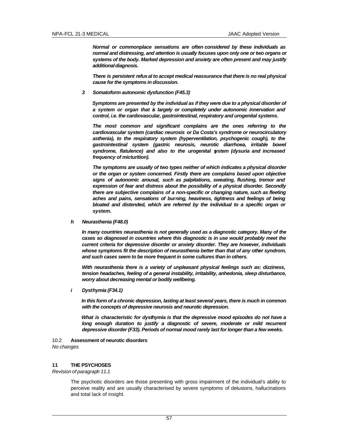*Normal or commonplace sensations are often considered by these individuals as normal and distressing, and attention is usually focuses upon only one or two organs or systems of the body. Marked depression and anxiety are often present and may justify additional diagnosis.*

*There is persistent refusal to accept medical reassurance that there is no real physical cause for the symptoms in discussion.*

*3 Somatoform autonomic dysfunction (F45.3)*

*Symptoms are presented by the individual as if they were due to a physical disorder of a system or organ that is largely or completely under autonomic innervation and control, i.e. the cardiovascular, gastrointestinal, respiratory and urogenital systems.* 

*The most common and significant complains are the ones referring to the cardiovascular system (cardiac neurosis or Da Costa's syndrome or neurocirculatory asthenia), to the respiratory system (hyperventilation, psychogenic cough), to the gastrointestinal system (gastric neurosis, neurotic diarrhoea, irritable bowel syndrome, flatulence) and also to the urogenital system (dysuria and increased frequency of micturition).*

*The symptoms are usually of two types neither of which indicates a physical disorder or the organ or system concerned. Firstly there are complains based upon objective signs of autonomic arousal, such as palpitations, sweating, flushing, tremor and expression of fear and distress about the possibility of a physical disorder. Secondly there are subjective complains of a non-specific or changing nature, such as fleeting aches and pains, sensations of burning, heaviness, tightness and feelings of being bloated and distended, which are referred by the individual to a specific organ or system.*

*h Neurasthenia (F48.0)*

*In many countries neurasthenia is not generally used as a diagnostic category. Many of the cases so diagnosed in countries where this diagnostic is in use would probably meet the current criteria for depressive disorder or anxiety disorder. They are however, individuals whose symptoms fit the description of neurasthenia better than that of any other syndrom, and such cases seem to be more frequent in some cultures than in others.*

*With neurasthenia there is a variety of unpleasant physical feelings such as: dizziness, tension headaches, feeling of a general instability, irritability, anhedonia, sleep disturbance, worry about decreasing mental or bodily wellbeing.*

*i Dysthymia (F34.1)*

*In this form of a chronic depression, lasting at least several years, there is much in common with the concepts of depressive neurosis and neurotic depression.*

*What is characteristic for dysthymia is that the depressive mood episodes do not have a long enough duration to justify a diagnostic of severe, moderate or mild recurrent depressive disorder (F33). Periods of normal mood rarely last for longer than a few weeks.*

### 10.2 **Assessment of neurotic disorders** *No changes*

### **11 THE PSYCHOSES**

*Revision of paragraph 11.1*

The psychotic disorders are those presenting with gross impairment of the individual's ability to perceive reality and are usually characterised by severe symptoms of delusions, hallucinations and total lack of insight.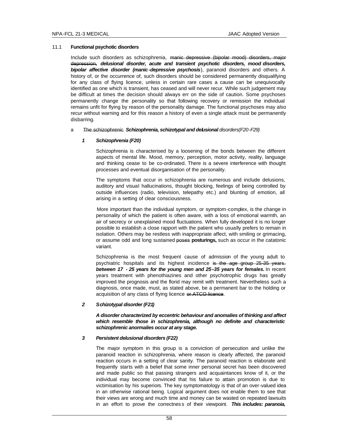### 11.1 **Functional psychotic disorders**

Include such disorders as schizophrenia, manic depressive (bipolar mood) disorders, major depression, *delusional disorder, acute and transient psychotic disorders, mood disorders, bipolar affective disorder (manic-depressive psychosis*), paranoid disorders and others. A history of, or the occurrence of, such disorders should be considered permanently disqualifying for any class of flying licence, unless in certain rare cases a cause can be unequivocally identified as one which is transient, has ceased and will never recur. While such judgement may be difficult at times the decision should always err on the side of caution. Some psychoses permanently change the personality so that following recovery or remission the individual remains unfit for flying by reason of the personality damage. The functional psychoses may also recur without warning and for this reason a history of even a single attack must be permanently disbarring.

#### a The schizophrenic *Schizophrenia, schizotypal and delusional disorders(F20-F29)*

# *1 Schizophrenia (F20)*

Schizophrenia is characterised by a loosening of the bonds between the different aspects of mental life. Mood, memory, perception, motor activity, reality, language and thinking cease to be co-ordinated. There is a severe interference with thought processes and eventual disorganisation of the personality.

The symptoms that occur in schizophrenia are numerous and include delusions, auditory and visual hallucinations, thought blocking, feelings of being controlled by outside influences (radio, television, telepathy etc.) and blunting of emotion, all arising in a setting of clear consciousness.

More important than the individual symptom, or symptom-complex, is the change in personality of which the patient is often aware, with a loss of emotional warmth, an air of secrecy or unexplained mood fluctuations. When fully developed it is no longer possible to establish a close rapport with the patient who usually prefers to remain in isolation. Others may be restless with inappropriate affect, with smiling or grimacing, or assume odd and long sustained poses **posturings,** such as occur in the catatonic variant.

Schizophrenia is the most frequent cause of admission of the young adult to psychiatric hospitals and its highest incidence is the age group 25-35 years. *between 17 - 25 years for the young men and 25–35 years for females.* In recent years treatment with phenothiazines and other psychotrophic drugs has greatly improved the prognosis and the florid may remit with treatment. Nevertheless such a diagnosis, once made, must, as stated above, be a permanent bar to the holding or acquisition of any class of flying licence or ATCO licence.

# *2 Schizotypal disorder (F21)*

*A disorder characterized by eccentric behaviour and anomalies of thinking and affect which resemble those in schizophrenia, although no definite and characteristic schizophrenic anormalies occur at any stage.*

# *3 Persistent delusional disorders (F22)*

The major symptom in this group is a conviction of persecution and unlike the paranoid reaction in schizophrenia, where reason is clearly affected, the paranoid reaction occurs in a setting of clear sanity. The paranoid reaction is elaborate and frequently starts with a belief that some inner personal secret has been discovered and made public so that passing strangers and acquaintances know of it, or the individual may become convinced that his failure to attain promotion is due to victimisation by his superiors. The key symptomatology is that of an over-valued idea in an otherwise rational being. Logical argument does not enable them to see that their views are wrong and much time and money can be wasted on repeated lawsuits in an effort to prove the correctnes s of their viewpoint. *This includes: paranoia,*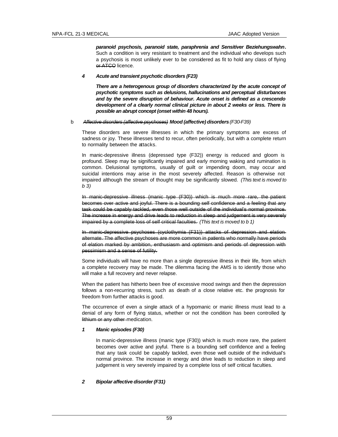*paranoid psychosis, paranoid state, paraphrenia and Sensitiver Beziehungswahn***.** Such a condition is very resistant to treatment and the individual who develops such a psychosis is most unlikely ever to be considered as fit to hold any class of flying or ATCO licence.

# *4 Acute and transient psychotic disorders (F23)*

*There are a heterogenous group of disorders characterized by the acute concept of psychotic symptoms such as delusions, hallucinations and perceptual disturbances and by the severe disruption of behaviour. Acute onset is defined as a crescendo development of a clearly normal clinical picture in about 2 weeks or less. There is possible an abrupt concept (onset within 48 hours).*

# b *Affective disorders (affective psychoses) Mood (affective) disorders (F30-F39)*

These disorders are severe illnesses in which the primary symptoms are excess of sadness or joy. These illnesses tend to recur, often periodically, but with a complete return to normality between the attacks.

In manic-depressive illness (depressed type (F32)) energy is reduced and gloom is profound. Sleep may be significantly impaired and early morning waking and rumination is common. Delusional symptoms, usually of guilt or impending doom, may occur and suicidal intentions may arise in the most severely affected. Reason is otherwise not impaired although the stream of thought may be significantly slowed. *(This text is moved to b 3)*

In manic-depressive illness (manic type (F30)) which is much more rare, the patient becomes over active and joyful. There is a bounding self confidence and a feeling that any task could be capably tackled, even those well outside of the individual's normal province. The increase in energy and drive leads to reduction in sleep and judgement is very severely impaired by a complete loss of self critical faculties. *(This text is moved to b 1)*

In manic-depressive psychoses (cyclothymia (F31)) attacks of depression and elation alternate. The affective psychoses are more common in patients who normally have periods of elation marked by ambition, enthusiasm and optimism and periods of depression with pessimism and a sense of futility.

Some individuals will have no more than a single depressive illness in their life, from which a complete recovery may be made. The dilemma facing the AMS is to identify those who will make a full recovery and never relapse.

When the patient has hitherto been free of excessive mood swings and then the depression follows a non-recurring stress, such as death of a close relative etc. the prognosis for freedom from further attacks is good.

The occurrence of even a single attack of a hypomanic or manic illness must lead to a denial of any form of flying status, whether or not the condition has been controlled by lithium or any other medication.

# *1 Manic episodes (F30)*

In manic-depressive illness (manic type (F30)) which is much more rare, the patient becomes over active and joyful. There is a bounding self confidence and a feeling that any task could be capably tackled, even those well outside of the individual's normal province. The increase in energy and drive leads to reduction in sleep and judgement is very severely impaired by a complete loss of self critical faculties.

# *2 Bipolar affective disorder (F31)*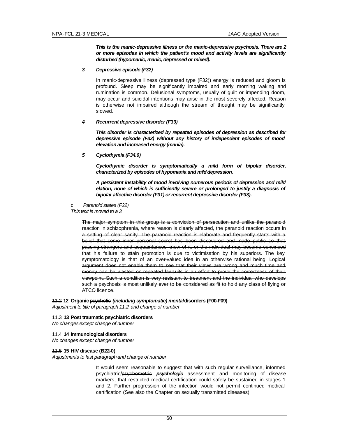*This is the manic-depressive illness or the manic-depressive psychosis. There are 2 or more episodes in which the patient's mood and activity levels are significantly disturbed (hypomanic, manic, depressed or mixed).* 

*3 Depressive episode (F32)*

In manic-depressive illness (depressed type (F32)) energy is reduced and gloom is profound. Sleep may be significantly impaired and early morning waking and rumination is common. Delusional symptoms, usually of guilt or impending doom, may occur and suicidal intentions may arise in the most severely affected. Reason is otherwise not impaired although the stream of thought may be significantly slowed.

#### *4 Recurrent depressive disorder (F33)*

*This disorder is characterized by repeated episodes of depression as described for depressive episode (F32) without any history of independent episodes of mood elevation and increased energy (mania).*

*5 Cyclothymia (F34.0)*

*Cyclothymic disorder is symptomatically a mild form of bipolar disorder, characterized by episodes of hypomania and mild depression.*

*A persistent instability of mood involving numerous periods of depression and mild elation, none of which is sufficiently severe or prolonged to justify a diagnosis of bipolar affective disorder (F31) or recurrent depressive disorder (F33).*

#### c *Paranoid states (F22)*

*This text is moved to a 3*

The major symptom in this group is a conviction of persecution and unlike the paranoid reaction in schizophrenia, where reason is clearly affected, the paranoid reaction occurs in a setting of clear sanity. The paranoid reaction is elaborate and frequently starts with a belief that some inner personal secret has been discovered and made public so that passing strangers and acquaintances know of it, or the individual may become convinced that his failure to atain promotion is due to victimisation by his superiors. The keysymptomatology is that of an over-valued idea in an otherwise rational being. Logical argument does not enable them to see that their views are wrong and much time and money can be wasted on repeated lawsuits in an effort to prove the correctness of their viewpoint. Such a condition is very resistant to treatment and the individual who develops such a psychosis is most unlikely ever to be considered as fit to hold any class of flying or ATCO licence.

11.2 **12 Organic psychotic** *(including symptomatic) mental* **disorders (F00-F09)**

*Adjustment to title of paragraph 11.2 and change of number*

11.3 **13 Post traumatic psychiatric disorders**

*No changes except change of number*

## 11.4 **14 Immunological disorders**

*No changes except change of number*

#### 11.5 **15 HIV disease (B22-0)**

*Adjustments to last paragraph and change of number*

It would seem reasonable to suggest that with such regular surveillance, informed psychiatric**/**psychometric *psychologic* assessment and monitoring of disease markers, that restricted medical certification could safely be sustained in stages 1 and 2. Further progression of the infection would not permit continued medical certification (See also the Chapter on sexually transmitted diseases).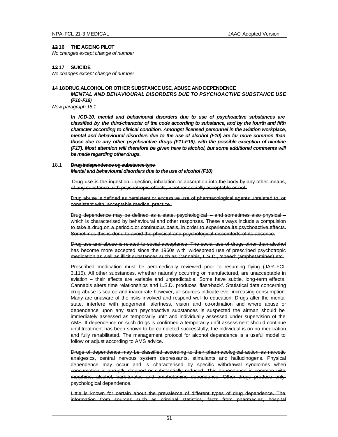# **12 16 THE AGEING PILOT**

*No changes except change of number*

## **13 17 SUICIDE**

*No changes except change of number*

# **14 18 DRUG,ALCOHOL OR OTHER SUBSTANCE USE, ABUSE AND DEPENDENCE**

*MENTAL AND BEHAVIOURAL DISORDERS DUE TO PSYCHOACTIVE SUBSTANCE USE (F10-F19)*

*New paragraph 18.1*

*In ICD-10, mental and behavioural disorders due to use of psychoactive substances are classified by the third-character of the code according to substance, and by the fourth and fifth character according to clinical condition. Amongst licensed personnel in the aviation workplace, mental and behavioural disorders due to the use of alcohol (F10) are far more common than those due to any other psychoactive drugs (F11-F19), with the possible exception of nicotine (F17). Most attention will therefore be given here to alcohol, but some additional comments will be made regarding other drugs.*

#### 18.1 **Drug independence og substance type**

*Mental and behavioural disorders due to the use of alcohol (F10)*

Drug use is the ingestion, injection, inhalation or absorption into the body by any other means, of any substance with psychotropic effects, whether socially acceptable or not.

Drug abuse is defined as persistent or excessive use of pharmacological agents unrelated to, or consistent with, acceptable medical practice.

Drug dependence may be defined as a state, psychological – and sometimes also physical – which is characterised by behavioural and other responses. These always include a compulsion to take a drug on a periodic or continuous basis, in order to experience its psychoactive effects. Sometimes this is done to avoid the physical and psychological discomforts of its absence.

Drug use and abuse is related to social acceptance. The social use of drugs other than alcohol has become more accepted since the 1960s with widespread use of prescribed psychotropic medication as well as illicit substances such as Cannabis, L.S.D., 'speed' (amphetamines) etc.

Prescribed medication must be aeromedically reviewed prior to resuming flying (JAR–FCL 3.115). All other substances, whether naturally occurring or manufactured, are unacceptable in aviation – their effects are variable and unpredictable. Some have subtle, long-term effects, Cannabis alters time relationships and L.S.D. produces 'flash-back'. Statistical data concerning drug abuse is scarce and inaccurate however, all sources indicate ever increasing consumption. Many are unaware of the risks involved and respond well to education. Drugs alter the mental state, interfere with judgement, alertness, vision and co-ordination and where abuse or dependence upon any such psychoactive substances is suspected the airman should be immediately assessed as temporarily unfit and individually assessed under supervision of the AMS. If dependence on such drugs is confirmed a temporarily unfit assessment should continue until treatment has been shown to be completed successfully, the individual is on no medication and fully rehabilitated. The management protocol for alcohol dependence is a useful model to follow or adjust according to AMS advice.

Drugs of dependence may be classified according to their pharmacological action as narcotic analgesics, central nervous system depressants, stimulants and hallucinogens. Physical dependence may occur and is characterised by specific withdrawal syndromes when consumption is abruptly stopped or substantially reduced. This dependence is common with morphine, alcohol, barbiturates and amphetamine dependence. Other drugs produce only psychological dependence.

Little is known for certain about the prevalence of different types of drug dependence. The information from sources such as criminal statistics, facts from pharmacies, hospital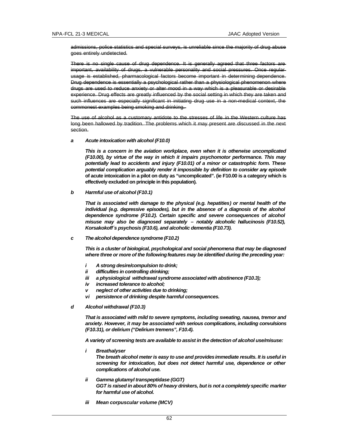admissions, police statistics and special surveys, is unreliable since the majority of drug abuse goes entirely undetected.

There is no single cause of drug dependence. It is generally agreed that three factors are important, availability of drugs, a vulnerable personality and social pressures. Once regular usage is established, pharmacological factors become important in determining dependence. Drug dependence is essentially a psychological rather than a physiological phenomenon where drugs are used to reduce anxiety or alter mood in a way which is a pleasurable or desirable experience. Drug effects are greatly influenced by the social setting in which they are taken and such influences are especially significant in initiating drug use in a non-medical context, the commonest examples being smoking and drinking.

The use of alcohol as a customary antidote to the stresses of life in the Western culture has long been hallowed by tradition. The problems which it may present are discussed in the next section.

#### *a Acute intoxication with alcohol (F10.0)*

*This is a concern in the aviation workplace, even when it is otherwise uncomplicated (F10.00), by virtue of the way in which it impairs psychomotor performance. This may potentially lead to accidents and injury (F10.01) of a minor or catastrophic form. These potential complication arguably render it impossible by definition to consider any episode*  **of acute intoxication in a pilot on duty as "uncomplicated". (ie F10.00 is a category which is effectively excluded on principle in this population).**

*b Harmful use of alcohol (F10.1)*

*That is associated with damage to the physical (e.g. hepatities) or mental health of the individual (e.g. depressive episodes), but in the absence of a diagnosis of the alcohol dependence syndrome (F10.2). Certain specific and severe consequences of alcohol misuse may also be diagnosed separately – notably alcoholic hallucinosis (F10.52), Korsakokoff´s psychosis (F10.6), and alcoholic dementia (F10.73).*

#### *c The alcohol dependence syndrome (F10.2)*

*This is a cluster of biological, psychological and social phenomena that may be diagnosed where three or more of the following features may be identified during the preceding year:*

- *i A strong desire/compulsion to drink;*
- *ii difficulties in controlling drinking;*
- *iii a physiological withdrawal syndrome associated with abstinence (F10.3);*
- *iv increased tolerance to alcohol;*
- *v neglect of other activities due to drinking;*
- *vi persistence of drinking despite harmful consequences.*
- *d Alcohol withdrawal (F10.3)*

*That is associated with mild to severe symptoms, including sweating, nausea, tremor and anxiety. However, it may be associated with serious complications, including convulsions (F10.31), or delirium ("Delirium tremens", F10.4).*

*A variety of screening tests are available to assist in the detection of alcohol use/misuse:*

*i Breathalyser*

*The breath alcohol meter is easy to use and provides immediate results. It is useful in screening for intoxication, but does not detect harmful use, dependence or other complications of alcohol use.*

- *ii Gamma glutamyl transpeptidase (GGT) GGT is raised in about 80% of heavy drinkers, but is not a completely specific marker for harmful use of alcohol.*
- *iii Mean corpuscular volume (MCV)*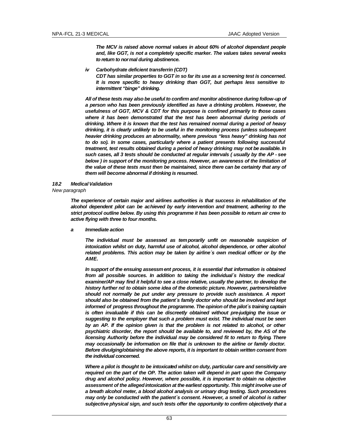*The MCV is raised above normal values in about 60% of alcohol dependant people and, like GGT, is not a completely specific marker. The values takes several weeks to return to normal during abstinence.*

*iv Carbohydrate deficient transferrin (CDT)*

*CDT has similar properties to GGT in so far its use as a screening test is concerned. It is more specific to heavy drinking than GGT, but perhaps less sensitive to intermittent "binge" drinking.*

*All of these tests may also be useful to confirm and monitor abstinence during follow-up of a person who has been previously identified as have a drinking problem. However, the usefulness of GGT, MCV & CDT for this purpose is confined primarily to those cases*  where it has been demonstrated that the test has been abnormal during periods of *drinking. Where it is known that the test has remained normal during a period of heavy drinking, it is clearly unlikely to be useful in the monitoring process (unless subsequent heavier drinking produces an abnormality, where previous "less heavy" drinking has not*  to do so). In some cases, particularly where a patient presents following successful *treatment, test results obtained during a period of heavy drinking may not be available. In such cases, all 3 tests should be conducted at regular intervals ( usually by the AP - see*  below) in support of the monitoring process. However, an awareness of the limitation of *the value of these tests must then be maintained, since there can be certainty that any of them will become abnormal if drinking is resumed.*

### *18.2 Medical Validation*

*New paragraph*

*The experience of certain major and airlines authorities is that success in rehabilitation of the alcohol dependent pilot can be achieved by early intervention and treatment, adhering to the strict protocol outline below. By using this programme it has been possible to return air crew to active flying with three to four months.*

*a Immediate action*

*The individual must be assessed as temporarily unfit on reasonable suspicion of intoxication whilst on duty, harmful use of alcohol, alcohol dependence, or other alcohol related problems. This action may be taken by airline´s own medical officer or by the AME.*

In support of the ensuing assessment process, it is essential that information is obtained from all possible sources. In addition to taking the individual's history the medical *examiner/AP may find it helpful to see a close relative, usually the partner, to develop the history further nd to obtain some idea of the domestic picture. However, partners/relative should not normally be put under any pressure to provide such assistance. A report should also be obtained from the patient´s family doctor who should be involved and kept informed of progress throughout the programme. The opinion of the pilot´s training captain is often invaluable if this can be discreetly obtained without pre-judging the issue or suggesting to the employer that such a problem must exist. The individual must be seen*  by an AP. If the opinion given is that the problem is not related to alcohol, or other *psychiatric disorder, the report should be available to, and reviewed by, the AS of the licensing Authority before the individual may be considered fit to return to flying. There may occasionally be information on file that is unknown to the airline or family doctor. Before divulging/obtaining the above reports, it is important to obtain written consent from the individual concerned.*

*Where a pilot is thought to be intoxicated whilst on duty, particular care and sensitivity are required on the part of the OP. The action taken will depend in part upon the Company drug and alcohol policy. However, where possible, it is important to obtain na objective assessment of the alleged intoxication at the earliest opportunity. This might involve use of a breath alcohol meter, a blood alcohol analysis or urinary drug testing. Such procedures may only be conducted with the patient´s consent. However, a smell of alcohol is rather subjective physical sign, and such tests offer the opportunity to confirm objectively that a*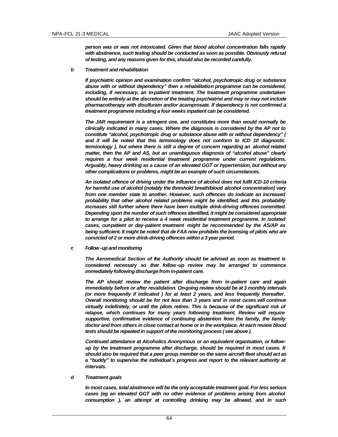*person was or was not intoxicated. Given that blood alcohol concentration falls rapidly with abstinence, such testing should be conducted as soon as possible. Obviously refusal of testing, and any reasons given for this, should also be recorded carefully.*

#### *b Treatment and rehabilitation*

*If psychiatric opinion and examination confirm "alcohol, psychotropic drug or substance abuse with or without dependency" then a rehabilitation programme can be considered, including, if necessary, an in-patient treatment. The treatment programme undertaken should be entirely at the discretion of the treating psychiatrist and may or may not include pharmacotherapy with disulfuram and/or acamprosate. If dependency is not confirmed a treatment programme including a four weeks inpatient can be considered.*

*The JAR requirement is a stringent one, and constitutes more than would normally be clinically indicated in many cases. Where the diagnosis is considered by the AP not to constitute "alcohol, psychotropic drug or substance abuse with or without dependency" ( and it will be noted that this terminology does not conform to ICD 10 diagnostic terminology ), but where there is still a degree of concern regarding an alcohol related matter, then the AP and AS, but an unambiguous diagnosis of "alcohol abuse" clearly requires a four week residential treatment programme under current regulations. Arguably, heavy drinking as a cause of an elevated GGT or hypertension, but without any other complications or problems, might be an example of such circumstances.*

*An isolated offence of driving under the influence of alcohol does not fulfil ICD-10 criteria for harmful use of alcohol (notably the threshold breath/blood alcohol concentration) vary from one member state to another. However, such offences do indicate an increased probability that other alcohol related problems might be identified, and this probability increases still further where there have been multiple drink-driving offences committed. Depending upon the number of such offences identified, it might be considered appropriate to arrange for a pilot to receive a 4 week residential treatment programme. In isolated cases, out-patient or day-patient treatment might be recommended by the AS/AP as being sufficient. It might be noted that de FAA now prohibits the licensing of pilots who are convicted of 2 or more drink-driving offences within a 3 year period.*

*c Follow -up and monitoring*

*The Aeromedical Section of the Authority should be advised as soon as treatment is considered necessary so that follow-up review may be arranged to commence immediately following discharge from in-patient care.*

*The AP should review the patient after discharge from in-patient care and again immediately before or after revalidation. On-going review should be at 3 monthly intervals (or more frequently if indicated ) for at least 2 years, and less frequently thereafter. Overall monitoring should be for not less than 3 years and in most cases will continue virtually indefinitely, or until the pilots retires. This is because of the significant risk of*  relapse, which continues for many years following treatment. Review will require *supportive, confirmative evidence of continuing abstention from the family, the family doctor and from others in close contact at home or in the workplace. At each review blood tests should be repeated in support of the monitoring process ( see above ).*

*Continued attendance at Alcoholics Anonymous or an equivalent organisation, or followup by the treatment programme after discharge, should be required in most cases. It should also be required that a peer group member on the same aircraft fleet should act as a "buddy" to supervise the individual´s progress and report to the relevant authority at intervals.*

#### *d Treatment goals*

*In most cases, total abstinence will be the only acceptable treatment goal. For less serious cases (eg an elevated GGT with no other evidence of problems arising from alcohol consumption ), an attempt at controlling drinking may be allowed, and in such*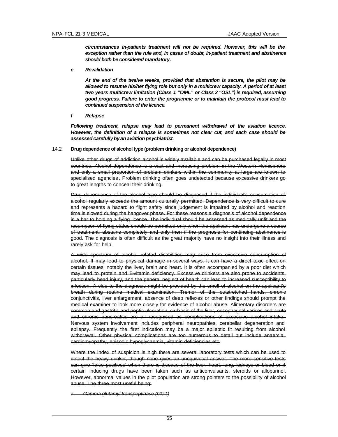*circumstances in-patients treatment will not be required. However, this will be the exception rather than the rule and, in cases of doubt, in-patient treatment and abstinence should both be considered mandatory.*

*e Revalidation*

*At the end of the twelve weeks, provided that abstention is secure, the pilot may be allowed to resume his/her flying role but only in a multicrew capacity. A period of at least two years multicrew limitation (Class 1 "OML" or Class 2 "OSL") is required, assuming good progress. Failure to enter the programme or to maintain the protocol must lead to continued suspension of the licence.*

*f Relapse*

*Following treatment, relapse may lead to permanent withdrawal of the aviation licence. However, the definition of a relapse is sometimes not clear cut, and each case should be assessed carefully by an aviation psychiatrist.*

14.2 **Drug dependence of alcohol type (problem drinking or alcohol dependence)**

Unlike other drugs of addiction alcohol is widely available and can be purchased legally in most countries. Alcohol dependence is a vast and increasing problem in the Western Hemisphere and only a small proportion of problem drinkers within the community at large are known to specialised agencies . Problem drinking often goes undetected because excessive drinkers go to great lengths to conceal their drinking.

Drug dependence of the alcohol type should be diagnosed if the individual's consumption of alcohol regularly exceeds the amount culturally permitted. Dependence is very difficult to cure and represents a hazard to flight safety since judgement is impaired by alcohol and reaction time is slowed during the hangover phase. For these reasons a diagnosis of alcohol dependence is a bar to holding a flying licence. The individual should be assessed as medically unfit and the resumption of flying status should be permitted only when the applicant has undergone a course of treatment, abstains completely and only then if the prognosis for continuing abstinence is good. The diagnosis is often difficult as the great majority have no insight into their illness and rarely ask for help.

A wide spectrum of alcohol related disabilities may arise from excessive consumption of alcohol. It may lead to physical damage in several ways. It can have a direct toxic effect on certain tissues, notably the liver, brain and heart. It is often accompanied by a poor diet which may lead to protein and B-vitamin deficiency. Excessive drinkers are also prone to accidents, particularly head injury, and the general neglect of health can lead to increased susceptibility to infection. A clue to the diagnosis might be provided by the smell of alcohol on the applicant's breath during routine medical examination. Tremor of the outstretched hands, chronic conjunctivitis, liver enlargement, absence of deep reflexes or other findings should prompt the medical examiner to look more closely for evidence of alcohol abuse. Alimentary disorders are common and gastritis and peptic ulceration, cirrhosis of the liver, oesophageal varices and acute and chronic pancreatitis are all recognised as complications of excessive alcohol intake. Nervous system involvement includes peripheral neuropathies, cerebellar degeneration and epilepsy. Frequently the first indication may be a major epileptic fit resulting from alcohol withdrawal. Other physical complications are too numerous to detail but include anaemia, cardiomyopathy, episodic hypoglycaemia, vitamin deficiencies etc.

Where the index of suspicion is high there are several laboratory tests which can be used to detect the heavy drinker, though none gives an unequivocal answer. The more sensitive tests can give 'false positives' when there is disease of the liver, heart, lung, kidneys or blood or if certain inducing drugs have been taken such as anticonvulsants, steroids or allopurinol. However, abnormal values in the pilot population are strong pointers to the possibility of alcohol abuse. The three most useful being:

a *Gamma glutamyl transpeptidase (GGT)*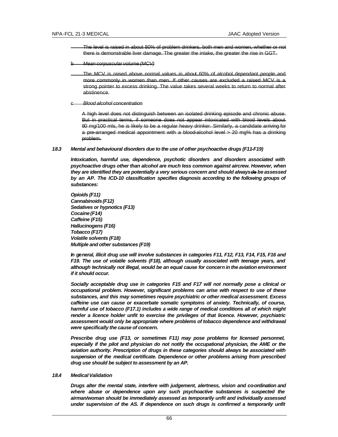- The level is raised in about 80% of problem drinkers, both men and women, whether or not there is demonstrable liver damage. The greater the intake, the greater the rise in GGT.
- b *Mean corpuscular volume (MCV)*
	- The MCV is raised above normal values in about 60% of alcohol dependant people and more commonly in women than men. If other causes are excluded a raised MCV is a strong pointer to excess drinking. The value takes several weeks to return to normal after abstinence.
- c *Blood alcohol concentration*

A high level does not distinguish between an isolated drinking episode and chronic abuse. But in practical terms, if someone does not appear intoxicated with blood levels about 80 mg/100 mls, he is likely to be a regular heavy drinker. Similarly, a candidate arriving for a pre-arranged medical appointment with a blood-alcohol level > 20 mg% has a drinking problem.

# *18.3 Mental and behavioural disorders due to the use of other psychoactive drugs (F11-F19)*

*Intoxication, harmful use, dependence, psychotic disorders and disorders associated with psychoactive drugs other than alcohol are much less common against aircrew. However, when they are identified they are potentially a very serious concern and should always de be assessed*  by an AP. The ICD-10 classification specifies diagnosis according to the following groups of *substances:*

*Opioids (F11) Cannabinoids (F12) Sedatives or hypnotics (F13) Cocaine (F14) Caffeine (F15) Hallucinogens (F16) Tobacco (F17) Volatile solvents (F18) Multiple and other substances (F19)*

*In general, illicit drug use will involve substances in categories F11, F12, F13, F14, F15, F16 and F19. The use of volatile solvents (F18), although usually associated with teenage years, and although technically not illegal, would be an equal cause for concern in the aviation environment if it should occur.*

*Socially acceptable drug use in categories F15 and F17 will not normally pose a clinical or occupational problem. However, significant problems can arise with respect to use of these substances, and this may sometimes require psychiatric or other medical assessment. Excess caffeine use can cause or exacerbate somatic symptoms of anxiety. Technically, of course, harmful use of tobacco (F17.1) includes a wide range of medical conditions all of which might render a licence holder unfit to exercise the privileges of that licence. However, psychiatric assessment would only be appropriate where problems of tobacco dependence and withdrawal were specifically the cause of concern.*

*Prescribe drug use (F13, or sometimes F11) may pose problems for licensed personnel,*  especially if the pilot and physician do not notify the occupational physician, the AME or the *aviation authority. Prescription of drugs in these categories should always be associated with suspension of the medical certificate. Dependence or other problems arising from prescribed drug use should be subject to assessment by an AP.*

#### *18.4 Medical Validation*

*Drugs alter the mental state, interfere with judgement, alertness, vision and co-ordination and where abuse or dependence upon any such psychoactive substances is suspected the airman/woman should be immediately assessed as temporarily unfit and individually assessed under supervision of the AS. If dependence on such drugs is confirmed a temporarily unfit*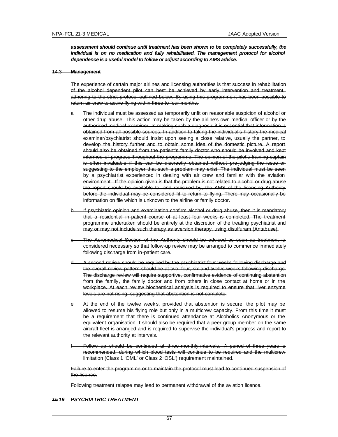*assessment should continue until treatment has been shown to be completely successfully, the individual is on no medication and fully rehabilitated. The management protocol for alcohol dependence is a useful model to follow or adjust according to AMS advice.*

#### 14.3 **Management**

The experience of certain major airlines and licensing authorities is that success in rehabilitation of the alcohol dependent pilot can best be achieved by early intervention and treatment, adhering to the strict protocol outlined below. By using this programme it has been possible to return air crew to active flying within three to four months.

- a The individual must be assessed as temporarily unfit on reasonable suspicion of alcohol or other drug abuse. This action may be taken by the airline's own medical officer or by the authorised medical examiner. In making such a diagnosis it is essential that information is obtained from all possible sources. In addition to taking the individual's history the medical examiner/psychiatrist should insist upon seeing a close relative, usually the partner, to develop the history further and to obtain some idea of the domestic picture. A report should also be obtained from the patient's family doctor who should be involved and kept informed of progress throughout the programme. The opinion of the pilot's training captain is often invaluable if this can be discreetly obtained without pre-judging the issue or suggesting to the employer that such a problem may exist. The individual must be seen by a psychiatrist experienced in dealing with air crew and familiar with the aviation environment. If the opinion given is that the problem is not related to alcohol or drug abuse the report should be available to, and reviewed by, the AMS of the licensing Authority before the individual may be considered fit to return to flying. There may occasionally be information on file which is unknown to the airline or family doctor.
- b If psychiatric opinion and examination confirm alcohol or drug abuse, then it is mandatory that a residential in-patient course of at least four weeks is completed. The treatment programme undertaken should be entirely at the discretion of the treating psychiatrist and may or may not include such therapy as aversion therapy, using disulfuram (Antabuse).
- The Aeromedical Section of the Authority should be advised as soon as treatment is considered necessary so that follow-up review may be arranged to commence immediately following discharge from in-patient care.
- A second review should be required by the psychiatrist four weeks following discharge and the overall review pattern should be at two, four, six and twelve weeks following discharge. The discharge review will require supportive, confirmative evidence of continuing abstention from the family, the family doctor and from others in close contact at home or in the workplace. At each review biochemical analysis is required to ensure that liver enzyme levels are not rising, suggesting that abstention is not complete.
- e At the end of the twelve week s, provided that abstention is secure, the pilot may be allowed to resume his flying role but only in a multicrew capacity. From this time it must be a requirement that there is continued attendance at Alcoholics Anonymous or the equivalent organisation. It should also be required that a peer group member on the same aircraft fleet is arranged and is required to supervise the individual's progress and report to the relevant authority at intervals.
- Follow up should be continued at three-monthly intervals. A period of three years is recommended, during which blood tests will continue to be required and the multicrew limitation (Class 1 'OML' or Class 2 'OSL') requirement maintained.

Failure to enter the programme or to maintain the protocol must lead to continued suspension of the licence.

Following treatment relapse may lead to permanent withdrawal of the aviation licence.

### *15 19 PSYCHIATRIC TREATMENT*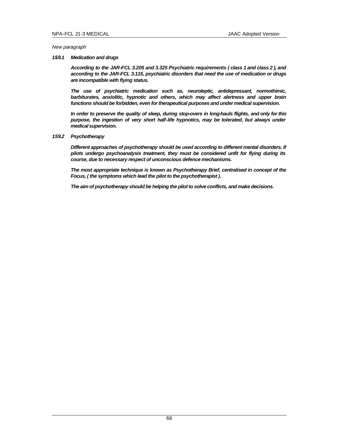*New paragraph*

# *159.1 Medication and drugs*

*According to the JAR-FCL 3.205 and 3.325 Psychiatric requirements ( class 1 and class 2 ), and according to the JAR-FCL 3.115, psychiatric disorders that need the use of medication or drugs are incompatible with flying status.*

*The use of psychiatric medication such as, neuroleptic, antidepressant, normothimic, barbiturates, anxiolitic, hypnotic and others, which may affect alertness and upper brain functions should be forbidden, even for therapeutical purposes and under medical supervision.*

*In order to preserve the quality of sleep, during stop-overs in long-hauls flights, and only for this*  purpose, the ingestion of very short half-life hypnotics, may be tolerated, but always under *medical supervision.*

*159.2 Psychotherapy*

*Different approaches of psychotherapy should be used according to different mental disorders. If pilots undergo psychoanalysis treatment, they must be considered unfit for flying during its course, due to necessary respect of unconscious defence mechanisms.*

*The most appropriate technique is known as Psychotherapy Brief, centralised in concept of the Focus, ( the symptoms which lead the pilot to the psychotherapist ).*

*The aim of psychotherapy should be helping the pilot to solve conflicts, and make decisions.*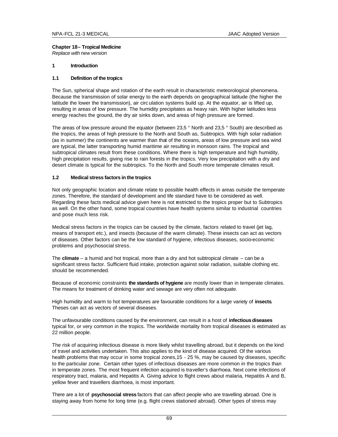# **Chapter 18 – Tropical Medicine**

*Replace with new version*

# **1 Introduction**

# **1.1 Definition of the tropics**

The Sun, spherical shape and rotation of the earth result in characteristic meteorological phenomena. Because the transmission of solar energy to the earth depends on geographical latitude (the higher the latitude the lower the transmission), air circ ulation systems build up. At the equator, air is lifted up, resulting in areas of low pressure. The humidity precipitates as heavy rain. With higher latitudes less energy reaches the ground, the dry air sinks down, and areas of high pressure are formed.

The areas of low pressure around the equator (between 23,5 ° North and 23,5 ° South) are described as the tropics, the areas of high pressure to the North and South as, Subtropics. With high solar radiation (as in summer) the continents are warmer than that of the oceans, areas of low pressure and sea wind are typical, the latter transporting humid maritime air resulting in monsoon rains. The tropical and subtropical climates result from these conditions. Where there is high temperature and high humidity, high precipitation results, giving rise to rain forests in the tropics. Very low precipitation with a dry and desert climate is typical for the subtropics. To the North and South more temperate climates result.

# **1.2 Medical stress factors in the tropics**

Not only geographic location and climate relate to possible health effects in areas outside the temperate zones. Therefore, the standard of development and life standard have to be considered as well. Regarding these facts medical advice given here is not restricted to the tropics proper but to Subtropics as well. On the other hand, some tropical countries have health systems similar to industrial countries and pose much less risk.

Medical stress factors in the tropics can be caused by the climate, factors related to travel (jet lag, means of transport etc.), and insects (because of the warm climate). These insects can act as vectors of diseases. Other factors can be the low standard of hygiene, infectious diseases, socio-economic problems and psychosocial stress.

The **climate** – a humid and hot tropical, more than a dry and hot subtropical climate – can be a significant stress factor. Sufficient fluid intake, protection against solar radiation, suitable clothing etc. should be recommended.

Because of economic constraints **the standards of hygiene** are mostly lower than in temperate climates. The means for treatment of drinking water and sewage are very often not adequate.

High humidity and warm to hot temperatures are favourable conditions for a large variety of **insects**. Theses can act as vectors of several diseases.

The unfavourable conditions caused by the environment, can result in a host of **infectious diseases** typical for, or very common in the tropics. The worldwide mortality from tropical diseases is estimated as 22 million people.

The risk of acquiring infectious disease is more likely whilst travelling abroad, but it depends on the kind of travel and activities undertaken. This also applies to the kind of disease acquired. Of the various health problems that may occur in some tropical zones, 15 - 25 %, may be caused by diseases, specific to the particular zone. Certain other types of infectious diseases are more common in the tropics than in temperate zones. The most frequent infection acquired is traveller's diarrhoea. Next come infections of respiratory tract, malaria, and Hepatitis A. Giving advice to flight crews about malaria, Hepatitis A and B, yellow fever and travellers diarrhoea, is most important.

There are a lot of **psychosocial stress** factors that can affect people who are travelling abroad. One is staying away from home for long time (e.g. flight crews stationed abroad). Other types of stress may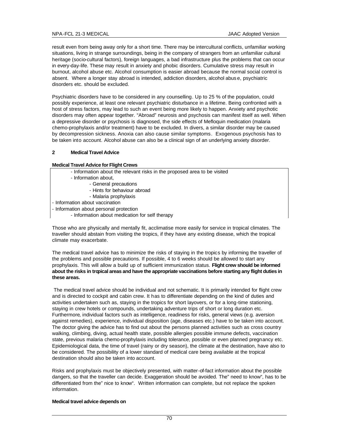result even from being away only for a short time. There may be intercultural conflicts, unfamiliar working situations, living in strange surroundings, being in the company of strangers from an unfamiliar cultural heritage (socio-cultural factors), foreign languages, a bad infrastructure plus the problems that can occur in every-day-life. These may result in anxiety and phobic disorders. Cumulative stress may result in burnout, alcohol abuse etc. Alcohol consumption is easier abroad because the normal social control is absent. Where a longer stay abroad is intended, addiction disorders, alcohol abus e, psychiatric disorders etc. should be excluded.

Psychiatric disorders have to be considered in any counselling. Up to 25 % of the population, could possibly experience, at least one relevant psychiatric disturbance in a lifetime. Being confronted with a host of stress factors, may lead to such an event being more likely to happen. Anxiety and psychotic disorders may often appear together. "Abroad" neurosis and psychosis can manifest itself as well. When a depressive disorder or psychosis is diagnosed, the side effects of Mefloquin medication (malaria chemo-prophylaxis and/or treatment) have to be excluded. In divers, a similar disorder may be caused by decompression sickness. Anoxia can also cause similar symptoms. Exogenous psychosis has to be taken into account. Alcohol abuse can also be a clinical sign of an underlying anxiety disorder.

# **2 Medical Travel Advice**

# **Medical Travel Advice for Flight Crews**

- Information about the relevant risks in the proposed area to be visited
- Information about,
	- General precautions
	- Hints for behaviour abroad
	- Malaria prophylaxis
- Information about vaccination
- Information about personal protection
	- Information about medication for self therapy

Those who are physically and mentally fit, acclimatise more easily for service in tropical climates. The traveller should abstain from visiting the tropics, if they have any existing disease, which the tropical climate may exacerbate.

The medical travel advice has to minimize the risks of staying in the tropics by informing the traveller of the problems and possible precautions. If possible, 4 to 6 weeks should be allowed to start any prophylaxis. This will allow a build up of sufficient immunization status. **Flight crew should be informed about the risks in tropical areas and have the appropriate vaccinations before starting any flight duties in these areas.**

 The medical travel advice should be individual and not schematic. It is primarily intended for flight crew and is directed to cockpit and cabin crew. It has to differentiate depending on the kind of duties and activities undertaken such as, staying in the tropics for short layovers, or for a long-time stationing, staying in crew hotels or compounds, undertaking adventure trips of short or long duration etc. Furthermore, individual factors such as intelligence, readiness for risks, general views (e.g. aversion against remedies), experience, individual disposition (age, diseases etc.) have to be taken into account. The doctor giving the advice has to find out about the persons planned activities such as cross country walking, climbing, diving, actual health state, possible allergies possible immune defects, vaccination state, previous malaria chemo-prophylaxis including tolerance, possible or even planned pregnancy etc. Epidemiological data, the time of travel (rainy or dry season), the climate at the destination, have also to be considered. The possibility of a lower standard of medical care being available at the tropical destination should also be taken into account.

Risks and prophylaxis must be objectively presented, with matter-of-fact information about the possible dangers, so that the traveller can decide. Exaggeration should be avoided. The" need to know", has to be differentiated from the" nice to know". Written information can complete, but not replace the spoken information.

#### **Medical travel advice depends on**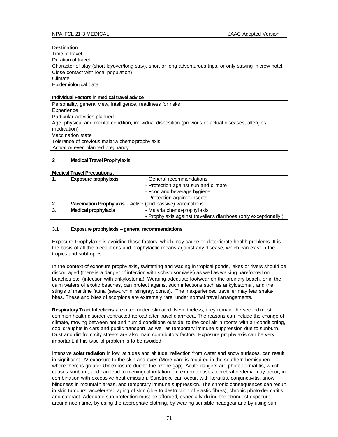### **Destination**

Time of travel Duration of travel Character of stay (short layover/long stay), short or long adventurous trips, or only staying in crew hotel, Close contact with local population) Climate Epidemiological data

# **Individual Factors in medical travel advice**

Personality, general view, intelligence, readiness for risks **Experience** Particular activities planned Age, physical and mental condition, individual disposition (previous or actual diseases, allergies, medication) Vaccination state Tolerance of previous malaria chemo-prophylaxis Actual or even planned pregnancy

# **3 Medical Travel Prophylaxis**

# **Medical Travel Precautions**:

| $\overline{1}$ . | <b>Exposure prophylaxis</b>                                 | - General recommendations                                         |
|------------------|-------------------------------------------------------------|-------------------------------------------------------------------|
|                  |                                                             | - Protection against sun and climate                              |
|                  |                                                             | - Food and beverage hygiene                                       |
|                  |                                                             | - Protection against insects                                      |
| $\overline{2}$ . | Vaccination Prophylaxis - Active (and passive) vaccinations |                                                                   |
| 3.               | <b>Medical prophylaxis</b>                                  | - Malaria chemo-prophy laxis                                      |
|                  |                                                             | - Prophylaxis against traveller's diarrhoea (only exceptionally!) |

# **3.1 Exposure prophylaxis – general recommendations**

Exposure Prophylaxis is avoiding those factors, which may cause or deterriorate health problems. It is the basis of all the precautions and prophylactic means against any disease, which can exist in the tropics and subtropics.

In the context of exposure prophylaxis, swimming and wading in tropical ponds, lakes or rivers should be discouraged (there is a danger of infection with schistosomiasis) as well as walking barefooted on beaches etc. (infection with ankylostoma). Wearing adequate footwear on the ordinary beach, or in the calm waters of exotic beaches, can protect against such infections such as ankylostoma , and the stings of maritime fauna (sea-urchin, stingray, corals). The inexperienced traveller may fear snakebites. These and bites of scorpions are extremely rare, under normal travel arrangements.

**Respiratory Tract Infections** are often underestimated. Nevertheless, they remain the second-most common health disorder contracted abroad after travel diarrhoea. The reasons can include the change of climate, moving between hot and humid conditions outside, to the cool air in rooms with air-conditioning, cool draughts in cars and public transport, as well as temporary immune suppression due to sunburn. Dust and dirt from city streets are also main contributory factors. Exposure prophylaxis can be very important, if this type of problem is to be avoided.

Intensive **solar radiation** in low latitudes and altitude, reflection from water and snow surfaces, can result in significant UV exposure to the skin and eyes (More care is required in the southern hemisphere, where there is greater UV exposure due to the ozone gap). Acute dangers are photo-dermatitis, which causes sunburn, and can lead to meningeal irritation. In extreme cases, cerebral oedema may occur, in combination with excessive heat emission. Sunstroke can occur, with keratitis, conjunctivitis, snow blindness in mountain areas, and temporary immune suppression. The chronic consequences can result in skin tumours, accelerated aging of skin (due to destruction of elastic fibres), chronic photo-dermatitis and cataract. Adequate sun protection must be afforded, especially during the strongest exposure around noon time, by using the appropriate clothing, by wearing sensible headgear and by using sun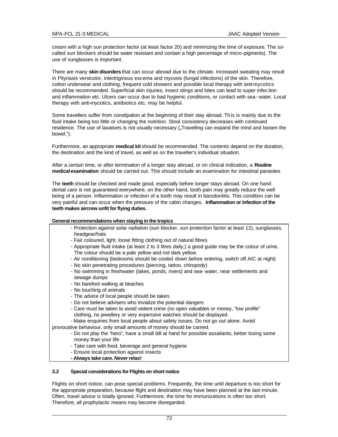cream with a high sun protection factor (at least factor 20) and minimizing the time of exposure. The socalled sun blockers should be water resistant and contain a high percentage of micro-pigments). The use of sunglasses is important.

There are many **skin disorders** that can occur abroad due to the climate. Increased sweating may result in Pityriasis versicolor, intertriginous excema and mycosis (fungal infections) of the skin. Therefore, cotton underwear and clothing, frequent cold showers and possible local therapy with anti-mycotics should be recommended. Superficial skin injuries, insect stings and bites can lead to super infec tion and inflammation etc. Ulcers can occur due to bad hygienic conditions, or contact with sea- water. Local therapy with anti-mycotics, antibiotics etc. may be helpful.

Some travellers suffer from constipation at the beginning of their stay abroad. Th is is mainly due to the fluid intake being too little or changing the nutrition. Stool consistency decreases with continued residence. The use of laxatives is not usually necessary ("Travelling can expand the mind and loosen the bowel.").

Furthermore, an appropriate **medical kit** should be recommended. The contents depend on the duration, the destination and the kind of travel, as well as on the traveller's individual situation.

After a certain time, or after termination of a longer stay abroad, or on clinical indication, a **Routine medical examination** should be carried out. This should include an examination for intestinal parasites

The **teeth** should be checked and made good, especially before longer stays abroad. On one hand dental care is not guaranteed everywhere, on the other hand, tooth pain may greatly reduce the well being of a person. Inflammation or infection of a tooth may result in barodontitis. This condition can be very painful and can occur when the pressure of the cabin changes. **Inflammation or infection of the teeth makes aircrew unfit for flying duties.**

# **General recommendations when staying in the tropics**

- Protection against solar radiation (sun blocker, sun protection factor at least 12), sunglasses, headgear/hats
- Fair coloured, light, loose fitting clothing out of natural fibres
- Appropriate fluid intake (at least 2 to 3 litres daily,) a good guide may be the colour of urine. The colour should be a pale yellow and not dark yellow.
- Air conditioning (bedrooms should be cooled down before entering, switch off A/C at night)
- No skin penetrating procedures (piercing, tattoo, chiropody)
- No swimming in freshwater (lakes, ponds, rivers) and sea- water, near settlements and sewage dumps
- No barefoot walking at beaches
- No touching of animals
- The advice of local people should be taken.
- Do not believe advisers who trivialize the potential dangers
- Care must be taken to avoid violent crime (no open valuables or money, "low profile" clothing, no jewellery or very expensive watches should be displayed
- Make enquiries from local people about safety issues. Do not go out alone. Avoid
- provocative behaviour, only small amounts of money should be carried.
	- Do not play the "hero", have a small bill at hand for possible assailants, better losing some money than your life
	- Take care with food, beverage and general hygiene
	- Ensure local protection against insects
	- **Always take care. Never relax!**

# **3.2 Special considerations for Flights on short notice**

Flights on short notice, can pose special problems. Frequently, the time until departure is too short for the appropriate preparation, because flight and destination may have been planned at the last-minute. Often, travel advice is totally ignored. Furthermore, the time for immunizations is often too short. Therefore, all prophylactic means may become disregarded.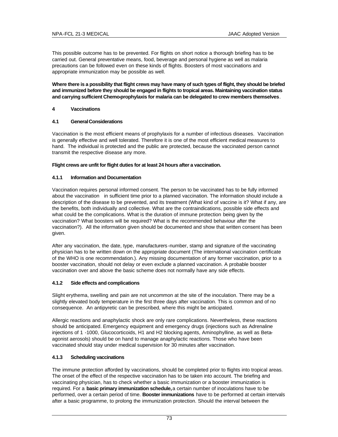This possible outcome has to be prevented. For flights on short notice a thorough briefing has to be carried out. General preventative means, food, beverage and personal hygiene as well as malaria precautions can be followed even on these kinds of flights. Boosters of most vaccinations and appropriate immunization may be possible as well.

**Where there is a possibility that flight crews may have many of such types of flight, they should be briefed and immunized before they should be engaged in flights to tropical areas. Maintaining vaccination status and carrying sufficient Chemo-prophylaxis for malaria can be delegated to crew members themselves**.

# **4 Vaccinations**

# **4.1 General Considerations**

Vaccination is the most efficient means of prophylaxis for a number of infectious diseases. Vaccination is generally effective and well tolerated. Therefore it is one of the most efficient medical measures to hand. The individual is protected and the public are protected, because the vaccinated person cannot transmit the respective disease any more.

### **Flight crews are unfit for flight duties for at least 24 hours after a vaccination.**

### **4.1.1 Information and Documentation**

Vaccination requires personal informed consent. The person to be vaccinated has to be fully informed about the vaccination in sufficient time prior to a planned vaccination. The information should include a description of the disease to be prevented, and its treatment (What kind of vaccine is it? What if any, are the benefits, both individually and collective. What are the contraindications, possible side effects and what could be the complications. What is the duration of immune protection being given by the vaccination? What boosters will be required? What is the recommended behaviour after the vaccination?). All the information given should be documented and show that written consent has been given.

After any vaccination, the date, type, manufacturers -number, stamp and signature of the vaccinating physician has to be written down on the appropriate document (The international vaccination certificate of the WHO is one recommendation.). Any missing documentation of any former vaccination, prior to a booster vaccination, should not delay or even exclude a planned vaccination. A probable booster vaccination over and above the basic scheme does not normally have any side effects.

### **4.1.2 Side effects and complications**

Slight erythema, swelling and pain are not uncommon at the site of the inoculation. There may be a slightly elevated body temperature in the first three days after vaccination. This is common and of no consequence. An antipyretic can be prescribed, where this might be anticipated.

Allergic reactions and anaphylactic shock are only rare complications. Nevertheless, these reactions should be anticipated. Emergency equipment and emergency drugs (injections such as Adrenaline injections of 1 -1000, Glucocorticoids, H1 and H2 blocking agents, Aminophylline, as well as Betaagonist aerosols) should be on hand to manage anaphylactic reactions. Those who have been vaccinated should stay under medical supervision for 30 minutes after vaccination.

# **4.1.3 Scheduling vaccinations**

The immune protection afforded by vaccinations, should be completed prior to flights into tropical areas. The onset of the effect of the respective vaccination has to be taken into account. The briefing and vaccinating physician, has to check whether a basic immunization or a booster immunization is required. For a **basic primary immunization schedule,** a certain number of inoculations have to be performed, over a certain period of time. **Booster immunizations** have to be performed at certain intervals after a basic programme, to prolong the immunization protection. Should the interval between the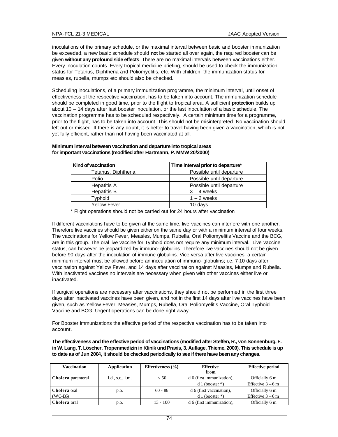inoculations of the primary schedule, or the maximal interval between basic and booster immunization be exceeded, a new basic schedule should **not** be started all over again, the required booster can be given **without any profound side effects**. There are no maximal intervals between vaccinations either. Every inoculation counts. Every tropical medicine briefing, should be used to check the immunization status for Tetanus, Diphtheria and Poliomyelitis, etc. With children, the immunization status for measles, rubella, mumps etc should also be checked.

Scheduling inoculations, of a primary immunization programme, the minimum interval, until onset of effectiveness of the respective vaccination, has to be taken into account. The immunization schedule should be completed in good time, prior to the flight to tropical area. A sufficient **protection** builds up about 10 – 14 days after last booster inoculation, or the last inoculation of a basic schedule. The vaccination programme has to be scheduled respectively. A certain minimum time for a programme, prior to the flight, has to be taken into account. This should not be misinterpreted. No vaccination should left out or missed. If there is any doubt, it is better to travel having been given a vaccination, which is not yet fully efficient, rather than not having been vaccinated at all.

### **Minimum interval between vaccination and departure into tropical areas for important vaccinations (modified after Hartmann, P. MMW 20/2000)**

| Kind of vaccination | Time interval prior to departure* |
|---------------------|-----------------------------------|
| Tetanus, Diphtheria | Possible until departure          |
| Polio               | Possible until departure          |
| Hepatitis A         | Possible until departure          |
| Hepatitis B         | $3 - 4$ weeks                     |
| Typhoid             | $1 - 2$ weeks                     |
| Yellow Fever        | 10 days                           |
|                     |                                   |

\* Flight operations should not be carried out for 24 hours after vaccination

If different vaccinations have to be given at the same time, live vaccines can interfere with one another. Therefore live vaccines should be given either on the same day or with a minimum interval of four weeks. The vaccinations for Yellow Fever, Measles, Mumps, Rubella, Oral Poliomyelitis Vaccine and the BCG, are in this group. The oral live vaccine for Typhoid does not require any minimum interval. Live vaccine status, can however be jeopardized by immuno- globulins. Therefore live vaccines should not be given before 90 days after the inoculation of immune globulins. Vice versa after live vaccines, a certain minimum interval must be allowed before an inoculation of immuno- globulins; i.e. 7-10 days after vaccination against Yellow Fever, and 14 days after vaccination against Measles, Mumps and Rubella. With inactivated vaccines no intervals are necessary when given with other vaccines either live or inactivated.

If surgical operations are necessary after vaccinations, they should not be performed in the first three days after inactivated vaccines have been given, and not in the first 14 days after live vaccines have been given, such as Yellow Fever, Measles, Mumps, Rubella, Oral Poliomyelitis Vaccine, Oral Typhoid Vaccine and BCG. Urgent operations can be done right away.

For Booster immunizations the effective period of the respective vaccination has to be taken into account.

**The effectiveness and the effective period of vaccinations (modified after Steffen, R., von Sonnenburg, F. in W. Lang, T. Löscher, Tropenmedizin in Klinik und Praxis, 3. Auflage, Thieme, 2000). This schedule is up to date as of Jun 2004, it should be checked periodically to see if there have been any changes.**

| <b>Vaccination</b>        | <b>Application</b> | Effectiveness $(\% )$ | <b>Effective</b><br>from  | <b>Effective period</b> |
|---------------------------|--------------------|-----------------------|---------------------------|-------------------------|
| <b>Cholera</b> parenteral | i.d., s.c., i.m.   | < 50                  | d 6 (first immunization), | Officially 6 m          |
|                           |                    |                       | $d1$ (booster *)          | Effective $3-6$ m       |
| <b>Cholera</b> oral       | p.o.               | $60 - 86$             | d 6 (first vaccination),  | Officially 6 m          |
| $(WC-BS)$                 |                    |                       | $d1$ (booster *)          | Effective $3-6$ m       |
| <b>Cholera</b> oral       | D.O.               | $13 - 100$            | d 6 (first immunization), | Officially 6 m          |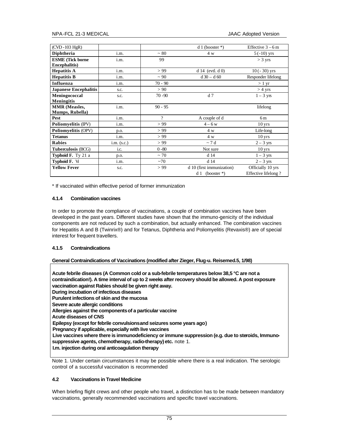| $(CVD - 103 HgR)$            |               |                          | $d1$ (booster *)          | Effective $3-6$ m   |
|------------------------------|---------------|--------------------------|---------------------------|---------------------|
| Diphtheria                   | i.m.          | $~1$ 80                  | 4 w                       | $5(-10)$ yrs        |
| <b>ESME</b> (Tick borne      | i.m.          | 99                       |                           | $>$ 3 yrs           |
| <b>Encephalitis</b> )        |               |                          |                           |                     |
| <b>Hepatitis A</b>           | i.m.          | > 99                     | $d14$ (evtl. $d0$ )       | $10(-30)$ yrs       |
| <b>Hepatitis B</b>           | i.m.          | $\sim$ 90                | $d30 - d60$               | Responder lifelong  |
| Influenza                    | i.m.          | $70 - 90$                |                           | $>1 \text{ yr}$     |
| <b>Japanese Encephalitis</b> | S.C.          | > 90                     |                           | $>$ 4 yrs           |
| Meningococcal                | s.c.          | $70 - 90$                | d <sub>7</sub>            | $1 - 3$ yrs         |
| <b>Meningitis</b>            |               |                          |                           |                     |
| <b>MMR</b> (Measles,         | i.m.          | $90 - 95$                |                           | lifelong            |
| Mumps, Rubella)              |               |                          |                           |                     |
| Pest                         | i.m.          | $\overline{\mathcal{L}}$ | A couple of d             | 6 m                 |
| Poliomyelitis (IPV)          | i.m.          | > 99                     | $4-6 w$                   | $10 \,\text{yrs}$   |
| <b>Poliomyelitis (OPV)</b>   | p.o.          | > 99                     | 4 w                       | Life-long           |
| <b>Tetanus</b>               | i.m.          | > 99                     | 4 w                       | $10 \,\text{yrs}$   |
| <b>Rabies</b>                | $i.m.$ (s.c.) | > 99                     | $\sim$ 7 d                | $2 - 3$ yrs         |
| <b>Tuberculosis (BCG)</b>    | i.c.          | $0 - 80$                 | Not sure                  | $10 \,\text{yrs}$   |
| <b>Typhoid F.</b> Ty 21 a    | p.o.          | $~1$ 70                  | d 14                      | $1 - 3$ yrs         |
| <b>Typhoid F. Vi</b>         | i.m.          | ~1                       | d 14                      | $2 - 3$ yrs         |
| <b>Yellow Fever</b>          | S.C.          | > 99                     | d 10 (first immunization) | Officially 10 yrs   |
|                              |               |                          | $d1$ (booster *)          | Effective lifelong? |

\* If vaccinated within effective period of former immunization

# **4.1.4 Combination vaccines**

In order to promote the compliance of vaccinations, a couple of combination vaccines have been developed in the past years. Different studies have shown that the immuno-genicity of the individual components are not reduced by such a combination, but actually enhanced. The combination vaccines for Hepatitis A and B (Twinrix®) and for Tetanus, Diphtheria and Poliomyelitis (Revaxis®) are of special interest for frequent travellers.

# **4.1.5 Contraindications**

### **General Contraindications of Vaccinations (modified after Zieger, Flug-u. Reisemed.5, 1/98)**

**Acute febrile diseases (A Common cold or a sub-febrile temperatures below 38,5 °C are not a contraindication!). A time interval of up to 2 weeks after recovery should be allowed. A post exposure vaccination against Rabies should be given right away. During incubation of infectious diseases Purulent infections of skin and the mucosa Severe acute allergic conditions Allergies against the components of a particular vaccine Acute diseases of CNS Epilepsy (except for febrile convulsions and seizures some years ago) Pregnancy if applicable, especially with live vaccines Live vaccines where there is immunodeficiency or immune suppression (e.g. due to steroids, Immunosuppressive agents, chemotherapy, radio-therapy) etc.** note 1. **I.m. injection during oral anticoagulation therapy**

Note 1. Under certain circumstances it may be possible where there is a real indication. The serologic control of a successful vaccination is recommended

# **4.2 Vaccinations in Travel Medicine**

When briefing flight crews and other people who travel, a distinction has to be made between mandatory vaccinations, generally recommended vaccinations and specific travel vaccinations.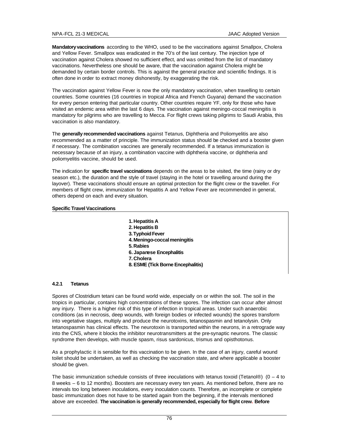**Mandatory vaccinations** according to the WHO, used to be the vaccinations against Smallpox, Cholera and Yellow Fever. Smallpox was eradicated in the 70's of the last century. The injection type of vaccination against Cholera showed no sufficient effect, and was omitted from the list of mandatory vaccinations. Nevertheless one should be aware, that the vaccination against Cholera might be demanded by certain border controls. This is against the general practice and scientific findings. It is often done in order to extract money dishonestly, by exaggerating the risk.

The vaccination against Yellow Fever is now the only mandatory vaccination, when travelling to certain countries. Some countries (16 countries in tropical Africa and French Guyana) demand the vaccination for every person entering that particular country. Other countries require YF, only for those who have visited an endemic area within the last 6 days. The vaccination against meningo-coccal meningitis is mandatory for pilgrims who are travelling to Mecca. For flight crews taking pilgrims to Saudi Arabia, this vaccination is also mandatory.

The **generally recommended vaccinations** against Tetanus, Diphtheria and Poliomyelitis are also recommended as a matter of principle. The immunization status should be checked and a booster given if necessary. The combination vaccines are generally recommended. If a tetanus immunization is necessary because of an injury, a combination vaccine with diphtheria vaccine, or diphtheria and poliomyelitis vaccine, should be used.

The indication for **specific travel vaccinations** depends on the areas to be visited, the time (rainy or dry season etc.), the duration and the style of travel (staying in the hotel or travelling around during the layover). These vaccinations should ensure an optimal protection for the flight crew or the traveller. For members of flight crew, immunization for Hepatitis A and Yellow Fever are recommended in general, others depend on each and every situation.

### **Specific Travel Vaccinations**

- **1. Hepatitis A**
- **2. Hepatitis B**
- **3. Typhoid Fever**
- **4. Meningo-coccal meningitis**
- **5. Rabies**
- **6. Japanese Encephalitis**
- **7. Cholera**
- **8. ESME (Tick Borne Encephalitis)**

### **4.2.1 Tetanus**

Spores of Clostridium tetani can be found world wide, especially on or within the soil. The soil in the tropics in particular, contains high concentrations of these spores. The infection can occur after almost any injury. There is a higher risk of this type of infection in tropical areas. Under such anaerobic conditions (as in necrosis, deep wounds, with foreign bodies or infected wounds) the spores transform into vegetative stages, multiply and produce the neurotoxins, tetanospasmin and tetanolysin. Only tetanospasmin has clinical effects. The neurotoxin is transported within the neurons, in a retrograde way into the CNS, where it blocks the inhibitor neurotransmitters at the pre-synaptic neurons. The classic syndrome then develops, with muscle spasm, risus sardonicus, trismus and opisthotonus.

As a prophylactic it is sensible for this vaccination to be given. In the case of an injury, careful wound toilet should be undertaken, as well as checking the vaccination state, and where applicable a booster should be given.

The basic immunization schedule consists of three inoculations with tetanus toxoid (Tetanol®) (0 – 4 to 8 weeks – 6 to 12 months). Boosters are necessary every ten years. As mentioned before, there are no intervals too long between inoculations, every inoculation counts. Therefore, an incomplete or complete basic immunization does not have to be started again from the beginning, if the intervals mentioned above are exceeded. **The vaccination is generally recommended, especially for flight crew. Before**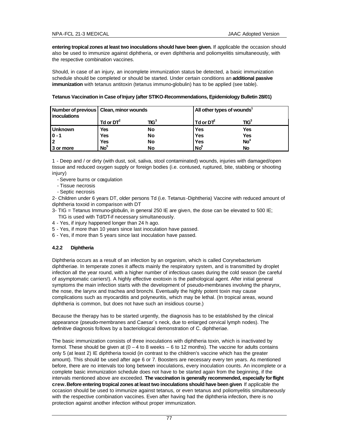**entering tropical zones at least two inoculations should have been given.** If applicable the occasion should also be used to immunize against diphtheria, or even diphtheria and poliomyelitis simultaneously, with the respective combination vaccines.

Should, in case of an injury, an incomplete immunization status be detected, a basic immunization schedule should be completed or should be started. Under certain conditions an **additional passive immunization** with tetanus antitoxin (tetanus immuno-globulin) has to be applied (see table).

| inoculations   | Number of previous   Clean, minor wounds |                 | All other types of wounds <sup>1</sup> |                                             |
|----------------|------------------------------------------|-----------------|----------------------------------------|---------------------------------------------|
|                | Td or $DT^2$                             | ${{\rm TIG}^3}$ | Td or DT <sup>2</sup>                  | ${{\mathsf T}} {{\mathsf I}} {\mathsf G}^3$ |
| <b>Unknown</b> | <b>Yes</b>                               | No              | Yes                                    | Yes                                         |
| $ 0 - 1 $      | Yes                                      | No              | <b>Yes</b>                             | Yes                                         |
| $\overline{2}$ | Yes                                      | No              | <b>Yes</b>                             | No <sup>4</sup>                             |
| 3 or more      | No <sup>5</sup>                          | No              | $\mathsf{No}^6$                        | No                                          |

### **Tetanus Vaccination in Case of Injury (after STIKO-Recommendations, Epidemiology Bulletin 28/01)**

1 - Deep and / or dirty (with dust, soil, saliva, stool contaminated) wounds, injuries with damaged/open tissue and reduced oxygen supply or foreign bodies (i.e. contused, ruptured, bite, stabbing or shooting injury)

- Severe burns or cœgulation
- Tissue necrosis
- Septic necrosis

2- Children under 6 years DT, older persons Td (i.e. Tetanus -Diphtheria) Vaccine with reduced amount of diphtheria toxoid in comparison with DT

3- TIG = Tetanus Immuno-globulin, in general 250 IE are given, the dose can be elevated to 500 IE;

- TIG is used with Td/DT-if necessary simultaneously.
- 4 Yes, if injury happened longer than 24 h ago.
- 5 Yes, if more than 10 years since last inoculation have passed.
- 6 Yes, if more than 5 years since last inoculation have passed.

# **4.2.2 Diphtheria**

Diphtheria occurs as a result of an infection by an organism, which is called Corynebacterium diphtheriae. In temperate zones it affects mainly the respiratory system, and is transmitted by droplet infection all the year round, with a higher number of infectious cases during the cold season (be careful of asymptomatic carriers!). A highly effective exotoxin is the pathological agent. After initial general symptoms the main infection starts with the development of pseudo-membranes involving the pharynx, the nose, the larynx and trachea and bronchi. Eventually the highly potent toxin may cause complications such as myocarditis and polyneuritis, which may be lethal. (In tropical areas, wound diphtheria is common, but does not have such an insidious course.)

Because the therapy has to be started urgently, the diagnosis has to be established by the clinical appearance (pseudo-membranes and Caesar´s neck, due to enlarged cervical lymph nodes). The definitive diagnosis follows by a bacteriological demonstration of C. diphtheriae.

The basic immunization consists of three inoculations with diphtheria toxin, which is inactivated by formol. These should be given at  $(0 - 4$  to 8 weeks  $- 6$  to 12 months). The vaccine for adults contains only 5 (at least 2) IE diphtheria toxoid (in contrast to the children's vaccine which has the greater amount). This should be used after age 6 or 7. Boosters are necessary every ten years. As mentioned before, there are no intervals too long between inoculations, every inoculation counts. An incomplete or a complete basic immunization schedule does not have to be started again from the beginning, if the intervals mentioned above are exceeded. **The vaccination is generally recommended, especially for flight crew.Before entering tropical zones at least two inoculations should have been given**. If applicable the occasion should be used to immunize against tetanus, or even tetanus and poliomyelitis simultaneously with the respective combination vaccines. Even after having had the diphtheria infection, there is no protection against another infection without proper immunization.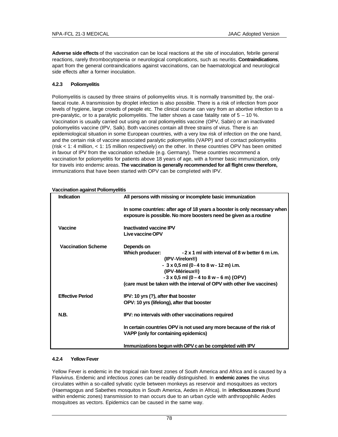**Adverse side effects** of the vaccination can be local reactions at the site of inoculation, febrile general reactions, rarely thrombocytopenia or neurological complications, such as neuritis. **Contraindications**, apart from the general contraindications against vaccinations, can be haematological and neurological side effects after a former inoculation.

# **4.2.3 Poliomyelitis**

Poliomyelitis is caused by three strains of poliomyelitis virus. It is normally transmitted by, the oralfaecal route. A transmission by droplet infection is also possible. There is a risk of infection from poor levels of hygiene, large crowds of people etc. The clinical course can vary from an abortive infection to a pre-paralytic, or to a paralytic poliomyelitis. The latter shows a case fatality rate of 5 – 10 %. Vaccination is usually carried out using an oral poliomyelitis vaccine (OPV, Sabin) or an inactivated poliomyelitis vaccine (IPV, Salk). Both vaccines contain all three strains of virus. There is an epidemiological situation in some European countries, with a very low risk of infection on the one hand, and the certain risk of vaccine associated paralytic poliomyelitis (VAPP) and of contact poliomyelitis (risk < 1: 4 million, < 1: 15 million respectively) on the other. In these countries OPV has been omitted in favour of IPV from the vaccination schedule (e.g. Germany). These countries recommend a vaccination for poliomyelitis for patients above 18 years of age, with a former basic immunization, only for travels into endemic areas. **The vaccination is generally recommended for all flight crew therefore,** immunizations that have been started with OPV can be completed with IPV.

| Indication                | All persons with missing or incomplete basic immunization                                                                                                                                                                                                                                                          |
|---------------------------|--------------------------------------------------------------------------------------------------------------------------------------------------------------------------------------------------------------------------------------------------------------------------------------------------------------------|
|                           | In some countries: after age of 18 years a booster is only necessary when<br>exposure is possible. No more boosters need be given as a routine                                                                                                                                                                     |
| Vaccine                   | <b>Inactivated vaccine IPV</b><br>Live vaccine OPV                                                                                                                                                                                                                                                                 |
| <b>Vaccination Scheme</b> | Depends on<br>-2 x 1 ml with interval of 8 w better 6 m i.m.<br>Which producer:<br>(IPV-Virelon <sup>®</sup> )<br>$-3x0,5$ ml (0 - 4 to 8 w - 12 m) i.m.<br>(IPV-Mérieux <sup>®</sup> )<br>$-3 \times 0.5$ ml (0 – 4 to 8 w – 6 m) (OPV)<br>(care must be taken with the interval of OPV with other live vaccines) |
| <b>Effective Period</b>   | IPV: 10 yrs (?), after that booster<br>OPV: 10 yrs (lifelong), after that booster                                                                                                                                                                                                                                  |
| <b>N.B.</b>               | IPV: no intervals with other vaccinations required                                                                                                                                                                                                                                                                 |
|                           | In certain countries OPV is not used any more because of the risk of<br>VAPP (only for containing epidemics)                                                                                                                                                                                                       |
|                           | Immunizations begun with OPV c an be completed with IPV                                                                                                                                                                                                                                                            |

**Vaccination against Poliomyelitis**

### **4.2.4 Yellow Fever**

Yellow Fever is endemic in the tropical rain forest zones of South America and Africa and is caused by a Flavivirus. Endemic and infectious zones can be readily distinguished. In **endemic zones** the virus circulates within a so-called sylvatic cycle between monkeys as reservoir and mosquitoes as vectors (Haemagogus and Sabethes mosquitos in South America, Aedes in Africa). In **infectious zones** (found within endemic zones) transmission to man occurs due to an urban cycle with anthropophilic Aedes mosquitoes as vectors. Epidemics can be caused in the same way.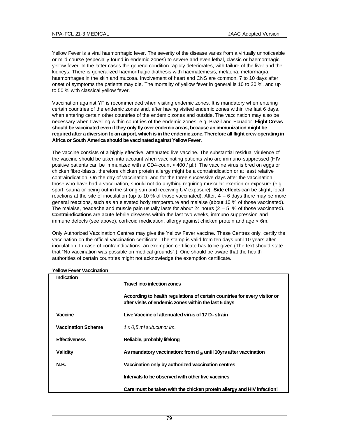Yellow Fever is a viral haemorrhagic fever. The severity of the disease varies from a virtually unnoticeable or mild course (especially found in endemic zones) to severe and even lethal, classic or haemorrhagic yellow fever. In the latter cases the general condition rapidly deteriorates, with failure of the liver and the kidneys. There is generalized haemorrhagic diathesis with haematemesis, melaena, metorrhagia, haemorrhages in the skin and mucosa. Involvement of heart and CNS are common. 7 to 10 days after onset of symptoms the patients may die. The mortality of yellow fever in general is 10 to 20 %, and up to 50 % with classical yellow fever.

Vaccination against YF is recommended when visiting endemic zones. It is mandatory when entering certain countries of the endemic zones and, after having visited endemic zones within the last 6 days, when entering certain other countries of the endemic zones and outside. The vaccination may also be necessary when travelling within countries of the endemic zones, e.g. Brazil and Ecuador. **Flight Crews should be vaccinated even if they only fly over endemic areas, because an immunization might be required after a diversion to an airport, which is in the endemic zone. Therefore all flight crew operating in Africa or South America should be vaccinated against Yellow Fever.** 

The vaccine consists of a highly effective, attenuated live vaccine. The substantial residual virulence of the vaccine should be taken into account when vaccinating patients who are immuno-suppressed (HIV positive patients can be immunized with a CD4-count > 400 / µl.). The vaccine virus is bred on eggs or chicken fibro-blasts, therefore chicken protein allergy might be a contraindication or at least relative contraindication. On the day of vaccination, and for the three successive days after the vaccination, those who have had a vaccination, should not do anything requiring muscular exertion or exposure (e.g. sport, sauna or being out in the strong sun and receiving UV exposure). **Side effects** can be slight, local reactions at the site of inoculation (up to 10 % of those vaccinated). After,  $4 - 6$  days there may be more general reactions, such as an elevated body temperature and malaise (about 10 % of those vaccinated). The malaise, headache and muscle pain usually lasts for about 24 hours  $(2 - 5 \%)$  of those vaccinated). **Contraindications** are acute febrile diseases within the last two weeks, immuno suppression and immune defects (see above), corticoid medication, allergy against chicken protein and age < 6m.

Only Authorized Vaccination Centres may give the Yellow Fever vaccine. These Centres only, certify the vaccination on the official vaccination certificate. The stamp is valid from ten days until 10 years after inoculation. In case of contraindications, an exemption certificate has to be given (The text should state that "No vaccination was possible on medical grounds".). One should be aware that the health authorities of certain countries might not acknowledge the exemption certificate.

| Indication                |                                                                                                                                   |
|---------------------------|-----------------------------------------------------------------------------------------------------------------------------------|
|                           | <b>Travel into infection zones</b>                                                                                                |
|                           | According to health regulations of certain countries for every visitor or<br>after visits of endemic zones within the last 6 days |
| Vaccine                   | Live Vaccine of attenuated virus of 17 D-strain                                                                                   |
| <b>Vaccination Scheme</b> | $1 \times 0.5$ ml sub.cut or im.                                                                                                  |
| <b>Effectiveness</b>      | Reliable, probably lifelong                                                                                                       |
| Validity                  | As mandatory vaccination: from d $_{10}$ until 10yrs after vaccination                                                            |
| <b>N.B.</b>               | Vaccination only by authorized vaccination centres                                                                                |
|                           | Intervals to be observed with other live vaccines                                                                                 |
|                           | Care must be taken with the chicken protein allergy and HIV infection!                                                            |

# **Yellow Fever Vaccination**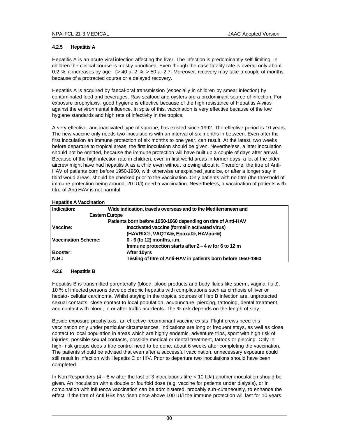# **4.2.5 Hepatitis A**

Hepatitis A is an acute viral infection affecting the liver. The infection is predominantly self- limiting. In children the clinical course is mostly unnoticed. Even though the case fatality rate is overall only about 0,2 %, it increases by age (> 40 a: 2 %, > 50 a: 2,7. Moreover, recovery may take a couple of months, because of a protracted course or a delayed recovery.

Hepatitis A is acquired by faecal-oral transmission (especially in children by smear infection) by contaminated food and beverages. Raw seafood and oysters are a predominant source of infection. For exposure prophylaxis, good hygiene is effective because of the high resistance of Hepatitis A-virus against the environmental influence. In spite of this, vaccination is very effective because of the low hygiene standards and high rate of infectivity in the tropics.

A very effective, and inactivated type of vaccine, has existed since 1992. The effective period is 10 years. The new vaccine only needs two inoculations with an interval of six months in between. Even after the first inoculation an immune protection of six months to one year, can result. At the latest, two weeks before departure to tropical areas, the first inoculation should be given. Nevertheless, a later inoculation should not be omitted, because the immune protection will have built up a couple of days after arrival. Because of the high infection rate in children, even in first world areas in former days, a lot of the older aircrew might have had hepatitis A as a child even without knowing about it. Therefore, the titre of Anti-HAV of patients born before 1950-1960, with otherwise unexplained jaundice, or after a longer stay in third world areas, should be checked prior to the vaccination. Only patients with no titre (the threshold of immune protection being around, 20 IU/l) need a vaccination. Nevertheless, a vaccination of patients with titre of Anti-HAV is not harmful.

**Hepatitis A Vaccination**

| Indication:                | Wide indication, travels overseas and to the Mediterranean and |
|----------------------------|----------------------------------------------------------------|
|                            | <b>Eastern Europe</b>                                          |
|                            | Patients born before 1950-1960 depending on titre of Anti-HAV  |
| Vaccine:                   | Inactivated vaccine (formalin activated virus)                 |
|                            | (HAVRIX®, VAQTA®, Epaxal®, HAVpur®)                            |
| <b>Vaccination Scheme:</b> | 0 - 6 (to 12) months, i.m.                                     |
|                            | Immune protection starts after $2 - 4$ w for 6 to 12 m         |
| Booster:                   | After 10yrs                                                    |
| N.B.:                      | Testing of titre of Anti-HAV in patients born before 1950-1960 |

# **4.2.6 Hepatitis B**

Hepatitis B is transmitted parenterally (blood, blood products and body fluids like sperm, vaginal fluid). 10 % of infected persons develop chronic hepatitis with complications such as cirrhosis of liver or hepato- cellular carcinoma. Whilst staying in the tropics, sources of Hep B infection are, unprotected sexual contacts, close contact to local population, acupuncture, piercing, tattooing, dental treatment, and contact with blood, in or after traffic accidents. The % risk depends on the length of stay.

Beside exposure prophylaxis , an effective recombinant vaccine exists. Flight crews need this vaccination only under particular circumstances. Indications are long or frequent stays, as well as close contact to local population in areas which are highly endemic, adventure trips, sport with high risk of injuries, possible sexual contacts, possible medical or dental treatment, tattoos or piercing. Only in high- risk groups does a titre control need to be done, about 6 weeks after completing the vaccination. The patients should be advised that even after a successful vaccination, unnecessary exposure could still result in infection with Hepatits C or HIV. Prior to departure two inoculations should have been completed.

In Non-Responders  $(4 - 8$  w after the last of 3 inoculations titre  $<$  10 IU/l) another inoculation should be given. An inoculation with a double or fourfold dose (e.g. vaccine for patients under dialysis), or in combination with influenza vaccination can be administered, probably sub-cutaneously, to enhance the effect. If the titre of Anti HBs has risen once above 100 IU/l the immune protection will last for 10 years.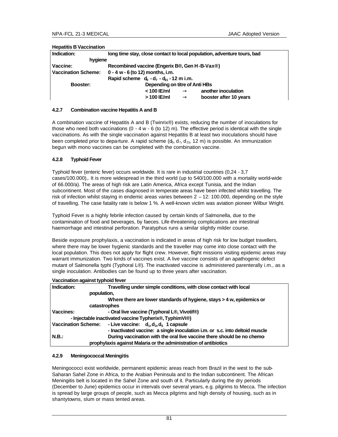| Indication:                | long time stay, close contact to local population, adventure tours, bad |
|----------------------------|-------------------------------------------------------------------------|
| hygiene                    |                                                                         |
| Vaccine:                   | Recombined vaccine (Engerix B®, Gen H-B-Vax®)                           |
| <b>Vaccination Scheme:</b> | $0 - 4 w - 6$ (to 12) months, i.m.                                      |
|                            | Rapid scheme $d_0 - d_7 - d_2 - 12$ m i.m.                              |
| Booster:                   | Depending on titre of Anti HBs                                          |
|                            | $<$ 100 IE/ml<br>another inoculation<br>$^{\circledR}$                  |
|                            | >100 IE/ml<br>booster after 10 years<br>$^{\circledR}$                  |
|                            |                                                                         |

#### **Hepatitis B Vaccination**

## **4.2.7 Combination vaccine Hepatitis A and B**

A combination vaccine of Hepatitis A and B (Twinrix®) exists, reducing the number of inoculations for those who need both vaccinations  $(0 - 4 w - 6 (to 12) m)$ . The effective period is identical with the single vaccinations. As with the single vaccination against Hepatitis B at least two inoculations should have been completed prior to departure. A rapid scheme  $(d_0, d_7, d_{21}, 12 \text{ m})$  is possible. An immunization begun with mono vaccines can be completed with the combination vaccine.

# **4.2.8 Typhoid Fever**

Typhoid fever (enteric fever) occurs worldwide. It is rare in industrial countries (0,24 - 3,7 cases/100.000),. It is more widespread in the third world (up to 540/100.000 with a mortality world-wide of 66.000/a). The areas of high risk are Latin America, Africa except Tunisia, and the Indian subcontinent. Most of the cases diagnosed in temperate areas have been infected whilst travelling. The risk of infection whilst staying in endemic areas varies between 2 – 12: 100.000, depending on the style of travelling. The case fatality rate is below 1 %. A well-known victim was aviation pioneer Wilbur Wright.

Typhoid Fever is a highly febrile infection caused by certain kinds of Salmonella, due to the contamination of food and beverages, by faeces. Life-threatening complications are intestinal haemorrhage and intestinal perforation. Paratyphus runs a similar slightly milder course.

Beside exposure prophylaxis, a vaccination is indicated in areas of high risk for low budget travellers, where there may be lower hygienic standards and the traveller may come into close contact with the local population. This does not apply for flight crew. However, flight missions visiting epidemic areas may warrant immunization. Two kinds of vaccines exist. A live vaccine consists of an apathogenic defect mutant of Salmonella typhi (Typhoral L®). The inactivated vaccine is administered parenterally i.m., as a single inoculation. Antibodies can be found up to three years after vaccination.

| Vaccination against typhoid fever |  |
|-----------------------------------|--|
|                                   |  |

| Indication:                | Travelling under simple conditions, with close contact with local            |
|----------------------------|------------------------------------------------------------------------------|
| population,                |                                                                              |
|                            | Where there are lower standards of hygiene, stays > 4 w, epidemics or        |
| catastrophes               |                                                                              |
| <b>Vaccines:</b>           | - Oral live vaccine (Typhoral L®, Vivotif®)                                  |
|                            | - Injectable inactivated vaccine Typherix®, TyphimVi®)                       |
| <b>Vaccination Scheme:</b> | - Live vaccine: $d_1, d_3, d_5$ 1 capsule                                    |
|                            | - Inactivated vaccine: a single inoculation i.m. or s.c. into deltoid muscle |
| N.B.:                      | During vaccination with the oral live vaccine there should be no chemo-      |
|                            | prophylaxis against Malaria or the administration of antibiotics             |

### **4.2.9 Meningococcal Meningitis**

Meningococci exist worldwide, permanent epidemic areas reach from Brazil in the west to the sub-Saharan Sahel Zone in Africa, to the Arabian Peninsula and to the Indian subcontinent. The African Meningitis belt is located in the Sahel Zone and south of it. Particularly during the dry periods (December to June) epidemics occur in intervals over several years, e.g. pilgrims to Mecca. The infection is spread by large groups of people, such as Mecca pilgrims and high density of housing, such as in shantytowns, slum or mass tented areas.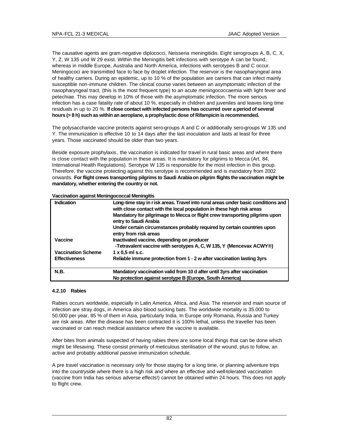The causative agents are gram-negative diplococci, Neisseria meningitidis. Eight serogroups A, B, C, X, Y, Z, W 135 und W 29 exist. Within the Meningitis belt infections with serotype A can be found, whereas in middle Europe, Australia and North America, infections with serotypes B and C occur. Meningococi are transmitted face to face by droplet infection. The reservoir is the nasopharyngeal area of healthy carriers. During an epidemic, up to 10 % of the population are carriers that can infect mainly susceptible non-immune children. The clinical course varies between an asymptomatic infection of the nasopharyngeal tract, (this is the most frequent type) to an acute meningococcaemia with light fever and petechiae. This may develop in 10% of those with the asymptomatic infection. The more serious infection has a case fatality rate of about 10 %, especially in children and juveniles and leaves long time residuals in up to 20 %. **If close contact with infected persons has occurred over a period of several hours (> 8 h) such as within an aeroplane, a prophylactic dose of Rifampicin is recommended.**

The polysaccharide vaccine protects against sero-groups A and C or additionally sero-groups W 135 und Y. The immunization is effective 10 to 14 days after the last inoculation and lasts at least for three years. Those vaccinated should be older than two years.

Beside exposure prophylaxis , the vaccination is indicated for travel in rural basic areas and where there is close contact with the population in these areas. It is mandatory for pilgrims to Mecca (Art. 84, International Health Regulations). Serotype W 135 is responsible for the most infection in this group. Therefore, the vaccine protecting against this serotype is recommended and is mandatory from 2002 onwards. **For flight crews transporting pilgrims to Saudi Arabia on pilgrim flights the vaccination might be mandatory, whether entering the country or not.**

| Indication                | Long-time stay in r isk areas. Travel into rural areas under basic conditions and<br>with close contact with the local population in these high risk areas<br>Mandatory for pilgrimage to Mecca or flight crew transporting pilgrims upon<br>entry to Saudi Arabia<br>Under certain circumstances probably required by certain countries upon<br>entry from risk areas |
|---------------------------|------------------------------------------------------------------------------------------------------------------------------------------------------------------------------------------------------------------------------------------------------------------------------------------------------------------------------------------------------------------------|
| Vaccine                   | Inactivated vaccine, depending on producer<br>-Tetravalent vaccine with serotypes A, C, W 135, Y (Mencevax ACWY®)                                                                                                                                                                                                                                                      |
| <b>Vaccination Scheme</b> | $1 \times 0.5$ ml s.c.                                                                                                                                                                                                                                                                                                                                                 |
| <b>Effectiveness</b>      | Reliable immune protection from 1 - 2 w after vaccination lasting 3yrs                                                                                                                                                                                                                                                                                                 |
| N.B.                      | Mandatory vaccination valid from 10 d after until 3yrs after vaccination<br>No protection against serotype B (Europe, South America)                                                                                                                                                                                                                                   |

**Vaccination against Meningococcal Meningitis**

### **4.2.10 Rabies**

Rabies occurs worldwide, especially in Latin America, Africa, and Asia. The reservoir and main source of infection are stray dogs, in America also blood sucking bats. The worldwide mortality is 35.000 to 50.000 per year, 85 % of them in Asia, particularly India. In Europe only Romania, Russia and Turkey are risk areas. After the disease has been contracted it is 100% lethal, unless the traveller has been vaccinated or can reach medical assistance where the vaccine is available.

After bites from animals suspected of having rabies there are some local things that can be done which might be lifesaving. These consist primarily of meticulous sterilisation of the wound, plus to follow, an active and probably additional passive immunization schedule.

A pre travel vaccination is necessary only for those staying for a long time, or planning adventure trips into the countryside where there is a high risk and where an effective and well-tolerated vaccination (vaccine from India has serious adverse effects!) cannot be obtained within 24 hours. This does not apply to flight crew.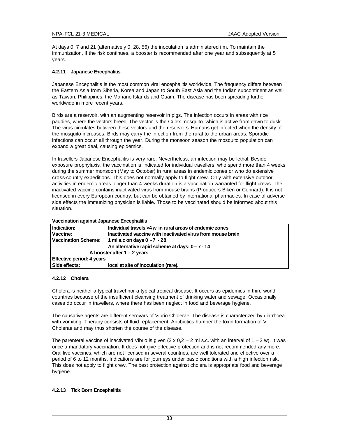At days 0, 7 and 21 (alternatively 0, 28, 56) the inoculation is administered i.m. To maintain the immunization, if the risk continues, a booster is recommended after one year and subsequently at 5 years.

# **4.2.11 Japanese Encephalitis**

Japanese Encephalitis is the most common viral encephalitis worldwide. The frequency differs between the Eastern Asia from Siberia, Korea and Japan to South East Asia and the Indian subcontinent as well as Taiwan, Philippines, the Mariane Islands and Guam. The disease has been spreading further worldwide in more recent years.

Birds are a reservoir, with an augmenting reservoir in pigs. The infection occurs in areas with rice paddies, where the vectors breed. The vector is the Culex mosquito, which is active from dawn to dusk. The virus circulates between these vectors and the reservoirs. Humans get infected when the density of the mosquito increases. Birds may carry the infection from the rural to the urban areas. Sporadic infections can occur all through the year. During the monsoon season the mosquito population can expand a great deal, causing epidemics.

In travellers Japanese Encephalitis is very rare. Nevertheless, an infection may be lethal. Beside exposure prophylaxis, the vaccination is indicated for individual travellers, who spend more than 4 weeks during the summer monsoon (May to October) in rural areas in endemic zones or who do extensive cross-country expeditions. This does not normally apply to flight crew. Only with extensive outdoor activities in endemic areas longer than 4 weeks duration is a vaccination warranted for flight crews. The inactivated vaccine contains inactivated virus from mouse brains (Producers Biken or Connard). It is not licensed in every European country, but can be obtained by international pharmacies. In case of adverse side effects the immunizing physician is liable. Those to be vaccinated should be informed about this situation.

| Indication:                      | Individual travels >4 w in rural areas of endemic zones     |
|----------------------------------|-------------------------------------------------------------|
| Vaccine:                         | Inactivated vaccine with inactivated virus from mouse brain |
|                                  | Vaccination Scheme: 1 ml s.c on days 0 - 7 - 28             |
|                                  | An alternative rapid scheme at days: 0-7-14                 |
|                                  | A booster after $1 - 2$ years                               |
| <b>Effective period: 4 years</b> |                                                             |
| Side effects:                    | local at site of inoculation (rare).                        |

# **4.2.12 Cholera**

Cholera is neither a typical travel nor a typical tropical disease. It occurs as epidemics in third world countries because of the insufficient cleansing treatment of drinking water and sewage. Occasionally cases do occur in travellers, where there has been neglect in food and beverage hygiene.

The causative agents are different serovars of Vibrio Cholerae. The disease is characterized by diarrhoea with vomiting. Therapy consists of fluid replacement. Antibiotics hamper the toxin formation of V. Cholerae and may thus shorten the course of the disease.

The parenteral vaccine of inactivated Vibrio is given  $(2 \times 0.2 - 2 \text{ ml s.c.}$  with an interval of  $1 - 2 \text{ w}$ ). It was once a mandatory vaccination. It does not give effective protection and is not recommended any more. Oral live vaccines, which are not licensed in several countries, are well tolerated and effective over a period of 6 to 12 months. Indications are for journeys under basic conditions with a high infection risk. This does not apply to flight crew. The best protection against cholera is appropriate food and beverage hygiene.

# **4.2.13 Tick Born Encephalitis**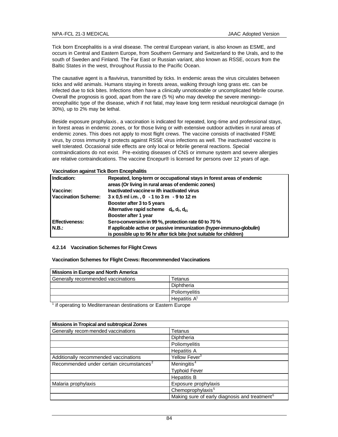Tick born Encephalitis is a viral disease. The central European variant, is also known as ESME, and occurs in Central and Eastern Europe, from Southern Germany and Switzerland to the Urals, and to the south of Sweden and Finland. The Far East or Russian variant, also known as RSSE, occurs from the Baltic States in the west, throughout Russia to the Pacific Ocean.

The causative agent is a flavivirus, transmitted by ticks. In endemic areas the virus circulates between ticks and wild animals. Humans staying in forests areas, walking through long grass etc. can be infected due to tick bites. Infections often have a clinically unnoticeable or uncomplicated febrile course. Overall the prognosis is good, apart from the rare (5 %) who may develop the severe meningoencephalitic type of the disease, which if not fatal, may leave long term residual neurological damage (in 30%), up to 2% may be lethal.

Beside exposure prophylaxis , a vaccination is indicated for repeated, long-time and professional stays, in forest areas in endemic zones, or for those living or with extensive outdoor activities in rural areas of endemic zones. This does not apply to most flight crews. The vaccine consists of inactivated FSME virus, by cross immunity it protects against RSSE virus infections as well. The inactivated vaccine is well tolerated. Occasional side effects are only local or febrile general reactions. Special contraindications do not exist. Pre-existing diseases of CNS or immune system and severe allergies are relative contraindications. The vaccine Encepur® is licensed for persons over 12 years of age.

#### **Vaccination against Tick Born Encephalitis**

| Indication:           | Repeated, long-term or occupational stays in forest areas of endemic<br>areas (Or living in rural areas of endemic zones) |
|-----------------------|---------------------------------------------------------------------------------------------------------------------------|
| Vaccine:              | Inactivated vaccine w ith inactivated virus                                                                               |
| Vaccination Scheme:   | $3 \times 0.5$ ml i.m., 0 - 1 to 3 m - 9 to 12 m                                                                          |
|                       | Booster after 3 to 5 years                                                                                                |
|                       | Alternative rapid scheme $d_0, d_7, d_{21}$                                                                               |
|                       | Booster after 1 year                                                                                                      |
| <b>Effectiveness:</b> | Sero-conversion in 99 %, protection rate 60 to 70 %                                                                       |
| IN.B.:                | If applicable active or passive immunization (hyper-immuno-globulin)                                                      |
|                       | is possible up to 96 hr after tick bite (not suitable for children)                                                       |

### **4.2.14 Vaccination Schemes for Flight Crews**

**Vaccination Schemes for Flight Crews: Recommmended Vaccinations**

| <b>Missions in Europe and North America</b> |                 |  |
|---------------------------------------------|-----------------|--|
| Generally recommended vaccinations          | Tetanus         |  |
|                                             | Diphtheria      |  |
|                                             | Poliomvelitis   |  |
|                                             | Hepatitis $A^1$ |  |

<sup>1</sup> if operating to Mediterranean destinations or Eastern Europe

| <b>Missions in Tropical and subtropical Zones</b>    |                                                           |
|------------------------------------------------------|-----------------------------------------------------------|
| Generally recom mended vaccinations                  | Tetanus                                                   |
|                                                      | Diphtheria                                                |
|                                                      | Poliomyelitis                                             |
|                                                      | <b>Hepatitis A</b>                                        |
| Additionally recommended vaccinations                | Yellow Fever <sup>3</sup>                                 |
| Recommended under certain circumstances <sup>2</sup> | Meningitis <sup>4</sup>                                   |
|                                                      | <b>Typhoid Fever</b>                                      |
|                                                      | <b>Hepatitis B</b>                                        |
| Malaria prophylaxis                                  | Exposure prophylaxis                                      |
|                                                      | Chemoprophylaxis <sup>5</sup>                             |
|                                                      | Making sure of early diagnosis and treatment <sup>6</sup> |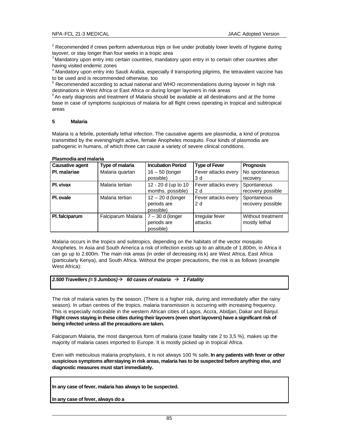$2$  Recommended if crews perform adventurous trips or live under probably lower levels of hygiene during layover, or stay longer than four weeks in a tropic area

 $3$ Mandatory upon entry into certain countries, mandatory upon entry in to certain other countries after having visited endemic zones

<sup>4</sup> Mandatory upon entry into Saudi Arabia, especially if transporting pilgrims, the tetravalent vaccine has to be used and is recommended otherwise, too

<sup>5</sup> Recommended according to actual national and WHO recommendations during layover in high risk destinations in West Africa or East Africa or during longer layovers in risk areas

 $6$ An early diagnosis and treatment of Malaria should be available at all destinations and at the home base in case of symptoms suspicious of malaria for all flight crews operating in tropical and subtropical areas

### **5 Malaria**

Malaria is a febrile, potentially lethal infection. The causative agents are plasmodia, a kind of protozoa transmitted by the evening/night active, female Anopheles mosquito. Four kinds of plasmodia are pathogenic in humans, of which three can cause a variety of severe clinical conditions.

#### **Plasmodia and malaria**

| <b>Causative agent</b> | Type of malaria    | <b>Incubation Period</b> | <b>Type of Fever</b> | <b>Prognosis</b>  |
|------------------------|--------------------|--------------------------|----------------------|-------------------|
| PI. malariae           | Malaria quartan    | $16 - 50$ (longer        | Fever attacks every  | No spontaneous    |
|                        |                    | possible)                | 3 d                  | recovery          |
| Pl. vivax              | Malaria tertian    | 12 - 20 d (up to 10      | Fever attacks every  | Spontaneous       |
|                        |                    | months. possible)        | 2d                   | recovery possible |
| PI. ovale              | Malaria tertian    | $12 - 20$ d (longer      | Fever attacks every  | Spontaneous       |
|                        |                    | periods are              | 2d                   | recovery possible |
|                        |                    | possible)                |                      |                   |
| Pl. falciparum         | Falciparum Malaria | $7 - 30$ d (longer       | Irregular fever      | Without treatment |
|                        |                    | periods are              | attacks              | mostly lethal     |
|                        |                    | possible)                |                      |                   |

Malaria occurs in the tropics and subtropics, depending on the habitats of the vector mosquito Anopheles. In Asia and South America a risk of infection exists up to an altitude of 1.800m, in Africa it can go up to 2.600m. The main risk areas (in order of decreasing ris k) are West Africa, East Africa (particularly Kenya), and South Africa. Without the proper precautions, the risk is as follows (example West Africa):

### *2.500 Travellers (= 5 Jumbos)*‡ *60 cases of malaria* ‡ *1 Fatality*

The risk of malaria varies by the season. (There is a higher risk, during and immediately after the rainy season). In urban centres of the tropics, malaria transmission is occurring with increasing frequency. This is especially noticeable in the western African cities of Lagos, Accra, Abidjan, Dakar and Banjul. **Flight crews staying in these cities during their layovers (even short layovers) have a significant risk of being infected unless all the precautions are taken.** 

Falciparum Malaria, the most dangerous form of malaria (case fatality rate 2 to 3,5 %), makes up the majority of malaria cases imported to Europe. It is mostly picked up in tropical Africa.

Even with meticulous malaria prophylaxis, it is not always 100 % safe**. In any patients with fever or other suspicious symptoms after staying in risk areas, malaria has to be suspected before anything else, and diagnostic measures must start immediately.**

**In any case of fever, malaria has always to be suspected.** 

**In any case of fever, always do a**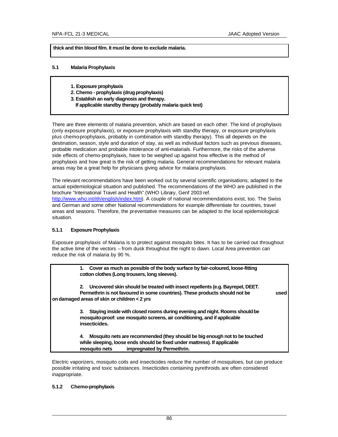**thick and thin blood film. It must be done to exclude malaria.** 

## **5.1 Malaria Prophylaxis**

- **1. Exposure prophylaxis**
- **2. Chemo - prophylaxis (drug prophylaxis)**
- **3. Establish an early diagnosis and therapy.**
- **If applicable standby therapy (probably malaria quick test)**

There are three elements of malaria prevention, which are based on each other. The kind of prophylaxis (only exposure prophylaxis), or exposure prophylaxis with standby therapy, or exposure prophylaxis plus chemo-prophylaxis, probably in combination with standby therapy). This all depends on the destination, season, style and duration of stay, as well as individual factors such as previous diseases, probable medication and probable intolerance of anti-malarials. Furthermore, the risks of the adverse side effects of chemo-prophylaxis, have to be weighed up against how effective is the method of prophylaxis and how great is the risk of getting malaria. General recommendations for relevant malaria areas may be a great help for physicians giving advice for malaria prophylaxis.

The relevant recommendations have been worked out by several scientific organisations, adapted to the actual epidemiological situation and published. The recommendations of the WHO are published in the brochure "International Travel and Health" (WHO Library, Genf 2003 ref.

http://www.who.int/ith/english/index.htm). A couple of national recommendations exist, too. The Swiss and German and some other National recommendations for example differentiate for countries, travel areas and seasons. Therefore, the preventative measures can be adapted to the local epidemiological situation.

### **5.1.1 Exposure Prophylaxis**

Exposure prophylaxis of Malaria is to protect against mosquito bites. It has to be carried out throughout the active time of the vectors – from dusk throughout the night to dawn. Local Area prevention can reduce the risk of malaria by 90 %.

> **1. Cover as much as possible of the body surface by fair-coloured, loose-fitting cotton clothes (Long trousers, long sleeves).**

**2. Uncovered skin should be treated with insect repellents (e.g. Bayrepel, DEET. Permethrin is not favoured in some countries). These products should not be used on damaged areas of skin or children < 2 yrs**

> **3. Staying inside with closed rooms during evening and night. Rooms should be mosquito-proof: use mosquito screens, air conditioning, and if applicable insecticides.**

**4. Mosquito nets are recommended (they should be big enough not to be touched while sleeping, loose ends should be fixed under mattress). If applicable mosquito nets impregnated by Permethrin.**

Electric vaporizers, mosquito coils and insecticides reduce the number of mosquitoes, but can produce possible irritating and toxic substances. Insecticides containing pyrethroids are often considered inappropriate.

### **5.1.2 Chemo-prophylaxis**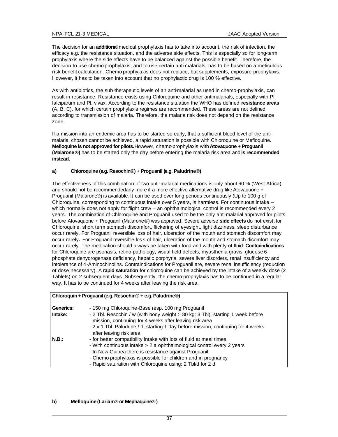The decision for an **additional** medical prophylaxis has to take into account, the risk of infection, the efficacy e.g. the resistance situation, and the adverse side effects. This is especially so for long-term prophylaxis where the side effects have to be balanced against the possible benefit. Therefore, the decision to use chemo-prophylaxis, and to use certain anti-malarials, has to be based on a meticulous risk-benefit-calculation. Chemo-prophylaxis does not replace, but supplements, exposure prophylaxis. However, it has to be taken into account that no prophylactic drug is 100 % effective.

As with antibiotics, the sub-therapeutic levels of an anti-malarial as used in chemo-prophylaxis, can result in resistance. Resistance exists using Chloroquine and other antimalarials, especially with Pl. falciparum and Pl. vivax. According to the resistance situation the WHO has defined **resistance areas (**A, B, C), for which certain prophylaxis regimes are recommended. These areas are not defined according to transmission of malaria. Therefore, the malaria risk does not depend on the resistance zone.

If a mission into an endemic area has to be started so early, that a sufficient blood level of the antimalarial chosen cannot be achieved, a rapid saturation is possible with Chloroquine or Mefloquine. **Mefloquine is not approved for pilots.**However, chemo-prophylaxis with **Atovaquone + Proguanil (Malarone®)** has to be started only the day before entering the malaria risk area and **is recommended instead.**

# **a) Chloroquine (e.g. Resochin®) + Proguanil (e.g. Paludrine®)**

The effectiveness of this combination of two anti-malarial medications is only about 60 % (West Africa) and should not be recommendedany more if a more effective alternative drug like Atovaquone + Proguanil (Malarone®) is available. It can be used over long periods continuously (Up to 100 g of Chloroquine, corresponding to continuous intake over 5 years, is harmless. For continuous intake – which normally does not apply for flight crew – an ophthalmological control is recommended every 2 years. The combination of Chloroquine and Proguanil used to be the only anti-malarial approved for pilots before Atovaquone + Proguanil (Malarone®) was approved. Severe adverse **side effects** do not exist, for Chloroquine, short term stomach discomfort, flickering of eyesight, light dizziness, sleep disturbance occur rarely. For Proguanil reversible loss of hair, ulceration of the mouth and stomach discomfort may occur rarely**.** For Proguanil reversible los s of hair, ulceration of the mouth and stomach dicomfort may occur rarely. The medication should always be taken with food and with plenty of fluid. **Contraindications** for Chloroquine are psoriasis, retino-pathology, visual field defects, myasthenia gravis, glucose-6 phosphate dehydrogenase deficiency, hepatic porphyria, severe liver disorders, renal insufficiency and intolerance of 4-Aminochinolins. Contraindications for Proguanil are, severe renal insufficiency (reduction of dose necessary). A **rapid saturation** for chloroquine can be achieved by the intake of a weekly dose (2 Tablets) on 2 subsequent days. Subsequently, the chemo-prophylaxis has to be continued in a regular way. It has to be continued for 4 weeks after leaving the risk area.

| Chloroquin + Proguanil (e.g. Resochin® + e.g. Paludrine®) |                                                                                                                                                                                                                                                                                                                                      |  |  |  |
|-----------------------------------------------------------|--------------------------------------------------------------------------------------------------------------------------------------------------------------------------------------------------------------------------------------------------------------------------------------------------------------------------------------|--|--|--|
| Generics:<br>Intake:                                      | - 150 mg Chloroquine-Base resp. 100 mg Proguanil<br>- 2 Tbl. Resochin / w (with body weight > 80 kg: 3 Tbl), starting 1 week before<br>mission, continuing for 4 weeks after leaving risk area<br>- 2 x 1 Tbl. Paludrine / d, starting 1 day before mission, continuing for 4 weeks<br>after leaving risk area                       |  |  |  |
| N.B.:                                                     | - for better compatibility intake with lots of fluid at meal times.<br>- With continuous intake > 2 a ophthalmological control every 2 years<br>- In New Guinea there is resistance against Proguanil<br>- Chemo-prophylaxis is possible for children and in pregnancy<br>- Rapid saturation with Chloroquine using: 2 Tbl/d for 2 d |  |  |  |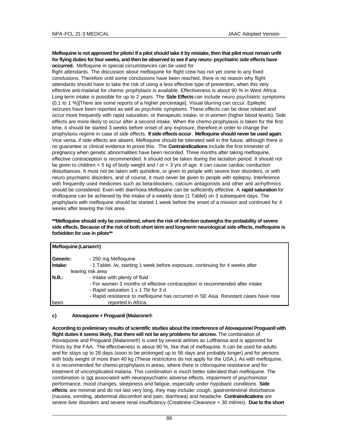### **Mefloquine is not approved for pilots! If a pilot should take it by mistake, then that pilot must remain unfit for flying duties for four weeks, and then be observed to see if any neuro- psychiatric side effects have occurred.** Mefloquine in special circumstances can be used for

flight attendants. The discussion about mefloquine for flight crew has not yet come to any fixed conclusions. Therefore until some conclusions have been reached, there is no reason why flight attendants should have to take the risk of using a less effective type of prevention, when this very effective anti-malarial for chemo- prophylaxis is available. Effectiveness is about 90 % in West Africa. Long-term intake is possible for up to 2 years. The **Side Effects** can include neuro psychiatric symptoms (0,1 to 1 %)[There are some reports of a higher percentage]. Visual blurring can occur. Epileptic seizures have been reported as well as psychotic symptoms. These effects can be dose related and occur more frequently with rapid saturation, or therapeutic intake, or in women (higher blood levels). Side effects are more likely to occur after a second intake. When the chemo-prophylaxis is taken for the first time, it should be started 3 weeks before onset of any exposure, therefore,in order to change the prophylaxis regime in case of side effects. **If side effects occur**, **Mefloquine should never be used again**. Vice versa, if side effects are absent, Mefloquine should be tolerated well in the future, although there is no guarantee or clinical evidence to prove this. The **Contraindications** include the first trimester of pregnancy when genetic abnormalities have been recorded. Three months after taking mefloquine, effective contraception is recommended. It should not be taken during the lactation period. It should not be given to children  $<$  5 kg of body weight and / or  $<$  3 yrs of age. It can cause cardiac conduction disturbances. It must not be taken with quinidine, or given to people with severe liver disorders, or with neuro psychiatric disorders, and of course, it must never be given to people with epilepsy. Interference with frequently used medicines such as beta-blockers, calcium antagonists and other anti arrhythmics should be considered. Even with diarrhoea Mefloquine can be sufficiently effective. A **rapid saturation** for mefloquine can be achieved by the intake of a weekly dose (1 Tablet) on 3 subsequent days. The prophylaxis with mefloquine should be started 1 week before the onset of a mission and continued for 4 weeks after leaving the risk area.

### **\*\*Mefloquine should only be considered, where the risk of infection outweighs the probability of severe side effects. Because of the risk of both short term and long-term neurological side effects, mefloquine is forbidden for use in pilots\*\***

|          | Mefloquine (Lariam <sup>®</sup> )                                                  |  |  |  |
|----------|------------------------------------------------------------------------------------|--|--|--|
| Generic: | - 250 mg Mefloquine                                                                |  |  |  |
| Intake:  | - 1 Tablet. /w, starting 1 week before exposure, continuing for 4 weeks after      |  |  |  |
|          | leaving risk area                                                                  |  |  |  |
| N.B.:    | - Intake with plenty of fluid                                                      |  |  |  |
|          | - For women 3 months of effective contraception is recommended after intake        |  |  |  |
|          | - Rapid saturation 1 x 1 Tbl for 3 d                                               |  |  |  |
|          | - Rapid resistance to mefloquine has occurred in SE Asia. Resistant cases have now |  |  |  |
| been     | reported in Africa.                                                                |  |  |  |

### **c) Atovaquone + Proguanil (Malarone®**

**According to preliminary results of scientific studies about the interference of Atovaquone/ Proguanil with flight duties it seems likely, that there will not be any problems for aircrew.** The combination of Atovaquone and Proguanil (Malarone®) is used by several airlines as Lufthansa and is approved for Pilots by the FAA. The effectiveness is about 90 %, like that of mefloquine. It can be used for adults and for stays up to 28 days (soon to be prolonged up to 56 days and probably longer) and for persons with body weight of more than 40 kg (These restricitons do not apply for the USA.). As with mefloquine, it is recommended for chemo-prophylaxis in areas, where there is chloroquine resistance and for treatment of uncomplicated malaria. This combination is much better tolerated than mefloquine. The combination is not associated with neuropsychiatric adverse effects, impairment of psychomotor performance, mood changes, sleepiness and fatigue, especially under hypobaric conditions. **Side effects** are minimal and do not last very long, they may include: cough, gastrointestinal disturbance (nausea, vomiting, abdominal discomfort and pain, diarrhoea) and headache. **Contraindications** are severe liver disorders and severe renal insufficiency (Creatinine-Clearance < 30 ml/min). **Due to the short**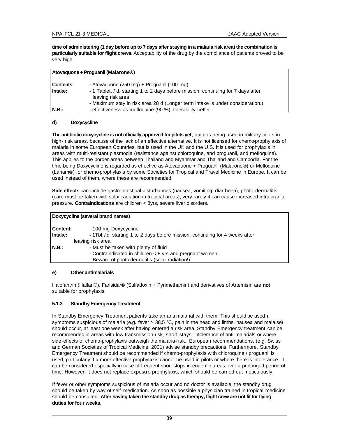**time of administering (1 day before up to 7 days after staying in a malaria risk area) the combination is particularly suitable for flight crews.** Acceptability of the drug by the compliance of patients proved to be very high.

| Atovaquone + Proguanil (Malarone®) |                                                                                                                                                                 |  |  |  |
|------------------------------------|-----------------------------------------------------------------------------------------------------------------------------------------------------------------|--|--|--|
| Contents:<br>Intake:               | - Atovaguone (250 mg) + Proguanil (100 mg)<br>- 1 Tablet. / d, starting 1 to 2 days before mission, continuing for 7 days after                                 |  |  |  |
| N.B.:                              | leaving risk area<br>- Maximum stay in risk area 28 d (Longer term intake is under consideration.)<br>- effectiveness as mefloquine (90 %), tolerability better |  |  |  |

### **d) Doxycycline**

**The antibiotic doxycycline is not officially approved for pilots yet**, but it is being used in military pilots in high- risk areas, because of the lack of an effective alternative. It is not licensed for chemo-prophylaxis of malaria in some European Countries, but is used in the UK and the U.S. It is used for prophylaxis in areas with multi-resistant plasmodia (resistance against chloroquine, and proguanil, and mefloquine). This applies to the border areas between Thailand and Myanmar and Thailand and Cambodia. For the time being Doxycycline is regarded as effective as Atovaquone + Proguanil (Malarone®) or Mefloquine (Lariam®) for chemo-prophylaxis by some Societies for Tropical and Travel Medicine in Europe. It can be used instead of them, where these are recommended.

**Side effects** can include gastrointestinal disturbances (nausea, vomiting, diarrhoea), photo-dermatitis (care must be taken with solar radiation in tropical areas), very rarely it can cause increased intra-cranial pressure. **Contraindications** are children < 8yrs, severe liver disorders.

| Doxycycline (several brand names) |                                                                                |  |  |
|-----------------------------------|--------------------------------------------------------------------------------|--|--|
| Content:                          | - 100 mg Doxycycline                                                           |  |  |
| Intake:                           | - 1Tbl. / d, starting 1 to 2 days before mission, continuing for 4 weeks after |  |  |
|                                   | leaving risk area                                                              |  |  |
| N.B.:                             | - Must be taken with plenty of fluid                                           |  |  |
|                                   | - Contraindicated in children < 8 yrs and pregnant women                       |  |  |
|                                   | - Beware of photo-dermatitis (solar radiation!)                                |  |  |
|                                   |                                                                                |  |  |

### **e) Other antimalarials**

Halofantrin (Halfan®), Fansidar® (Sulfadoxin + Pyrimethamin) and derivatives of Artemisin are **not** suitable for prophylaxis.

# **5.1.3 Standby Emergency Treatment**

In Standby Emergency Treatment patients take an anti-malarial with them. This should be used if symptoms suspicious of malaria (e.g. fever > 38,5 °C, pain in the head and limbs, nausea and malaise) should occur, at least one week after having entered a risk area. Standby Emergency treatment can be recommended in areas with low transmission risk, short stays, intolerance of anti-malarials or where side-effects of chemo-prophylaxis outweigh the malaria-risk. European recommendations, (e.g. Swiss and German Societies of Tropical Medicine, 2001) advise standby precautions. Furthermore, Standby Emergency Treatment should be recommended if chemo-prophylaxis with chloroquine / proguanil is used, particularly if a more effective prophylaxis cannot be used in pilots or where there is intolerance. It can be considered especially in case of frequent short stops in endemic areas over a prolonged period of time. However, it does not replace exposure prophylaxis, which should be carried out meticulously.

If fever or other symptoms suspicious of malaria occur and no doctor is available, the standby drug should be taken by way of self- medication. As soon as possible a physician trained in tropical medicine should be consulted. **After having taken the standby drug as therapy, flight crew are not fit for flying duties for four weeks.**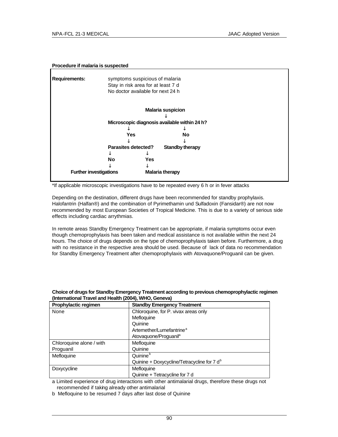## **Procedure if malaria is suspected**

| <b>Requirements:</b>          | symptoms suspicious of malaria<br>Stay in risk area for at least 7 d<br>No doctor available for next 24 h |                          |                        |  |
|-------------------------------|-----------------------------------------------------------------------------------------------------------|--------------------------|------------------------|--|
|                               |                                                                                                           | <b>Malaria suspicion</b> |                        |  |
|                               | Microscopic diagnosis available within 24 h?                                                              |                          |                        |  |
|                               | <b>Yes</b>                                                                                                |                          | No                     |  |
|                               | Parasites detected?                                                                                       |                          | <b>Standby therapy</b> |  |
|                               |                                                                                                           |                          |                        |  |
|                               | No                                                                                                        | Yes                      |                        |  |
| <b>Further investigations</b> |                                                                                                           | <b>Malaria therapy</b>   |                        |  |

\*If applicable microscopic investigations have to be repeated every 6 h or in fever attacks

Depending on the destination, different drugs have been recommended for standby prophylaxis. Halofantrin (Halfan®) and the combination of Pyrimethamin und Sulfadoxin (Fansidar®) are not now recommended by most European Societies of Tropical Medicine. This is due to a variety of serious side effects including cardiac arrythmias.

In remote areas Standby Emergency Treatment can be appropriate, if malaria symptoms occur even though chemoprophylaxis has been taken and medical assistance is not available within the next 24 hours. The choice of drugs depends on the type of chemoprophylaxis taken before. Furthermore, a drug with no resistance in the respective area should be used. Because of lack of data no recommendation for Standby Emergency Treatment after chemoprophylaxis with Atovaquone/Proguanil can be given.

| Prophylactic regimen     | <b>Standby Emergency Treatment</b>             |
|--------------------------|------------------------------------------------|
| None                     | Chloroquine, for P. vivax areas only           |
|                          | Mefloquine                                     |
|                          | Quinine                                        |
|                          | Artemether/Lumefantrine <sup>a</sup>           |
|                          | Atovaguone/Proguanil <sup>a</sup>              |
| Chloroquine alone / with | Mefloquine                                     |
| Proguanil                | Quinine                                        |
| Mefloquine               | Quinine <sup>b</sup>                           |
|                          | Quinine + Doxycycline/Tetracycline for 7 $d^b$ |
| Doxycycline              | Mefloquine                                     |
|                          | Quinine + Tetracycline for 7 d                 |

## **Choice of drugs for Standby Emergency Treatment according to previous chemoprophylactic regimen (International Travel and Health (2004), WHO, Geneva)**

a Limited experience of drug interactions with other antimalarial drugs, therefore these drugs not recommended if taking already other antimalarial

b Mefloquine to be resumed 7 days after last dose of Quinine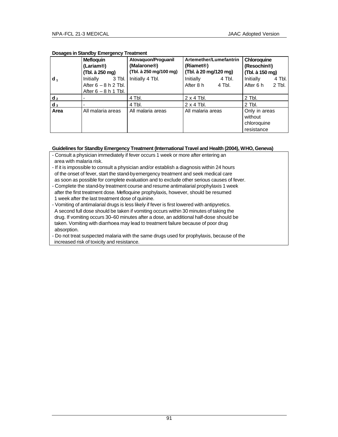|                | <b>Mefloquin</b>                                                        | Atovaguon/Proguanil<br>(Malarone®) | Artemether/Lumefantrin<br>(Riamet <sup>®</sup> ) | Chloroquine                                           |
|----------------|-------------------------------------------------------------------------|------------------------------------|--------------------------------------------------|-------------------------------------------------------|
|                | (Lariam®)<br>(Tbl. à 250 mg)                                            | (Tbl. à 250 mg/100 mg)             | (Tbl. à 20 mg/120 mg)                            | (Resochin <sup>®</sup> )<br>(Tbl. à 150 mg)           |
| $d_1$          | Initially<br>3 Tbl.<br>After $6 - 8$ h 2 Tbl.<br>After $6 - 8$ h 1 Tbl. | Initially 4 Tbl.                   | Initially<br>4 Tbl.<br>After 8 h<br>4 Tbl.       | Initially<br>4 Tbl.<br>After 6 h<br>2 Tbl.            |
| d <sub>2</sub> |                                                                         | 4 Tbl.                             | $2 \times 4$ Tbl.                                | $2$ Tbl.                                              |
| $d_3$          |                                                                         | 4 Tbl.                             | $2 \times 4$ Tbl.                                | $2$ Tbl.                                              |
| Area           | All malaria areas                                                       | All malaria areas                  | All malaria areas                                | Only in areas<br>without<br>chloroquine<br>resistance |

### **Dosages in Standby Emergency Treatment**

### **Guidelines for Standby Emergency Treatment (International Travel and Health (2004), WHO, Geneva)**

- Consult a physician immediately if fever occurs 1 week or more after entering an

- area with malaria risk.
- If it is impossible to consult a physician and/or establish a diagnosis within 24 hours of the onset of fever, start the stand-by emergency treatment and seek medical care as soon as possible for complete evaluation and to exclude other serious causes of fever.
- Complete the stand-by treatment course and resume antimalarial prophylaxis 1 week after the first treatment dose. Mefloquine prophylaxis, however, should be resumed 1 week after the last treatment dose of quinine.
- Vomiting of antimalarial drugs is less likely if fever is first lowered with antipyretics. A second full dose should be taken if vomiting occurs within 30 minutes of taking the drug. If vomiting occurs 30–60 minutes after a dose, an additional half-dose should be taken. Vomiting with diarrhoea may lead to treatment failure because of poor drug absorption.
- Do not treat suspected malaria with the same drugs used for prophylaxis, because of the increased risk of toxicity and resistance.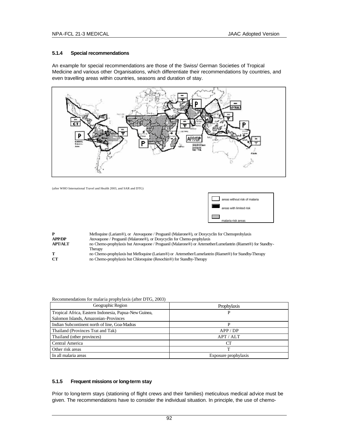### **5.1.4 Special recommendations**

An example for special recommendations are those of the Swiss/ German Societies of Tropical Medicine and various other Organisations, which differentiate their recommendations by countries, and even travelling areas within countries, seasons and duration of stay.



(after WHO International Travel and Health 2003, and SAR and DTG)



| P              | Mefloquine (Lariam®), or Atovaquone / Proguanil (Malarone®), or Doxycyclin for Chemoprohylaxis               |
|----------------|--------------------------------------------------------------------------------------------------------------|
| <b>APP/DP</b>  | Atovaquone / Proguanil (Malarone®), or Doxycyclin for Chemo-prophylaxis                                      |
| <b>APT/ALT</b> | no Chemo-prophylaxis but Atovaquone / Proguanil (Malarone®) or Artemether/Lumefantrin (Riamet®) for Standby- |
|                | Therapy                                                                                                      |
| т              | no Chemo-prophylaxis but Mefloquine (Lariam®) or Artemether/Lumefantrin (Riamet®) for Standby-Therapy        |
| CT.            | no Chemo-prophylaxis but Chloroquine (Resochin <sup>®</sup> ) for Standby-Therapy                            |

| Recommendations for malaria propriyiaxis (after DTG, 2003) |                      |  |
|------------------------------------------------------------|----------------------|--|
| Geographic Region                                          | Prophylaxis          |  |
| Tropical Africa, Eastern Indonesia, Papua-New Guinea,      | P                    |  |
| Salomon Islands, Amazonian-Provinces                       |                      |  |
| Indian Subcontinent north of line, Goa-Madras              | P                    |  |
| Thailand (Provinces Trat and Tak)                          | APP / DP             |  |
| Thailand (other provinces)                                 | APT / ALT            |  |
| Central America                                            | CT                   |  |
| Other risk areas                                           |                      |  |
| In all malaria areas                                       | Exposure prophylaxis |  |
|                                                            |                      |  |

#### Recommendations for malaria prophylaxis (after DTG, 2003)

#### **5.1.5 Frequent missions or long-term stay**

Prior to long-term stays (stationing of flight crews and their families) meticulous medical advice must be given. The recommendations have to consider the individual situation. In principle, the use of chemo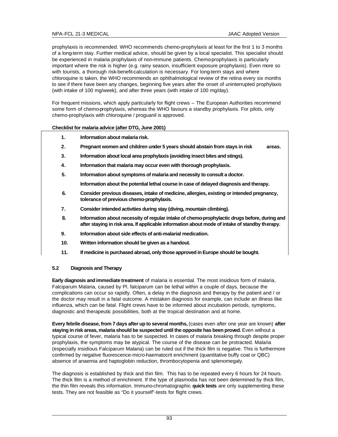prophylaxis is recommended. WHO recommends chemo-prophylaxis at least for the first 1 to 3 months of a long-term stay. Further medical advice, should be given by a local specialist. This specialist should be experienced in malaria prophylaxis of non-immune patients. Chemo-prophylaxis is particularly important where the risk is higher (e.g. rainy season, insufficient exposure prophylaxis). Even more so with tourists, a thorough risk-benefit-calculation is necessary. For long-term stays and where chloroquine is taken, the WHO recommends an ophthalmological review of the retina every six months to see if there have been any changes, beginning five years after the onset of uninterrupted prophylaxis (with intake of 100 mg/week), and after three years (with intake of 100 mg/day).

For frequent missions, which apply particularly for flight crews – The European Authorities recommend some form of chemo-prophylaxis, whereas the WHO favours a standby prophylaxis. For pilots, only chemo-prophylaxis with chloroquine / proguanil is approved.

#### **Checklist for malaria advice (after DTG, June 2001)**

- **1. Information about malaria risk.**
- **2. Pregnant women and children under 5 years should abstain from stays in risk areas.**
- **3. Information about local area prophylaxis (avoiding insect bites and stings).**
- **4. Information that malaria may occur even with thorough prophylaxis.**
- **5. Information about symptoms of malaria and necessity to consult a doctor.**

**Information about the potential lethal course in case of delayed diagnosis and therapy.**

- **6. Consider previous diseases, intake of medicine, allergies, existing or intended pregnancy, tolerance of previous chemo-prophylaxis.**
- **7. Consider intended activities during stay (diving, mountain climbing).**
- **8. Information about necessity of regular intake of chemo-prophylactic drugs before, during and after staying in risk area. If applicable information about mode of intake of standby therapy.**
- **9. Information about side effects of anti-malarial medication.**
- **10. Written information should be given as a handout.**
- **11. If medicine is purchased abroad, only those approved in Europe should be bought.**

### **5.2 Diagnosis and Therapy**

**Early diagnosis and immediate treatment** of malaria is essential. The most insidious form of malaria, Falciparum Malaria, caused by Pl. falciparum can be lethal within a couple of days, because the complications can occur so rapidly. Often, a delay in the diagnosis and therapy by the patient and / or the doctor may result in a fatal outcome. A mistaken diagnosis for example, can include an illness like influenza, which can be fatal. Flight crews have to be informed about incubation periods, symptoms, diagnostic and therapeutic possibilities, both at the tropical destination and at home.

**Every febrile disease, from 7 days after up to several months,** (cases even after one year are known) **after**  staying in risk areas, malaria should be suspected until the opposite has been proved. Even without a typical course of fever, malaria has to be suspected. In cases of malaria breaking through despite proper prophylaxis, the symptoms may be atypical. The course of the disease can be protracted. Malaria (especially insidious Falciparum Malaria) can be ruled out if the thick film is negative. This is furthermore confirmed by negative fluorescence-micro-haematocrit enrichment (quantitative buffy coat or QBC) absence of anaemia and haptoglobin reduction, thrombocytopenia and splenomegaly.

The diagnosis is established by thick and thin film. This has to be repeated every 6 hours for 24 hours. The thick film is a method of enrichment. If the type of plasmodia has not been determined by thick film, the thin film reveals this information. Immuno-chromatographic **quick tests** are only supplementing these tests. They are not feasible as "Do it yourself"-tests for flight crews.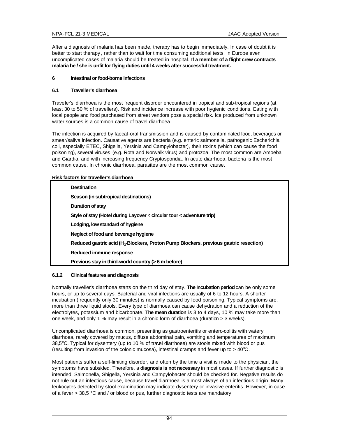After a diagnosis of malaria has been made, therapy has to begin immediately. In case of doubt it is better to start therapy , rather than to wait for time consuming additional tests. In Europe even uncomplicated cases of malaria should be treated in hospital. **If a member of a flight crew contracts malaria he / she is unfit for flying duties until 4 weeks after successful treatment.**

### **6 Intestinal or food-borne infections**

### **6.1 Traveller's diarrhoea**

Traveller's diarrhoea is the most frequent disorder encountered in tropical and sub-tropical regions (at least 30 to 50 % of travellers). Risk and incidence increase with poor hygienic conditions. Eating with local people and food purchased from street vendors pose a special risk. Ice produced from unknown water sources is a common cause of travel diarrhoea.

The infection is acquired by faecal-oral transmission and is caused by contaminated food, beverages or smear/saliva infection. Causative agents are bacteria (e.g. enteric salmonella, pathogenic Escherichia coli, especially ETEC, Shigella, Yersinia and Campylobacter), their toxins (which can cause the food poisoning), several viruses (e.g. Rota and Norwalk virus) and protozoa. The most common are Amoeba and Giardia, and with increasing frequency Cryptosporidia. In acute diarrhoea, bacteria is the most common cause. In chronic diarrhoea, parasites are the most common cause.

### **Risk factors for traveller's diarrhoea**

| <b>Destination</b>                                                                                |
|---------------------------------------------------------------------------------------------------|
| Season (in subtropical destinations)                                                              |
| <b>Duration of stav</b>                                                                           |
| Style of stay (Hotel during Layover $\lt$ circular tour $\lt$ adventure trip)                     |
| Lodging, low standard of hygiene                                                                  |
| Neglect of food and beverage hygiene                                                              |
| Reduced gastric acid (H <sub>2</sub> -Blockers, Proton Pump Blockers, previous gastric resection) |
| Reduced immune response                                                                           |
| Previous stay in third-world country (> 6 m before)                                               |
|                                                                                                   |

### **6.1.2 Clinical features and diagnosis**

Normally traveller's diarrhoea starts on the third day of stay. **The Incubation period** can be only some hours, or up to several days. Bacterial and viral infections are usually of 6 to 12 hours. A shorter incubation (frequently only 30 minutes) is normally caused by food poisoning. Typical symptoms are, more than three liquid stools. Every type of diarrhoea can cause dehydration and a reduction of the electrolytes, potassium and bicarbonate. **The mean duration** is 3 to 4 days, 10 % may take more than one week, and only 1 % may result in a chronic form of diarrhoea (duration > 3 weeks).

Uncomplicated diarrhoea is common, presenting as gastroenteritis or entero-colitis with watery diarrhoea, rarely covered by mucus, diffuse abdominal pain, vomiting and temperatures of maximum  $38.5^{\circ}$ C. Typical for dysentery (up to 10 % of travel diarrhoea) are stools mixed with blood or pus (resulting from invasion of the colonic mucosa), intestinal cramps and fever up to  $> 40^{\circ}\text{C}$ .

Most patients suffer a self-limiting disorder, and often by the time a visit is made to the physician, the symptoms have subsided. Therefore, a **diagnosis is not necessary** in most cases. If further diagnostic is intended, Salmonella, Shigella, Yersinia and Campylobacter should be checked for. Negative results do not rule out an infectious cause, because travel diarrhoea is almost always of an infectious origin. Many leukocytes detected by stool examination may indicate dysentery or invasive enteritis. However, in case of a fever > 38,5 °C and / or blood or pus, further diagnostic tests are mandatory.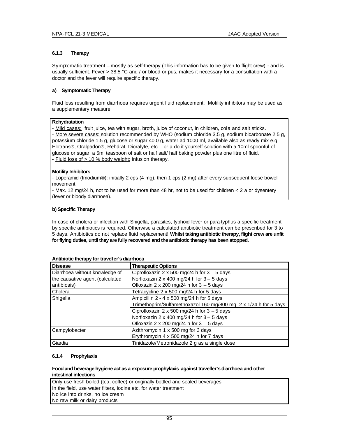## **6.1.3 Therapy**

Symptomatic treatment – mostly as self-therapy (This information has to be given to flight crew) - and is usually sufficient. Fever > 38,5 °C and / or blood or pus, makes it necessary for a consultation with a doctor and the fever will require specific therapy.

### **a) Symptomatic Therapy**

Fluid loss resulting from diarrhoea requires urgent fluid replacement. Motility inhibitors may be used as a supplementary measure:

### **Rehydratation**

- Mild cases: fruit juice, tea with sugar, broth, juice of coconut, in children, cola and salt sticks. - More severe cases: solution recommended by WHO (sodium chloride 3.5 g, sodium bicarbonate 2.5 g, potassium chloride 1.5 g, glucose or sugar 40.0 g, water ad 1000 ml, available also as ready mix e.g. Elotrans®, Oralpädon®, Rehdrat, Dioralyte, etc or a do it yourself solution with a 10ml spoonful of glucose or sugar, a 5ml teaspoon of salt or half salt/ half baking powder plus one litre of fluid. - Fluid loss of > 10 % body weight: infusion therapy.

### **Motility Inhibitors**

- Loperamid (Imodium®): initially 2 cps (4 mg), then 1 cps (2 mg) after every subsequent loose bowel movement

- Max. 12 mg/24 h, not to be used for more than 48 hr, not to be used for children < 2 a or dysentery (fever or bloody diarrhoea).

### **b) Specific Therapy**

In case of cholera or infection with Shigella, parasites, typhoid fever or para-typhus a specific treatment by specific antibiotics is required. Otherwise a calculated antibiotic treatment can be prescribed for 3 to 5 days. Antibiotics do not replace fluid replacement! **Whilst taking antibiotic therapy, flight crew are unfit for flying duties, until they are fully recovered and the antibiotic therapy has been stopped.**

| <b>Disease</b>                  | <b>Therapeutic Options</b>                                       |  |  |
|---------------------------------|------------------------------------------------------------------|--|--|
| Diarrhoea without knowledge of  | Ciprofloxazin 2 x 500 mg/24 h for $3 - 5$ days                   |  |  |
| the causative agent (calculated | Norfloxazin 2 x 400 mg/24 h for $3 - 5$ days                     |  |  |
| antibiosis)                     | Ofloxazin 2 x 200 mg/24 h for $3 - 5$ days                       |  |  |
| Cholera                         | Tetracycline 2 x 500 mg/24 h for 5 days                          |  |  |
| Shigella                        | Ampicillin $2 - 4 \times 500$ mg/24 h for 5 days                 |  |  |
|                                 | Trimethoprim/Sulfamethoxazol 160 mg/800 mg 2 x 1/24 h for 5 days |  |  |
|                                 | Ciprofloxazin 2 x 500 mg/24 h for $3 - 5$ days                   |  |  |
|                                 | Norfloxazin 2 x 400 mg/24 h for $3 - 5$ days                     |  |  |
|                                 | Ofloxazin 2 x 200 mg/24 h for $3 - 5$ days                       |  |  |
| Campylobacter                   | Azithromycin 1 x 500 mg for 3 days                               |  |  |
|                                 | Erythromycin 4 x 500 mg/24 h for 7 days                          |  |  |
| Giardia                         | Tinidazole/Metronidazole 2 g as a single dose                    |  |  |

#### **Antibiotic therapy for traveller's diarrhoea**

### **6.1.4 Prophylaxis**

### **Food and beverage hygiene act as a exposure prophylaxis against traveller's diarrhoea and other intestinal infections**

Only use fresh boiled (tea, coffee) or originally bottled and sealed beverages In the field, use water filters, iodine etc. for water treatment No ice into drinks, no ice cream No raw milk or dairy products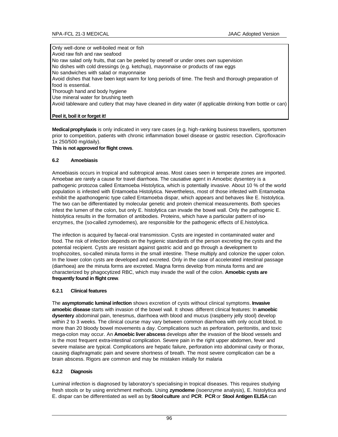Only well-done or well-boiled meat or fish Avoid raw fish and raw seafood No raw salad only fruits, that can be peeled by oneself or under ones own supervision No dishes with cold dressings (e.g. ketchup), mayonnaise or products of raw eggs No sandwiches with salad or mayonnaise Avoid dishes that have been kept warm for long periods of time. The fresh and thorough preparation of food is essential. Thorough hand and body hygiene Use mineral water for brushing teeth Avoid tableware and cutlery that may have cleaned in dirty water (if applicable drinking from bottle or can)

# **Peel it, boil it or forget it!**

**Medical prophylaxis** is only indicated in very rare cases (e.g. high-ranking business travellers, sportsmen prior to competition, patients with chronic inflammation bowel disease or gastric resection. Ciprofloxacin-1x 250/500 mg/daily).

### **This is not approved for flight crews**.

### **6.2 Amoebiasis**

Amoebiasis occurs in tropical and subtropical areas. Most cases seen in temperate zones are imported. Amoebae are rarely a cause for travel diarrhoea. The causative agent in Amoebic dysentery is a pathogenic protozoa called Entamoeba Histolytica, which is potentially invasive. About 10 % of the world population is infested with Entamoeba Histolytica. Nevertheless, most of those infested with Entamoeba exhibit the apathonogenic type called Entamoeba dispar, which appears and behaves like E. histolytica. The two can be differentiated by molecular genetic and protein chemical measurements. Both species infest the lumen of the colon, but only E. histolytica can invade the bowel wall. Only the pathogenic E. histolytica results in the formation of antibodies. Proteins, which have a particular pattern of isoenzymes, the (so-called zymodemes), are responsible for the pathogenic effects of E.histolytica.

The infection is acquired by faecal-oral transmission. Cysts are ingested in contaminated water and food. The risk of infection depends on the hygienic standards of the person excreting the cysts and the potential recipient. Cysts are resistant against gastric acid and go through a development to trophozoites, so-called minuta forms in the small intestine. These multiply and colonize the upper colon. In the lower colon cysts are developed and excreted. Only in the case of accelerated intestinal passage (diarrhoea) are the minuta forms are excreted. Magna forms develop from minuta forms and are characterized by phagocytized RBC, which may invade the wall of the colon. **Amoebic cysts are frequently found in flight crew**.

# **6.2.1 Clinical features**

The **asymptomatic luminal infection** shows excretion of cysts without clinical symptoms. **Invasive amoebic disease** starts with invasion of the bowel wall. It shows different clinical features: In **amoebic dysentery** abdominal pain, tenesmus, diarrhoea with blood and mucus (raspberry jelly stool) develop within 2 to 3 weeks. The clinical course may vary between common diarrhoea with only occult blood, to more than 20 bloody bowel movements a day. Complications such as perforation, peritonitis, and toxic mega-colon may occur. An **Amoebic liver abscess** develops after the invasion of the blood vessels and is the most frequent extra-intestinal complication. Severe pain in the right upper abdomen, fever and severe malaise are typical. Complications are hepatic failure, perforation into abdominal cavity or thorax, causing diaphragmatic pain and severe shortness of breath. The most severe complication can be a brain abscess. Rigors are common and may be mistaken initially for malaria

# **6.2.2 Diagnosis**

Luminal infection is diagnosed by laboratory's specialising in tropical diseases. This requires studying fresh stools or by using enrichment methods. Using **zymodeme** (isoenzyme analysis), E. histolytica and E. dispar can be differentiated as well as by **Stool culture** and **PCR**. **PCR** or **Stool Antigen ELISA** can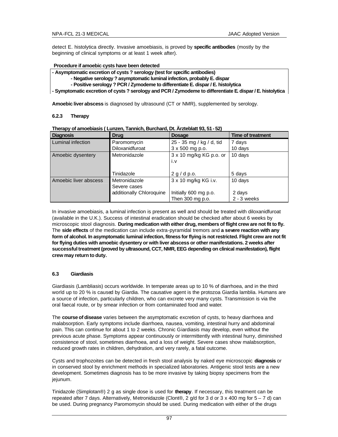detect E. histolytica directly. Invasive amoebiasis, is proved by **specific antibodies** (mostly by the beginning of clinical symptoms or at least 1 week after).

### **Procedure if amoebic cysts have been detected**

**- Asymptomatic excretion of cysts ? serology (test for specific antibodies)**

- **Negative serology ? asymptomatic luminal infection, probably E. dispar**
- **Positive serology ? PCR / Zymodeme to differentiate E. dispar / E. histolytica**

**- Symptomatic excretion of cysts ? serology and PCR / Zymodeme to differentiate E. dispar / E. histolytica**

**Amoebic liver abscess** is diagnosed by ultrasound (CT or NMR), supplemented by serology.

### **6.2.3 Therapy**

| <b>Diagnosis</b>      | <b>Drug</b>              | <b>Dosage</b>            | <b>Time of treatment</b> |
|-----------------------|--------------------------|--------------------------|--------------------------|
| Luminal infection     | Paromomycin              | 25 - 35 mg / kg / d, tid | 7 days                   |
|                       | Diloxanidfuroat          | 3 x 500 mg p.o.          | 10 days                  |
| Amoebic dysentery     | Metronidazole            | 3 x 10 mg/kg KG p.o. or  | 10 days                  |
|                       |                          | i.v                      |                          |
|                       |                          |                          |                          |
|                       | Tinidazole               | 2 g/d p.o.               | 5 days                   |
| Amoebic liver abscess | Metronidazole            | 3 x 10 mg/kg KG i.v.     | 10 days                  |
|                       | Severe cases             |                          |                          |
|                       | additionally Chloroquine | Initially 600 mg p.o.    | 2 days                   |
|                       |                          | Then 300 mg p.o.         | $2 - 3$ weeks            |

**Therapy of amoebiasis ( Lunzen, Tannich, Burchard, Dt. Ärzteblatt 93, 51 - 52)**

In invasive amoebiasis, a luminal infection is present as well and should be treated with diloxanidfuroat (available in the U.K.). Success of intestinal eradication should be checked after about 6 weeks by microscopic stool diagnosis. **During medication with either drug, members of flight crew are not fit to fly.**  The **side effects** of the medication can include extra-pyramidal tremors and **a severe reaction with any form of alcohol. In asymptomatic luminal infection, fitness for flying is not restricted. Flight crew are not fit for flying duties with amoebic dysentery or with liver abscess or other manifestations. 2 weeks after successful treatment (proved by ultrasound, CCT, NMR, EEG depending on clinical manifestation), flight crew may return to duty.**

### **6.3 Giardiasis**

Giardiasis (Lambliasis) occurs worldwide. In temperate areas up to 10 % of diarrhoea, and in the third world up to 20 % is caused by Giardia. The causative agent is the protozoa Giardia lamblia. Humans are a source of infection, particularly children, who can excrete very many cysts. Transmission is via the oral faecal route, or by smear infection or from contaminated food and water.

The **course of disease** varies between the asymptomatic excretion of cysts, to heavy diarrhoea and malabsorption. Early symptoms include diarrhoea, nausea, vomiting, intestinal hurry and abdominal pain. This can continue for about 1 to 2 weeks. Chronic Giardiasis may develop, even without the previous acute phase. Symptoms appear continuously or intermittently with intestinal hurry, diminished consistence of stool, sometimes diarrhoea, and a loss of weight. Severe cases show malabsorption, reduced growth rates in children, dehydration, and very rarely, a fatal outcome.

Cysts and trophozoites can be detected in fresh stool analysis by naked eye microscopic **diagnosis** or in conserved stool by enrichment methods in specialized laboratories. Antigenic stool tests are a new development. Sometimes diagnosis has to be more invasive by taking biopsy specimens from the jejunum.

Tinidazole (Simplotan®) 2 g as single dose is used for **therapy**. If necessary, this treatment can be repeated after 7 days. Alternatively, Metronidazole (Clont®, 2 g/d for 3 d or 3 x 400 mg for 5 – 7 d) can be used. During pregnancy Paromomycin should be used. During medication with either of the drugs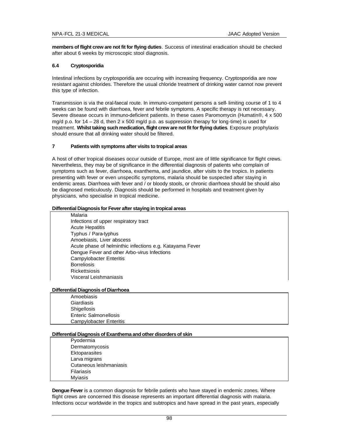**members of flight crew are not fit for flying duties**. Success of intestinal eradication should be checked after about 6 weeks by microscopic stool diagnosis.

### **6.4 Cryptosporidia**

Intestinal infections by cryptosporidia are occuring with increasing frequency. Cryptosporidia are now resistant against chlorides. Therefore the usual chloride treatment of drinking water cannot now prevent this type of infection.

Transmission is via the oral-faecal route. In immuno-competent persons a self- limiting course of 1 to 4 weeks can be found with diarrhoea, fever and febrile symptoms. A specific therapy is not necessary. Severe disease occurs in immuno-deficient patients. In these cases Paromomycin (Humatin®, 4 x 500 mg/d p.o. for 14 – 28 d, then 2 x 500 mg/d p.o. as suppression therapy for long-time) is used for treatment. **Whilst taking such medication, flight crew are not fit for flying duties**. Exposure prophylaxis should ensure that all drinking water should be filtered.

#### **7 Patients with symptoms after visits to tropical areas**

A host of other tropical diseases occur outside of Europe, most are of little significance for flight crews. Nevertheless, they may be of significance in the differential diagnosis of patients who complain of symptoms such as fever, diarrhoea, exanthema, and jaundice, after visits to the tropics. In patients presenting with fever or even unspecific symptoms, malaria should be suspected after staying in endemic areas. Diarrhoea with fever and / or bloody stools, or chronic diarrhoea should be should also be diagnosed meticulously. Diagnosis should be performed in hospitals and treatment given by physicians, who specialise in tropical medicine.

#### **Differential Diagnosis for Fever after staying in tropical areas**

Malaria Infections of upper respiratory tract Acute Hepatitis Typhus / Para-typhus Amoebiasis, Liver abscess Acute phase of helminthic infections e.g. Katayama Fever Dengue Fever and other Arbo-virus Infections Campylobacter Enteritis **Borreliosis Rickettsiosis** Visceral Leishmaniasis

#### **Differential Diagnosis of Diarrhoea**

| Amoebiasis                     |
|--------------------------------|
| Giardiasis                     |
| Shigellosis                    |
| <b>Enteric Salmonellosis</b>   |
| <b>Campylobacter Enteritis</b> |

#### **Differential Diagnosis of Exanthema and other disorders of skin**

Pyodermia Dermatomycosis **Ektoparasites** Larva migrans Cutaneous leishmaniasis Filariasis Myiasis

**Dengue Fever** is a common diagnosis for febrile patients who have stayed in endemic zones. Where flight crews are concerned this disease represents an important differential diagnosis with malaria. Infections occur worldwide in the tropics and subtropics and have spread in the past years, especially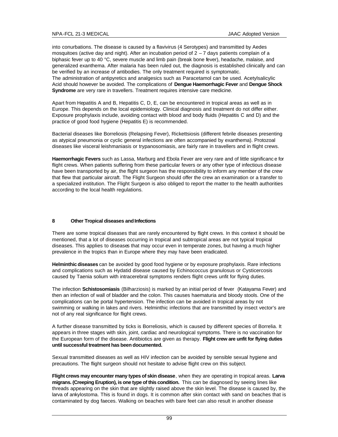into conurbations. The disease is caused by a flavivirus (4 Serotypes) and transmitted by Aedes mosquitoes (active day and night). After an incubation period of  $2 - 7$  days patients complain of a biphasic fever up to 40 °C, severe muscle and limb pain (break bone fever), headache, malaise, and generalized exanthema. After malaria has been ruled out, the diagnosis is established clinically and can be verified by an increase of antibodies. The only treatment required is symptomatic. The administration of antipyretics and analgesics such as Paracetamol can be used. Acetylsalicylic Acid should however be avoided. The complications of **Dengue Haemorrhagic Fever** and **Dengue Shock Syndrome** are very rare in travellers. Treatment requires intensive care medicine.

Apart from Hepatitis A and B, Hepatitis C, D, E, can be encountered in tropical areas as well as in Europe. This depends on the local epidemiology. Clinical diagnosis and treatment do not differ either. Exposure prophylaxis include, avoiding contact with blood and body fluids (Hepatitis C and D) and the practice of good food hygiene (Hepatitis E) is recommended.

Bacterial diseases like Borreliosis (Relapsing Fever), Rickettsiosis (different febrile diseases presenting as atypical pneumonia or cyclic general infections are often accompanied by exanthema). Protozoal diseases like visceral leishmaniasis or trypanosomiasis, are fairly rare in travellers and in flight crews.

**Haemorrhagic Fevers** such as Lassa, Marburg and Ebola Fever are very rare and of little significanc e for flight crews. When patients suffering from these particular fevers or any other type of infectious disease have been transported by air, the flight surgeon has the responsibility to inform any member of the crew that flew that particular aircraft. The Flight Surgeon should offer the crew an examination or a transfer to a specialized institution. The Flight Surgeon is also obliged to report the matter to the health authorities according to the local health regulations.

# **8 Other Tropical diseases and Infections**

There are some tropical diseases that are rarely encountered by flight crews. In this context it should be mentioned, that a lot of diseases occurring in tropical and subtropical areas are not typical tropical diseases. This applies to diseases that may occur even in temperate zones, but having a much higher prevalence in the tropics than in Europe where they may have been eradicated.

**Helminthic diseases** can be avoided by good food hygiene or by exposure prophylaxis. Rare infections and complications such as Hydatid disease caused by Echinococcus granulosus or Cysticercosis caused by Taenia solium with intracerebral symptoms renders flight crews unfit for flying duties.

The infection **Schistosomiasis** (Bilharziosis) is marked by an initial period of fever (Katayama Fever) and then an infection of wall of bladder and the colon. This causes haematuria and bloody stools. One of the complications can be portal hypertension. The infection can be avoided in tropical areas by not swimming or walking in lakes and rivers. Helminthic infections that are transmitted by insect vector's are not of any real significance for flight crews.

A further disease transmitted by ticks is Borreliosis, which is caused by different species of Borrelia. It appears in three stages with skin, joint, cardiac and neurological symptoms. There is no vaccination for the European form of the disease. Antibiotics are given as therapy. **Flight crew are unfit for flying duties until successful treatment has been documented.**

Sexual transmitted diseases as well as HIV infection can be avoided by sensible sexual hygiene and precautions. The flight surgeon should not hesitate to advise flight crew on this subject.

**Flight crews may encounter many types of skin disease**, when they are operating in tropical areas. **Larva migrans. (Creeping Eruption), is one type of this condition.** This can be diagnosed by seeing lines like threads appearing on the skin that are slightly raised above the skin level. The disease is caused by, the larva of ankylostoma. This is found in dogs. It is common after skin contact with sand on beaches that is contaminated by dog faeces. Walking on beaches with bare feet can also result in another disease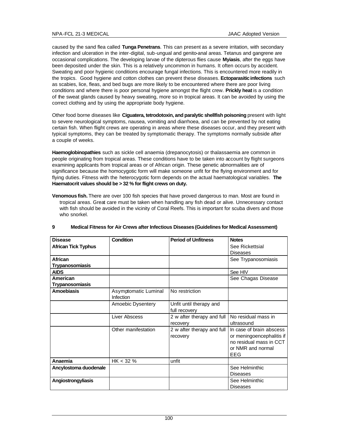caused by the sand flea called **Tunga Penetrans**. This can present as a severe irritation, with secondary infection and ulceration in the inter-digital, sub-ungual and genito-anal areas. Tetanus and gangrene are occasional complications. The developing larvae of the dipterous flies cause **Myiasis**, after the eggs have been deposited under the skin. This is a relatively uncommon in humans. It often occurs by accident. Sweating and poor hygienic conditions encourage fungal infections. This is encountered more readily in the tropics. Good hygiene and cotton clothes can prevent these diseases. **Ectoparasitic infections** such as scabies, lice, fleas, and bed bugs are more likely to be encountered where there are poor living conditions and where there is poor personal hygiene amongst the flight crew. **Prickly heat** is a condition of the sweat glands caused by heavy sweating, more so in tropical areas. It can be avoided by using the correct clothing and by using the appropriate body hygiene.

Other food borne diseases like **Ciguatera, tetrodotoxin, and paralytic shellfish poisoning** present with light to severe neurological symptoms, nausea, vomiting and diarrhoea, and can be prevented by not eating certain fish. When flight crews are operating in areas where these diseases occur, and they present with typical symptoms, they can be treated by symptomatic therapy. The symptoms normally subside after a couple of weeks.

**Haemoglobinopathies** such as sickle cell anaemia (drepanocytosis) or thalassaemia are common in people originating from tropical areas. These conditions have to be taken into account by flight surgeons examining applicants from tropical areas or of African origin. These genetic abnormalities are of significance because the homocygotic form will make someone unfit for the flying environment and for flying duties. Fitness with the heterocygotic form depends on the actual haematological variables. **The Haematocrit values should be > 32 % for flight crews on duty.**

**Venomous fish.** There are over 100 fish species that have proved dangerous to man. Most are found in tropical areas. Great care must be taken when handling any fish dead or alive. Unnecessary contact with fish should be avoided in the vicinity of Coral Reefs. This is important for scuba divers and those who snorkel.

| <b>Disease</b>             | Condition            | <b>Period of Unfitness</b> | <b>Notes</b>              |
|----------------------------|----------------------|----------------------------|---------------------------|
| <b>African Tick Typhus</b> |                      |                            | See Rickettsial           |
|                            |                      |                            | <b>Diseases</b>           |
| <b>African</b>             |                      |                            | See Trypanosomiasis       |
| <b>Trypanosomiasis</b>     |                      |                            |                           |
| <b>AIDS</b>                |                      |                            | See HIV                   |
| American                   |                      |                            | See Chagas Disease        |
| <b>Trypanosomiasis</b>     |                      |                            |                           |
| <b>Amoebiasis</b>          | Asymptomatic Luminal | No restriction             |                           |
|                            | Infection            |                            |                           |
|                            | Amoebic Dysentery    | Unfit until therapy and    |                           |
|                            |                      | full recovery              |                           |
|                            | Liver Abscess        | 2 w after therapy and full | No residual mass in       |
|                            |                      | recovery                   | ultrasound                |
|                            | Other manifestation  | 2 w after therapy and full | In case of brain abscess  |
|                            |                      | recovery                   | or meningoencephalitis if |
|                            |                      |                            | no residual mass in CCT   |
|                            |                      |                            | or NMR and normal         |
|                            |                      |                            | EEG                       |
| Anaemia                    | HK < 32%             | unfit                      |                           |
| Ancylostoma duodenale      |                      |                            | See Helminthic            |
|                            |                      |                            | <b>Diseases</b>           |
| Angiostrongyliasis         |                      |                            | See Helminthic            |
|                            |                      |                            | <b>Diseases</b>           |

# **9 Medical Fitness for Air Crews after Infectious Diseases (Guidelines for Medical Assessment)**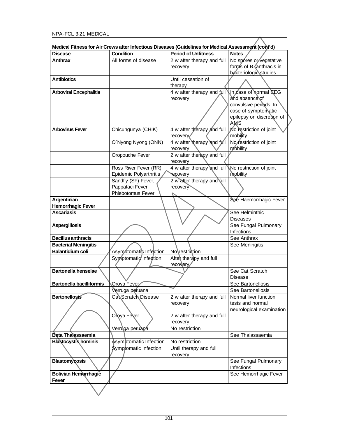| <b>Disease</b>                                                                                                                                                              | <b>Condition</b>              | <b>Period of Unfitness</b> | (Medical Fitness for Air Crews after Infectious Diseases (Guidelines for Medical Assessment (cont'd<br><b>Notes</b> |
|-----------------------------------------------------------------------------------------------------------------------------------------------------------------------------|-------------------------------|----------------------------|---------------------------------------------------------------------------------------------------------------------|
| <b>Anthrax</b>                                                                                                                                                              | All forms of disease          | 2 w after therapy and full | No spores or vegetative                                                                                             |
|                                                                                                                                                                             |                               | recovery                   | forms of B. anthracis in                                                                                            |
|                                                                                                                                                                             |                               |                            | bacteriologic studies                                                                                               |
| <b>Antibiotics</b>                                                                                                                                                          |                               | Until cessation of         |                                                                                                                     |
|                                                                                                                                                                             |                               | therapy                    |                                                                                                                     |
| <b>Arboviral Encephalitis</b>                                                                                                                                               |                               | 4 w after therapy and full | In case of hormal EEG                                                                                               |
|                                                                                                                                                                             |                               | recovery                   | and absence of                                                                                                      |
|                                                                                                                                                                             |                               |                            | convulsive periods. In                                                                                              |
|                                                                                                                                                                             |                               |                            | case of symptomatic                                                                                                 |
|                                                                                                                                                                             |                               |                            | epilepsy on discretion of                                                                                           |
|                                                                                                                                                                             |                               |                            | AMS                                                                                                                 |
| <b>Arbovirus Fever</b>                                                                                                                                                      | Chicungunya (CHIK)            | 4 w after therapy and full | No restriction of joint                                                                                             |
|                                                                                                                                                                             |                               | recovery/                  | mobility                                                                                                            |
|                                                                                                                                                                             | O'Nyong Nyong (ONN)           | 4 w after therapy and full | No restriction of joint                                                                                             |
|                                                                                                                                                                             |                               | recovery                   | mobility                                                                                                            |
|                                                                                                                                                                             | Oropouche Fever               | 2 w after therapy and full |                                                                                                                     |
|                                                                                                                                                                             |                               | recovery                   |                                                                                                                     |
|                                                                                                                                                                             | Ross River Fever (RR),        | 4 w after therapy and full | No restriction of joint                                                                                             |
|                                                                                                                                                                             | <b>Epidemic Polyarthritis</b> | <b>recovery</b>            | mobility                                                                                                            |
|                                                                                                                                                                             | Sandfly (SF) Fever,           | 2 w after therapy and full |                                                                                                                     |
|                                                                                                                                                                             | Pappataci Fever               | recovery                   |                                                                                                                     |
|                                                                                                                                                                             | Phlebotomus Fever             |                            |                                                                                                                     |
| Argentinian                                                                                                                                                                 |                               |                            | See Haemorrhagic Fever                                                                                              |
| <b>Hemorrhagic Fever</b>                                                                                                                                                    |                               |                            |                                                                                                                     |
| <b>Ascariasis</b>                                                                                                                                                           |                               |                            | See Helminthic                                                                                                      |
|                                                                                                                                                                             |                               |                            | <b>Diseases</b>                                                                                                     |
| <b>Aspergillosis</b>                                                                                                                                                        |                               |                            | See Fungal Pulmonary                                                                                                |
|                                                                                                                                                                             |                               |                            | <b>Infections</b>                                                                                                   |
| <b>Bacillus anthracis</b>                                                                                                                                                   |                               |                            | See Anthrax                                                                                                         |
| <b>Bacterial Meningitis</b>                                                                                                                                                 |                               |                            | See Meningitis                                                                                                      |
| <b>Balantidium coli</b>                                                                                                                                                     | Asymptomatic Infection        | No\restriction             |                                                                                                                     |
|                                                                                                                                                                             | Symptomatio infection         | After therapy and full     |                                                                                                                     |
|                                                                                                                                                                             |                               | recovery                   |                                                                                                                     |
| <b>Bartonella henselae</b>                                                                                                                                                  |                               |                            | See Cat Scratch                                                                                                     |
|                                                                                                                                                                             |                               |                            |                                                                                                                     |
|                                                                                                                                                                             |                               |                            |                                                                                                                     |
|                                                                                                                                                                             |                               |                            | Disease                                                                                                             |
|                                                                                                                                                                             | Oroya Fever                   |                            | See Bartonellosis                                                                                                   |
|                                                                                                                                                                             | Verruga peruana               |                            | See Bartonellosis                                                                                                   |
|                                                                                                                                                                             | Cal Scratch Disease           | 2 w after therapy and full | Normal liver function                                                                                               |
|                                                                                                                                                                             |                               | recovery                   | tests and normal                                                                                                    |
|                                                                                                                                                                             |                               |                            |                                                                                                                     |
|                                                                                                                                                                             | Oroya Fever                   | 2 w after therapy and full |                                                                                                                     |
|                                                                                                                                                                             |                               | recovery                   |                                                                                                                     |
|                                                                                                                                                                             | Verruga peruana               | No restriction             |                                                                                                                     |
|                                                                                                                                                                             |                               |                            | See Thalassaemia                                                                                                    |
|                                                                                                                                                                             | Asymptomatic Infection        | No restriction             |                                                                                                                     |
|                                                                                                                                                                             | Symptomatic infection         | Until therapy and full     |                                                                                                                     |
|                                                                                                                                                                             |                               | recovery                   |                                                                                                                     |
|                                                                                                                                                                             |                               |                            | See Fungal Pulmonary                                                                                                |
|                                                                                                                                                                             |                               |                            | Infections                                                                                                          |
| <b>Bartonella bacilliformis</b><br><b>Bartonellosis</b><br>Beta Thalassaemia<br><b>Blastocystis hominis</b><br><b>Blastomycosis</b><br><b>Bolivian Hemorrhagic</b><br>Fever |                               |                            | neurological examination<br>See Hemorrhagic Fever                                                                   |

| Medical Fitness for Air Crews after Infectious Diseases (Guidelines for Medical Assessment (cont'd) |  |
|-----------------------------------------------------------------------------------------------------|--|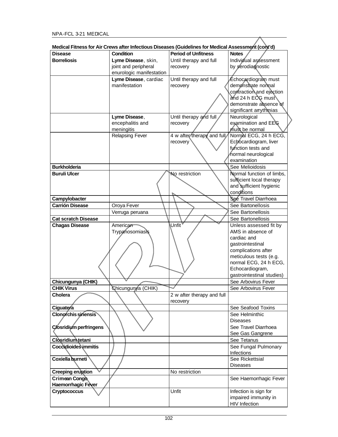|                               | Medical Fitness for All Crews after imeguous Diseases (Quidemies for Medical Assessment (Corit u) |                            |                           |
|-------------------------------|---------------------------------------------------------------------------------------------------|----------------------------|---------------------------|
| <b>Disease</b>                | <b>Condition</b>                                                                                  | <b>Period of Unfitness</b> | <b>Notes</b>              |
| <b>Borreliosis</b>            | Lyme Disease, skin,                                                                               | Until therapy and full     | Individual assessment     |
|                               | joint and peripheral                                                                              | recovery                   | by serodiagnostic         |
|                               | enurologic manifestation                                                                          |                            |                           |
|                               | Lyme Disease, cardiac                                                                             | Until therapy and full     | ∕Échocardiogram must      |
|                               | manifestation                                                                                     | recovery                   | demonstrate normal        |
|                               |                                                                                                   |                            | contraction and ejection  |
|                               |                                                                                                   |                            | and 24 h ECG must         |
|                               |                                                                                                   |                            | demonstrate absence of    |
|                               |                                                                                                   |                            | significant arrythmias    |
|                               | Lyme Disease,                                                                                     | Until therapy and full     | Neurological              |
|                               | encephalitis and                                                                                  | recovery                   | examination and EEG       |
|                               | meningitis                                                                                        |                            | must be normal            |
|                               | <b>Relapsing Fever</b>                                                                            | 4 w after therapy and full | Normal ECG, 24 h ECG,     |
|                               |                                                                                                   | recovery                   | Echocardiogram, liver     |
|                               |                                                                                                   |                            | function tests and        |
|                               |                                                                                                   |                            | hormal neurological       |
|                               |                                                                                                   |                            | examination               |
| <b>Burkholderia</b>           |                                                                                                   |                            | See Melioidosis           |
| <b>Buruli Ulcer</b>           |                                                                                                   | No restriction             | Normal function of limbs, |
|                               |                                                                                                   |                            | sufficient local therapy  |
|                               |                                                                                                   |                            | and sufficient hygienic   |
|                               |                                                                                                   |                            | conditions                |
| Campylobacter                 |                                                                                                   |                            | See Travel Diarrhoea      |
| <b>Carrión Disease</b>        | Oroya Fever                                                                                       |                            | See Bartonellosis         |
|                               | Verruga peruana                                                                                   |                            | See Bartonellosis         |
| <b>Cat scratch Disease</b>    |                                                                                                   |                            | See Bartonellosis         |
| <b>Chagas Disease</b>         | American                                                                                          | Unfit                      | Unless assessed fit by    |
|                               | Trypanosomiasis                                                                                   |                            | AMS in absence of         |
|                               |                                                                                                   |                            | cardiac and               |
|                               |                                                                                                   |                            | gastrointestinal          |
|                               |                                                                                                   |                            | complications after       |
|                               |                                                                                                   |                            | meticulous tests (e.g.    |
|                               |                                                                                                   |                            | normal ECG, 24 h ECG,     |
|                               |                                                                                                   |                            | Echocardiogram,           |
|                               |                                                                                                   |                            | gastrointestinal studies) |
| Chicungunya (CHIK)            |                                                                                                   |                            | See Arbovirus Fever       |
| <b>CHIK Virus</b>             | Chicungunya (CHIK)                                                                                |                            | See Arbovirus Fever       |
| Cholera                       |                                                                                                   | 2 w after therapy and full |                           |
|                               |                                                                                                   | recovery                   |                           |
| Ciguatera                     |                                                                                                   |                            | See Seafood Toxins        |
| <b>Clonorchis sinensis</b>    |                                                                                                   |                            | See Helminthic            |
|                               |                                                                                                   |                            | <b>Diseases</b>           |
| <b>Closridium perfringens</b> |                                                                                                   |                            | See Travel Diarrhoea      |
|                               |                                                                                                   |                            | See Gas Gangrene          |
| Closridium tetani             |                                                                                                   |                            | See Tetanus               |
| Coccidioides immitis          |                                                                                                   |                            | See Fungal Pulmonary      |
|                               |                                                                                                   |                            | Infections                |
| Coxiella burneti              |                                                                                                   |                            | See Rickettsial           |
|                               |                                                                                                   |                            | <b>Diseases</b>           |
| Creeping eruption             |                                                                                                   | No restriction             |                           |
| Crimean Congo                 |                                                                                                   |                            | See Haemorrhagic Fever    |
| Haemorrhagic Fever            |                                                                                                   |                            |                           |
| <b>Cryptococcus</b>           |                                                                                                   | Unfit                      | Infection is sign for     |
|                               |                                                                                                   |                            | impaired immunity in      |
|                               |                                                                                                   |                            | <b>HIV Infection</b>      |
|                               |                                                                                                   |                            |                           |

| Medical Fitness for Air Crews after Infectious Diseases (Guidelines for Medical Assessment (cont'd) |  |  |
|-----------------------------------------------------------------------------------------------------|--|--|
|                                                                                                     |  |  |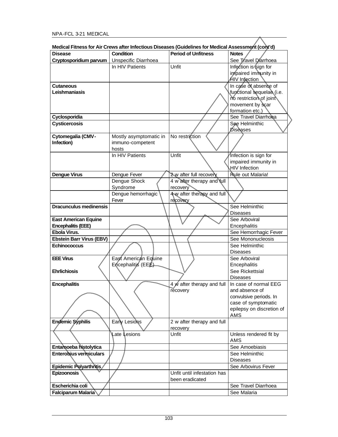|                               | medical Fitness for Air Grews after imectious Diseases (Guidelines for medical Assessment (Corit d) |                             |                           |
|-------------------------------|-----------------------------------------------------------------------------------------------------|-----------------------------|---------------------------|
| <b>Disease</b>                | <b>Condition</b>                                                                                    | <b>Period of Unfitness</b>  | <b>Notes</b>              |
| Cryptosporidium parvum        | Unspecific Diarrhoea                                                                                |                             | See Travel Diarrhoea      |
|                               | In HIV Patients                                                                                     | Unfit                       | Infection is sign for     |
|                               |                                                                                                     |                             | impaired immunity in      |
|                               |                                                                                                     |                             | HIV Infection             |
| <b>Cutaneous</b>              |                                                                                                     |                             | In case of absence of     |
| Leishmaniasis                 |                                                                                                     |                             | functional sequelas (i.e. |
|                               |                                                                                                     |                             | no restriction of joint   |
|                               |                                                                                                     |                             | movement by scar          |
|                               |                                                                                                     |                             | formation etc.)           |
| Cyclosporidia                 |                                                                                                     |                             | See Travel Diarrhoea      |
|                               |                                                                                                     |                             |                           |
| <b>Cysticercosis</b>          |                                                                                                     |                             | See Helminthic            |
|                               |                                                                                                     |                             | Disèases                  |
| Cytomegalia (CMV-             | Mostly asymptomatic in                                                                              | No restriction              |                           |
| Infection)                    | immuno-competent                                                                                    |                             |                           |
|                               | hosts                                                                                               |                             |                           |
|                               | In HIV Patients                                                                                     | Unfit                       | Infection is sign for     |
|                               |                                                                                                     |                             | impaired immunity in      |
|                               |                                                                                                     |                             | <b>HIV</b> Infection      |
| <b>Dengue Virus</b>           | Dengue Fever                                                                                        | 2w after full recovery      | <b>Rule out Malaria!</b>  |
|                               | Dengue Shock                                                                                        | 4 w after therapy and full  |                           |
|                               | Syndrome                                                                                            | recovery                    |                           |
|                               | Dengue hemorrhagic                                                                                  | 4w after therapy and full   |                           |
|                               | Fever                                                                                               | recovery                    |                           |
| <b>Dracunculus medinensis</b> |                                                                                                     |                             | See Helminthic            |
|                               |                                                                                                     |                             | <b>Diseases</b>           |
| <b>East American Equine</b>   |                                                                                                     |                             | See Arboviral             |
|                               |                                                                                                     |                             |                           |
| <b>Encephalitis (EEE)</b>     |                                                                                                     |                             | Encephalitis              |
| Ebola Virus.                  |                                                                                                     |                             | See Hemorrhagic Fever     |
| Ebstein Barr Virus (EBV)      |                                                                                                     |                             | See Mononucleosis         |
| <b>Echinococcus</b>           |                                                                                                     |                             | See Helminthic            |
|                               |                                                                                                     |                             | <b>Diseases</b>           |
| <b>EEE Virus</b>              | East American Equine                                                                                |                             | See Arboviral             |
|                               | Encephalitis (EEE)                                                                                  |                             | Encephalitis              |
| <b>Ehrlichiosis</b>           |                                                                                                     |                             | See Rickettsial           |
|                               |                                                                                                     |                             | <b>Diseases</b>           |
| <b>Encephalitis</b>           |                                                                                                     | 4 w after therapy and full  | In case of normal EEG     |
|                               |                                                                                                     | recovery                    | and absence of            |
|                               |                                                                                                     |                             | convulsive periods. In    |
|                               |                                                                                                     |                             | case of symptomatic       |
|                               |                                                                                                     |                             | epilepsy on discretion of |
|                               |                                                                                                     |                             | AMS                       |
| Endemic Syphilis              | Early Lesions                                                                                       | 2 w after therapy and full  |                           |
|                               |                                                                                                     | recovery                    |                           |
|                               | ∖Late Lesions                                                                                       | Unfit                       | Unless rendered fit by    |
|                               |                                                                                                     |                             | AMS                       |
| Entamoeba histolytica         |                                                                                                     |                             | See Amoebiasis            |
|                               |                                                                                                     |                             |                           |
| <b>Enterobius vermiculars</b> |                                                                                                     |                             | See Helminthic            |
|                               |                                                                                                     |                             | <b>Diseases</b>           |
| Epidemic Polyarthritis        |                                                                                                     |                             | See Arbovirus Fever       |
| Epizoonosis                   |                                                                                                     | Unfit until infestation has |                           |
|                               |                                                                                                     | been eradicated             |                           |
| Escherichia coli              |                                                                                                     |                             | See Travel Diarrhoea      |
| <b>Falciparum Malaria</b>     |                                                                                                     |                             | See Malaria               |
|                               |                                                                                                     |                             |                           |

**Medical Fitness for Air Crews after Infectious Diseases (Guidelines for Medical Assessment (cont'd)**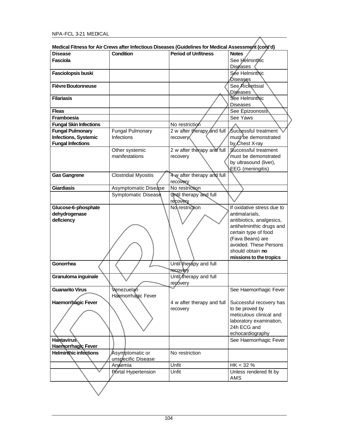| Medical Fitness for Air Crews after Infectious Diseases (Guidelines for Medical Assessment (cont'd) |                             |                                        |                                        |
|-----------------------------------------------------------------------------------------------------|-----------------------------|----------------------------------------|----------------------------------------|
| <b>Disease</b>                                                                                      | Condition                   | <b>Period of Unfitness</b>             | <b>Notes</b>                           |
| Fasciola                                                                                            |                             |                                        | See Helminthic                         |
|                                                                                                     |                             |                                        | <b>Discases</b>                        |
| Fasciolopsis buski                                                                                  |                             |                                        | See Helminthic                         |
|                                                                                                     |                             |                                        | Diseases                               |
| <b>Fièvre Boutonneuse</b>                                                                           |                             |                                        | See Rickettsial<br><b>Diseases</b>     |
| <b>Filariasis</b>                                                                                   |                             |                                        | See Helminthic<br><b>Diseases</b>      |
| <b>Fleas</b>                                                                                        |                             |                                        | See Epizoonosis                        |
| Framboesia                                                                                          |                             |                                        | See Yaws                               |
| <b>Fungal Skin Infections</b>                                                                       |                             | No restriction                         |                                        |
| <b>Fungal Pulmonary</b>                                                                             | <b>Fungal Pulmonary</b>     | 2 w after therapy and full             | Successful treatment                   |
| Infections, Systemic<br><b>Fungal Infections</b>                                                    | Infections                  | recovery                               | must be demonstrated<br>by Chest X-ray |
|                                                                                                     | Other systemic              | 2 w after therapy and full             | Successful treatment                   |
|                                                                                                     | manifestations              | recovery                               | must be demonstrated                   |
|                                                                                                     |                             |                                        | by ultrasound (liver),                 |
|                                                                                                     |                             |                                        | EEG (meningitis)                       |
| <b>Gas Gangrene</b>                                                                                 | <b>Clostridial Myositis</b> | 4 w after therapy and full<br>recovery |                                        |
| <b>Giardiasis</b>                                                                                   | Asymptomatic Disease        | No restriction                         |                                        |
|                                                                                                     | Symptomatic Disease         | Until therapy and full                 |                                        |
|                                                                                                     |                             | recovery                               |                                        |
| Glucose-6-phosphate                                                                                 |                             | No restriction                         | If oxidative stress due to             |
| dehydrogenase                                                                                       |                             |                                        | antimalarials,                         |
| deficiency                                                                                          |                             |                                        | antibiotics, analgesics,               |
|                                                                                                     |                             |                                        | antihelminthic drugs and               |
|                                                                                                     |                             |                                        | certain type of food                   |
|                                                                                                     |                             |                                        | (Fava Beans) are                       |
|                                                                                                     |                             |                                        | avoided. These Persons                 |
|                                                                                                     |                             |                                        | should obtain no                       |
|                                                                                                     |                             |                                        | missions to the tropics                |
| Gonorrhea                                                                                           |                             | Until therapy and full                 |                                        |
|                                                                                                     |                             | <b>Tecovery</b>                        |                                        |
| Granuloma inguinale                                                                                 |                             | Until therapy and full                 |                                        |
|                                                                                                     |                             | recovery                               |                                        |
| <b>Guanarito Virus</b>                                                                              | Venezuelan                  |                                        | See Haemorrhagic Fever                 |
|                                                                                                     | Haemorrhagic Fever          |                                        |                                        |
| <b>Haemorrhagic Fever</b>                                                                           |                             | 4 w after therapy and full             | Successful recovery has                |
|                                                                                                     |                             | recovery                               | to be proved by                        |
|                                                                                                     |                             |                                        | meticulous clinical and                |
|                                                                                                     |                             |                                        | laboratory examination,                |
|                                                                                                     |                             |                                        | 24h ECG and                            |
|                                                                                                     |                             |                                        | echocardiography                       |
| <b>Hantavirus</b>                                                                                   |                             |                                        | See Haemorrhagic Fever                 |
| Haemorrhagic Fever                                                                                  |                             |                                        |                                        |
| <b>Helminthic infections</b>                                                                        | Asymptomatic or             | No restriction                         |                                        |
|                                                                                                     | unspecific Disease          |                                        |                                        |
|                                                                                                     | Anaemia                     | Unfit                                  | HK < 32%                               |
|                                                                                                     | Portal Hypertension         |                                        |                                        |
|                                                                                                     |                             | Unfit                                  | Unless rendered fit by<br>AMS          |

| Medical Fitness for Air Crews after Infectious Diseases (Guidelines for Medical Assessment (cont'd) |                                                                                                                                                                                                                                                                                                             |  |  |
|-----------------------------------------------------------------------------------------------------|-------------------------------------------------------------------------------------------------------------------------------------------------------------------------------------------------------------------------------------------------------------------------------------------------------------|--|--|
| $\overline{a}$                                                                                      | $\mathbf{r}$ , $\mathbf{r}$ , $\mathbf{r}$ , $\mathbf{r}$ , $\mathbf{r}$ , $\mathbf{r}$ , $\mathbf{r}$ , $\mathbf{r}$ , $\mathbf{r}$ , $\mathbf{r}$ , $\mathbf{r}$ , $\mathbf{r}$ , $\mathbf{r}$ , $\mathbf{r}$ , $\mathbf{r}$ , $\mathbf{r}$ , $\mathbf{r}$ , $\mathbf{r}$ , $\mathbf{r}$ , $\mathbf{r}$ , |  |  |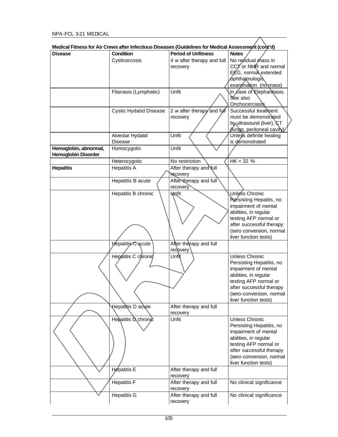| Disease                    | Condition                     | <b>Period of Unfitness</b> | <b>Notes</b>               |
|----------------------------|-------------------------------|----------------------------|----------------------------|
|                            | Cysticercosis                 | 4 w after therapy and full | No residual mass in        |
|                            |                               |                            |                            |
|                            |                               | recovery                   | CCT or NMR and normal      |
|                            |                               |                            | EEG, normal extended       |
|                            |                               |                            | ophthalmologic             |
|                            |                               |                            | examination (no mass)      |
|                            | Filariasis (Lymphatic)        | Unfit                      | In case of Elephantiasis.  |
|                            |                               |                            | See also                   |
|                            |                               |                            | Onchocerciasis             |
|                            |                               | 2 w after therapy and full | Successful treatment       |
|                            | <b>Cystic Hydatid Disease</b> |                            |                            |
|                            |                               | recovery                   | must be demonstrated       |
|                            |                               |                            | by ultrasound (liver), CT  |
|                            |                               |                            | (fungs, peritoneal cavity) |
|                            | Alveolar Hydatid              | Unfit                      | Unless definite healing    |
|                            | <b>Disease</b>                |                            | is demonstrated            |
| Hemoglobin, abnormal,      | Homocygotic                   | Unfit                      |                            |
| <b>Hemoglobin Disorder</b> |                               |                            |                            |
|                            | Heterocygotic                 | No restriction             | HK < 32%                   |
|                            |                               |                            |                            |
| <b>Hepatitis</b>           | <b>Hepatitis A</b>            | After therapy and full     |                            |
|                            |                               | <b>recovery</b>            |                            |
|                            | Hepatitis B acute             | After therapy and full     |                            |
|                            |                               | recovery                   |                            |
|                            | Hepatitis B chronic           | <b>Wofit</b>               | Unless Chronic             |
|                            |                               |                            | Persisting Hepatits, no    |
|                            |                               |                            | impairment of mental       |
|                            |                               |                            | abilities, in regular      |
|                            |                               |                            |                            |
|                            |                               |                            | testing AFP normal or      |
|                            |                               |                            | after successful therapy   |
|                            |                               |                            | (sero conversion, normal   |
|                            |                               |                            | liver function tests)      |
|                            | Hepatitis Cacute              | After therapy and full     |                            |
|                            |                               | redpvery                   |                            |
|                            | Hepatitis C chronic           | Unfit                      | Unless Chronic             |
|                            |                               |                            | Persisting Hepatitis, no   |
|                            |                               |                            | impairment of mental       |
|                            |                               |                            | abilities, in regular      |
|                            |                               |                            |                            |
|                            |                               |                            | testing AFP normal or      |
|                            |                               |                            | after successful therapy   |
|                            |                               |                            | (sero-conversion, normal   |
|                            |                               |                            | liver function tests)      |
|                            | Hepatitis D acute             | After therapy and full     |                            |
|                            |                               | recovery                   |                            |
|                            | Hepatitis D chronic           | Unfit                      | Unless Chronic             |
|                            |                               |                            | Persisting Hepatitis, no   |
|                            |                               |                            | impairment of mental       |
|                            |                               |                            |                            |
|                            |                               |                            | abilities, in regular      |
|                            |                               |                            | testing AFP normal or      |
|                            |                               |                            | after successful therapy   |
|                            |                               |                            | (sero-conversion, normal   |
|                            |                               |                            | liver function tests)      |
|                            | Hepatitis E                   | After therapy and full     |                            |
|                            |                               | recovery                   |                            |
|                            | <b>Hepatitis F</b>            | After therapy and full     | No clinical significance   |
|                            |                               |                            |                            |
|                            |                               | recovery                   |                            |
|                            | Hepatitis G                   | After therapy and full     | No clinical significance   |
|                            |                               | recovery                   |                            |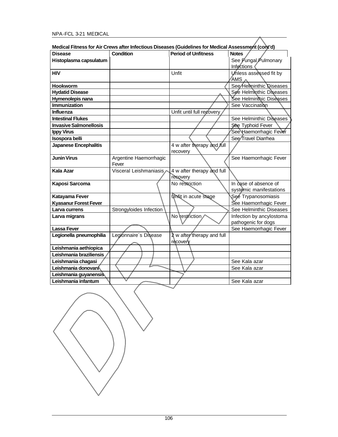# NPA-FCL 3-21 MEDICAL

| Disease                                          | (Control of Medical Pitness for Air Crews after Infectious Diseases (Guidelines for Medical Assessment (contro<br>Condition | <b>Period of Unfitness</b> | <b>Notes</b>             |
|--------------------------------------------------|-----------------------------------------------------------------------------------------------------------------------------|----------------------------|--------------------------|
| Histoplasma capsulatum                           |                                                                                                                             |                            | See Fungal Pulmonary     |
|                                                  |                                                                                                                             |                            | Infections               |
| <b>HIV</b>                                       |                                                                                                                             | Unfit                      | Unless assessed fit by   |
|                                                  |                                                                                                                             |                            | AMS /                    |
| <b>Hookworm</b>                                  |                                                                                                                             |                            | See Helminthic Diseases  |
| <b>Hydatid Disease</b>                           |                                                                                                                             |                            | See Helminthic Diseases  |
| Hymenolepis nana                                 |                                                                                                                             |                            | See Helminthic Diseases  |
| <b>Immunization</b>                              |                                                                                                                             |                            | See Vaccination          |
| <b>Influenza</b>                                 |                                                                                                                             | Unfit until full recovery  |                          |
| <b>Intestinal Flukes</b>                         |                                                                                                                             |                            | See Helminthic Diseases  |
| <b>Invasive Salmonellosis</b>                    |                                                                                                                             |                            | See Typhoid Fever        |
| <b>Ippy Virus</b>                                |                                                                                                                             |                            | See Haemorrhagic Fever   |
| Isospora belli                                   |                                                                                                                             |                            | See Travel Diarrhea      |
| <b>Japanese Encephalitis</b>                     |                                                                                                                             | 4 w after therapy and full |                          |
|                                                  |                                                                                                                             | recovery                   |                          |
| <b>Junin Virus</b>                               | Argentine Haemorrhagic                                                                                                      |                            | See Haemorrhagic Fever   |
|                                                  | Fever                                                                                                                       |                            |                          |
| <b>Kala Azar</b>                                 | Visceral Leishmaniasis                                                                                                      | 4 w after therapy and full |                          |
|                                                  |                                                                                                                             | recovery                   |                          |
| Kaposi Sarcoma                                   |                                                                                                                             | No restriction             | In case of absence of    |
|                                                  |                                                                                                                             |                            | systemic manifestations  |
| Katayama Fever                                   |                                                                                                                             | Unfit in acute stage       | See Trypanosomiasis      |
| <b>Kyasanur Forest Fever</b>                     |                                                                                                                             |                            | See Haemorrhagic Fever   |
| Larva currens                                    | Strongyloides Infection                                                                                                     |                            | See Helminthic Diseases  |
| Larva migrans                                    |                                                                                                                             | No restriction             | Infection by ancylostoma |
|                                                  |                                                                                                                             |                            | pathogenic for dogs      |
| <b>Lassa Fever</b>                               |                                                                                                                             |                            | See Haemorrhagic Fever   |
| Legionella pneumophilia                          | Legionnaire's Disease                                                                                                       | 2 w after therapy and full |                          |
|                                                  |                                                                                                                             | recovery                   |                          |
| Leishmania aethiopica<br>Leishmania braziliensis |                                                                                                                             |                            |                          |
| Leishmania chagasi                               |                                                                                                                             |                            | See Kala azar            |
| Leishmania donovaní                              |                                                                                                                             |                            | See Kala azar            |
|                                                  |                                                                                                                             |                            |                          |
| Leishmania guyanensis                            |                                                                                                                             |                            |                          |
| Leishmania infantum                              |                                                                                                                             |                            | See Kala azar            |

| Medical Fitness for Air Crews after Infectious Diseases (Guidelines for Medical Assessment (cont'd) |  |
|-----------------------------------------------------------------------------------------------------|--|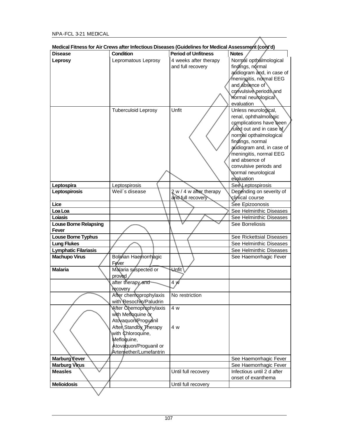|                              | Medical Fitness for Air Crews after infectious Diseases (Guidelines for Medical Assessment (Cont d) |                                              |                                             |
|------------------------------|-----------------------------------------------------------------------------------------------------|----------------------------------------------|---------------------------------------------|
| <b>Disease</b>               | <b>Condition</b>                                                                                    | <b>Period of Unfitness</b>                   | <b>Notes</b>                                |
| Leprosy                      | Lepromatous Leprosy                                                                                 | 4 weeks after therapy                        | Normal opthalmological                      |
|                              |                                                                                                     | and full recovery                            | findings, normal                            |
|                              |                                                                                                     |                                              | audiogram and, in case of                   |
|                              |                                                                                                     |                                              | meningitis, normal EEG                      |
|                              |                                                                                                     |                                              | and absence of                              |
|                              |                                                                                                     |                                              | convulsive periods and                      |
|                              |                                                                                                     |                                              | normal neurological                         |
|                              |                                                                                                     |                                              | evaluation                                  |
|                              | <b>Tuberculoid Leprosy</b>                                                                          | Unfit                                        | Unless neurological,                        |
|                              |                                                                                                     |                                              | renal, ophthalmologic                       |
|                              |                                                                                                     |                                              | complications have been                     |
|                              |                                                                                                     |                                              | ruled out and in case of                    |
|                              |                                                                                                     |                                              | normal opthalmological                      |
|                              |                                                                                                     |                                              | findings, normal                            |
|                              |                                                                                                     |                                              | audiogram and, in case of                   |
|                              |                                                                                                     |                                              | meningitis, normal EEG                      |
|                              |                                                                                                     |                                              | and absence of                              |
|                              |                                                                                                     |                                              | convulsive periods and                      |
|                              |                                                                                                     |                                              | normal neurological                         |
|                              |                                                                                                     |                                              | evaluation                                  |
| Leptospira                   | Leptospirosis<br>Weil's disease                                                                     |                                              | See Leptospirosis                           |
| Leptospirosis                |                                                                                                     | 2 w / 4 w after therapy<br>and full recovery | Depending on severity of<br>clinical course |
| Lice                         |                                                                                                     |                                              | See Epizoonosis                             |
| Loa Loa                      |                                                                                                     |                                              | See Helminthic Diseases                     |
| Loiasis                      |                                                                                                     |                                              | See Helminthic Diseases                     |
| <b>Louse Borne Relapsing</b> |                                                                                                     |                                              | See Borreliosis                             |
| <b>Fever</b>                 |                                                                                                     |                                              |                                             |
| Louse Borne Typhus           |                                                                                                     |                                              | See Rickettsial Diseases                    |
| <b>Lung Flukes</b>           |                                                                                                     |                                              | See Helminthic Diseases                     |
| <b>Lymphatic Filariasis</b>  |                                                                                                     |                                              | See Helminthic Diseases                     |
| <b>Machupo Virus</b>         | Boljvian Haemorrhagic                                                                               |                                              | See Haemorrhagic Fever                      |
|                              | <b>Fever</b>                                                                                        |                                              |                                             |
| <b>Malaria</b>               | Malaria suspected or                                                                                | Unfit \                                      |                                             |
|                              | proved                                                                                              |                                              |                                             |
|                              | after therapy and                                                                                   | 4 W                                          |                                             |
|                              | recovery                                                                                            |                                              |                                             |
|                              | After chemoprophylaxis                                                                              | No restriction                               |                                             |
|                              | with Resochin/Paludrin                                                                              |                                              |                                             |
|                              | After Chemoprophylaxis                                                                              | 4 w                                          |                                             |
|                              | with Menoquine or                                                                                   |                                              |                                             |
|                              | Atovaquon Proguanil                                                                                 |                                              |                                             |
|                              | Aften Standby Therapy                                                                               | 4 w                                          |                                             |
|                              | with Chloroquine,                                                                                   |                                              |                                             |
|                              | Mefloquine,                                                                                         |                                              |                                             |
|                              | Atovaquon/Proguanil or                                                                              |                                              |                                             |
|                              | Artemether/Lumefantrin                                                                              |                                              |                                             |
| Marburg Fever                |                                                                                                     |                                              | See Haemorrhagic Fever                      |
| <b>Marburg Virus</b>         |                                                                                                     |                                              | See Haemorrhagic Fever                      |
| <b>Measles</b>               |                                                                                                     | Until full recovery                          | Infectious until 2 d after                  |
|                              |                                                                                                     |                                              | onset of exanthema                          |
| <b>Melioidosis</b>           |                                                                                                     | Until full recovery                          |                                             |
|                              |                                                                                                     |                                              |                                             |

| Medical Fitness for Air Crews after Infectious Diseases (Guidelines for Medical Assessment (cont'd) |  |  |  |  |
|-----------------------------------------------------------------------------------------------------|--|--|--|--|
|-----------------------------------------------------------------------------------------------------|--|--|--|--|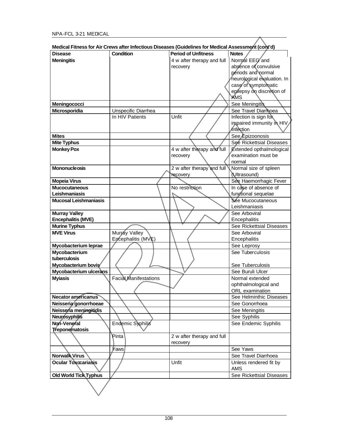| Medical Fitness for Air Crews after Infectious Diseases (Guidelines for Medical Assessment (cont'd) |                       |                            |                             |
|-----------------------------------------------------------------------------------------------------|-----------------------|----------------------------|-----------------------------|
| <b>Disease</b>                                                                                      | <b>Condition</b>      | <b>Period of Unfitness</b> | <b>Notes</b>                |
| <b>Meningitis</b>                                                                                   |                       | 4 w after therapy and full | Normal EEG and              |
|                                                                                                     |                       | recovery                   | absence of convulsive       |
|                                                                                                     |                       |                            | periods and normal          |
|                                                                                                     |                       |                            | neurological evaluation. In |
|                                                                                                     |                       |                            | case of symptomatic         |
|                                                                                                     |                       |                            | epilepsy on discretion of   |
|                                                                                                     |                       |                            | <b>AMS</b>                  |
| Meningococci                                                                                        |                       |                            | See Meningitis              |
| Microsporidia                                                                                       | Unspecific Diarrhea   |                            | See Travel Diarrhoea        |
|                                                                                                     | In HIV Patients       | Unfit                      | Infection is sign for       |
|                                                                                                     |                       |                            | impaired immunity in HIV    |
|                                                                                                     |                       |                            | <i><b>Infection</b></i>     |
| <b>Mites</b>                                                                                        |                       |                            | See Epizoonosis             |
| <b>Mite Typhus</b>                                                                                  |                       |                            | See Rickettsial Diseases    |
| <b>Monkey Pox</b>                                                                                   |                       | 4 w after therapy and full | Extended opthalmological    |
|                                                                                                     |                       | recovery                   | examination must be         |
|                                                                                                     |                       |                            | normal                      |
| <b>Mononucleosis</b>                                                                                |                       | 2 w after therapy and full | Normal size of spleen       |
|                                                                                                     |                       | <b>recovery</b>            | <b><i>(Ultrasound)</i></b>  |
| <b>Mopeia Virus</b>                                                                                 |                       |                            | See Haemorrhagic Fever      |
| <b>Mucocutaneous</b>                                                                                |                       | No restriction             | In case of absence of       |
| Leishmaniasis                                                                                       |                       |                            | functional sequelae         |
| <b>Mucosal Leishmaniasis</b>                                                                        |                       |                            | Sée Mucocutaneous           |
|                                                                                                     |                       |                            | Leishmaniasis               |
| <b>Murray Valley</b>                                                                                |                       |                            | See Arboviral               |
| <b>Encephalitis (MVE)</b>                                                                           |                       |                            | Encephalitis                |
| <b>Murine Typhus</b>                                                                                |                       |                            | See Rickettsial Diseases    |
| <b>MVE Virus</b>                                                                                    | Murray Valley         |                            | See Arboviral               |
|                                                                                                     | Encephalitis (MVE)    |                            | Encephalitis                |
| Mycobacterium leprae                                                                                |                       |                            | See Leprosy                 |
| Mycobacterium                                                                                       |                       |                            | See Tuberculosis            |
| tuberculosis                                                                                        |                       |                            |                             |
| Mycobacterium bovis                                                                                 |                       |                            | See Tuberculosis            |
| Mycobacterium ulcerans                                                                              |                       |                            | See Buruli Ulcer            |
| <b>Myiasis</b>                                                                                      | Facial Manifestations |                            | Normal extended             |
|                                                                                                     |                       |                            | ophthalmological and        |
|                                                                                                     |                       |                            | ORL examination             |
| <b>Necator americanus</b>                                                                           |                       |                            | See Helminthic Diseases     |
| Neisseria gonorrhoeae                                                                               |                       |                            | See Gonorrhoea              |
| Neissería meningitidis                                                                              |                       |                            | See Meningitis              |
| <b>Neurosyphilis</b>                                                                                |                       |                            | See Syphilis                |
| Non-Veneral                                                                                         | Endemic Syphilis      |                            | See Endemic Syphilis        |
| Treponematosis                                                                                      |                       |                            |                             |
|                                                                                                     | Pinta                 | 2 w after therapy and full |                             |
|                                                                                                     |                       | recovery                   |                             |
|                                                                                                     | <i>Y</i> aws          |                            | See Yaws                    |
| Norwalk Virus                                                                                       |                       |                            | See Travel Diarrhoea        |
| Ocular Toxocariasis                                                                                 |                       | Unfit                      | Unless rendered fit by      |
|                                                                                                     |                       |                            | <b>AMS</b>                  |
| <b>Old World Tick Typhus</b>                                                                        |                       |                            | See Rickettsial Diseases    |
|                                                                                                     |                       |                            |                             |
|                                                                                                     |                       |                            |                             |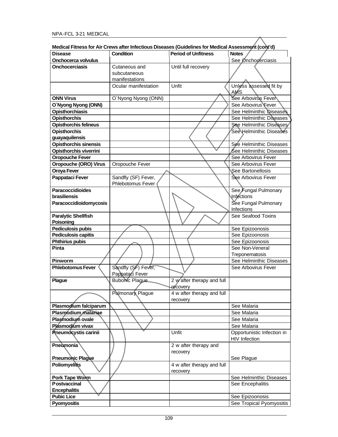|                               | Medical Fitness for Air Crews after Infectious Diseases (Guidelines for Medical Assessment (cont'd) |                            |                            |
|-------------------------------|-----------------------------------------------------------------------------------------------------|----------------------------|----------------------------|
| Disease                       | <b>Condition</b>                                                                                    | <b>Period of Unfitness</b> | <b>Notes</b>               |
| <b>Onchocerca volvulus</b>    |                                                                                                     |                            | See Onchocerciasis         |
| Onchocerciasis                | Cutaneous and                                                                                       | Until full recovery        |                            |
|                               | subcutaneous                                                                                        |                            |                            |
|                               | manifestations                                                                                      |                            |                            |
|                               | Ocular manifestation                                                                                | Unfit                      | Unless assessed fit by     |
|                               |                                                                                                     |                            | AMS                        |
| <b>ONN Virus</b>              | O'Nyong Nyong (ONN)                                                                                 |                            | See Arbovirus Fever        |
| O'Nyong Nyong (ONN)           |                                                                                                     |                            | See Arbovirus Fever        |
| <b>Opisthorchiasis</b>        |                                                                                                     |                            | See Helminthic Diseases    |
|                               |                                                                                                     |                            |                            |
| <b>Opisthorchis</b>           |                                                                                                     |                            | See Helminthic Diseases    |
| <b>Opisthorchis felineus</b>  |                                                                                                     |                            | See Helminthic Diseases    |
| <b>Opisthorchis</b>           |                                                                                                     |                            | See Helminthic Diseases    |
| guayaquilensis                |                                                                                                     |                            |                            |
| Opisthorchis sinensis         |                                                                                                     |                            | See Helminthic Diseases    |
| <b>Opisthorchis viverrini</b> |                                                                                                     |                            | See Helminthic Diseases    |
| <b>Oropouche Fever</b>        |                                                                                                     |                            | See Arbovirus Fever        |
| Oropouche (ORO) Virus         | Oropouche Fever                                                                                     |                            | See Arbovirus Fever        |
| <b>Oroya Fever</b>            |                                                                                                     |                            | See Bartonellosis          |
| <b>Pappataci Fever</b>        | Sandfly (SF) Fever,                                                                                 |                            | See Arbovirus Fever        |
|                               | Phlebotomus Fever                                                                                   |                            |                            |
| <b>Paracoccidioides</b>       |                                                                                                     |                            | See Fungal Pulmonary       |
| brasiliensis                  |                                                                                                     |                            | <b>Infections</b>          |
| Paracoccidioidomycosis        |                                                                                                     |                            | See Fungal Pulmonary       |
|                               |                                                                                                     |                            | Infections                 |
| <b>Paralytic Shellfish</b>    |                                                                                                     |                            | See Seafood Toxins         |
| Poisoning                     |                                                                                                     |                            |                            |
|                               |                                                                                                     |                            |                            |
| Pediculosis pubis             |                                                                                                     |                            | See Epizoonosis            |
| <b>Pediculosis capitis</b>    |                                                                                                     |                            | See Epizoonosis            |
| <b>Phthirius pubis</b>        |                                                                                                     |                            | See Epizoonosis            |
| Pinta                         |                                                                                                     |                            | See Non-Veneral            |
|                               |                                                                                                     |                            | Treponematosis             |
| <b>Pinworm</b>                |                                                                                                     |                            | See Helminthic Diseases    |
| Phlebotomus Fever             | Sandfly (SF) Fever,                                                                                 |                            | See Arbovirus Fever        |
|                               | Pappataci Fever                                                                                     |                            |                            |
| <b>Plague</b>                 | <b>Bubonic Plague</b>                                                                               | 2 wafter therapy and full  |                            |
|                               |                                                                                                     | recovery                   |                            |
|                               | Pulmonary Plague                                                                                    | 4 w after therapy and full |                            |
|                               |                                                                                                     | recovery                   |                            |
| Plasmodium falciparum         |                                                                                                     |                            | See Malaria                |
| Plasmodium malariae           |                                                                                                     |                            | See Malaria                |
| Plasmodium ovale              |                                                                                                     |                            | See Malaria                |
| Plasmodium vivax              |                                                                                                     |                            | See Malaria                |
| <b>Pneumocystis carinii</b>   |                                                                                                     | Unfit                      | Opportunistic Infection in |
|                               |                                                                                                     |                            | <b>HIV Infection</b>       |
|                               |                                                                                                     |                            |                            |
| Pneumonia                     |                                                                                                     | 2 w after therapy and      |                            |
|                               |                                                                                                     | recovery                   |                            |
| <b>Pneumonic Plague</b>       |                                                                                                     |                            | See Plague                 |
| Poliomyelitis                 |                                                                                                     | 4 w after therapy and full |                            |
|                               |                                                                                                     | recovery                   |                            |
| Pork Tape Worm                |                                                                                                     |                            | See Helminthic Diseases    |
| <b>Postvaccinal</b>           |                                                                                                     |                            | See Encephalitis           |
| <b>Encephalitis</b>           |                                                                                                     |                            |                            |
| <b>Pubic Lice</b>             |                                                                                                     |                            | See Epizoonosis            |
| Pyomyositis                   |                                                                                                     |                            | See Tropical Pyomyositis   |
|                               |                                                                                                     |                            |                            |

**Medical Fitness for Air Crews after Infectious Diseases (Guidelines for Medical Assessment (cont'd)**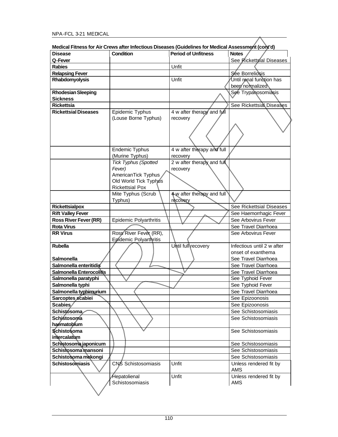|                              | Medical Fitness for Air Crews after Infectious Diseases (Guidelines for Medical Assessment (cont'd) |                                        |                            |
|------------------------------|-----------------------------------------------------------------------------------------------------|----------------------------------------|----------------------------|
| Disease                      | Condition                                                                                           | <b>Period of Unfitness</b>             | <b>Notes</b>               |
| Q-Fever                      |                                                                                                     |                                        | See Rickettsial Diseases   |
| <b>Rabies</b>                |                                                                                                     | Unfit                                  |                            |
| <b>Relapsing Fever</b>       |                                                                                                     |                                        | Sée Borreliosis            |
| Rhabdomyolysis               |                                                                                                     | Unfit                                  | Until renal function has   |
|                              |                                                                                                     |                                        | been normalized            |
| <b>Rhodesian Sleeping</b>    |                                                                                                     |                                        | See Trypanosomiasis        |
| <b>Sickness</b>              |                                                                                                     |                                        |                            |
| <b>Rickettsia</b>            |                                                                                                     |                                        | See Rickettsial Diseases   |
| <b>Rickettsial Diseases</b>  | Epidemic Typhus                                                                                     | 4 w after therapy and full             |                            |
|                              | (Louse Borne Typhus)                                                                                | recovery                               |                            |
|                              |                                                                                                     |                                        |                            |
|                              |                                                                                                     |                                        |                            |
|                              |                                                                                                     |                                        |                            |
|                              |                                                                                                     |                                        |                            |
|                              | <b>Endemic Typhus</b>                                                                               | 4 w after therapy and full             |                            |
|                              | (Murine Typhus)                                                                                     | recovery                               |                            |
|                              | <b>Tick Typhus (Spotted</b><br>Fever)                                                               | 2 w after therapy and full<br>recovery |                            |
|                              | AmericanTick Typhus                                                                                 |                                        |                            |
|                              | Old World Tick Typhus                                                                               |                                        |                            |
|                              | <b>Rickettsial Pox</b>                                                                              |                                        |                            |
|                              | Mite Typhus (Scrub                                                                                  | 4w after therapy and full              |                            |
|                              | Typhus)                                                                                             | recovery                               |                            |
| Rickettsialpox               |                                                                                                     |                                        | See Rickettsial Diseases   |
| <b>Rift Valley Fever</b>     |                                                                                                     |                                        | See Haemorrhagic Fever     |
| <b>Ross River Fever (RR)</b> | <b>Epidemic Polyarthritis</b>                                                                       |                                        | See Arbovirus Fever        |
| <b>Rota Virus</b>            |                                                                                                     |                                        | See Travel Diarrhoea       |
| <b>RR Virus</b>              | Ross River Fever (RR),                                                                              |                                        | See Arbovirus Fever        |
|                              | Epidemic Polyarthritis                                                                              |                                        |                            |
| <b>Rubella</b>               |                                                                                                     | Until full recovery                    | Infectious until 2 w after |
|                              |                                                                                                     |                                        | onset of exanthema         |
| Salmonella                   |                                                                                                     |                                        | See Travel Diarrhoea       |
| Salmonella enteritidis       |                                                                                                     |                                        | See Travel Diarrhoea       |
| Salmonella Enterocolitis     |                                                                                                     |                                        | See Travel Diarrhoea       |
| Salmonella paratyphi         |                                                                                                     |                                        | See Typhoid Fever          |
| Salmonella typhi             |                                                                                                     |                                        | See Typhoid Fever          |
| Salmonella typhimurium       |                                                                                                     |                                        | See Travel Diarrhoea       |
| Sarcoptes scabiei            |                                                                                                     |                                        | See Epizoonosis            |
| Scabies/                     |                                                                                                     |                                        | See Epizoonosis            |
| Schistósoma                  |                                                                                                     |                                        | See Schistosomiasis        |
| Schistosoma                  |                                                                                                     |                                        | See Schistosomiasis        |
| haématobíum                  |                                                                                                     |                                        |                            |
| Schistosoma                  |                                                                                                     |                                        | See Schistosomiasis        |
| intercalatum                 |                                                                                                     |                                        |                            |
| Schistosoma japonicum        |                                                                                                     |                                        | See Schistosomiasis        |
| Schistosoma mansoni          |                                                                                                     |                                        | See Schistosomiasis        |
| Schistosoma mekongi          |                                                                                                     |                                        | See Schistosomiasis        |
| <b>Schistosomiasis</b>       | <b>CNS</b> Schistosomiasis                                                                          | Unfit                                  | Unless rendered fit by     |
|                              |                                                                                                     |                                        | AMS                        |
|                              | Hepatolienal                                                                                        | Unfit                                  | Unless rendered fit by     |
|                              | Schistosomiasis                                                                                     |                                        | <b>AMS</b>                 |
|                              |                                                                                                     |                                        |                            |
|                              |                                                                                                     |                                        |                            |

## Ι **Medical Fitness for Air Crews after Infectious Diseases (Guidelines for Medical Assessment (cont'd)**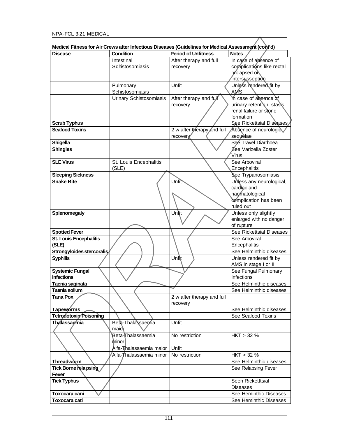|                            | culcar i ililicəs ivi Ali Giews alter illiectivus Diseases (Quiuellilles ivi Meulcar Assessifiçin (Culji u) |                            |                            |
|----------------------------|-------------------------------------------------------------------------------------------------------------|----------------------------|----------------------------|
| Disease                    | <b>Condition</b>                                                                                            | <b>Period of Unfitness</b> | <b>Notes</b>               |
|                            | Intestinal                                                                                                  | After therapy and full     | In case of absence of      |
|                            | Schistosomiasis                                                                                             | recovery                   | complications like rectal  |
|                            |                                                                                                             |                            | prolapsed of               |
|                            |                                                                                                             |                            | intersusseption            |
|                            | Pulmonary                                                                                                   | Unfit                      | Unless rendered fit by     |
|                            | Schistosomiasis                                                                                             |                            | <b>AMS</b>                 |
|                            |                                                                                                             |                            |                            |
|                            | Urinary Schistosomiasis                                                                                     | After therapy and full     | In case of absence of      |
|                            |                                                                                                             | recovery                   | urinary retention, stasis, |
|                            |                                                                                                             |                            | renal failure or stone     |
|                            |                                                                                                             |                            | formation                  |
| <b>Scrub Typhus</b>        |                                                                                                             |                            | See Rickettsial Diseases   |
| <b>Seafood Toxins</b>      |                                                                                                             | 2 w after therapy and full | Absence of neurologic      |
|                            |                                                                                                             | recovery                   | sequelae                   |
| Shigella                   |                                                                                                             |                            | See Travel Diarrhoea       |
| <b>Shingles</b>            |                                                                                                             |                            | See Varizella Zoster       |
|                            |                                                                                                             |                            | <b>Virus</b>               |
| <b>SLE Virus</b>           | St. Louis Encephalitis                                                                                      |                            | See Arboviral              |
|                            | (SLE)                                                                                                       |                            | Encephalitis               |
| <b>Sleeping Sickness</b>   |                                                                                                             |                            | See Trypanosomiasis        |
| <b>Snake Bite</b>          |                                                                                                             | Unfit                      | Unless any neurological,   |
|                            |                                                                                                             |                            | cardlac and                |
|                            |                                                                                                             |                            | haematological             |
|                            |                                                                                                             |                            | complication has been      |
|                            |                                                                                                             |                            |                            |
|                            |                                                                                                             |                            | ruled out                  |
| Splenomegaly               |                                                                                                             | Unit                       | Unless only slightly       |
|                            |                                                                                                             |                            | enlarged with no danger    |
|                            |                                                                                                             |                            | of rupture                 |
| <b>Spotted Fever</b>       |                                                                                                             |                            | See Rickettsial Diseases   |
| St. Louis Encephalitis     |                                                                                                             |                            | See Arboviral              |
| (SLE)                      |                                                                                                             |                            | Encephalitis               |
| Strongyloides stercoralis/ |                                                                                                             |                            | See Helminthic diseases    |
| <b>Syphilis</b>            |                                                                                                             | Unfit                      | Unless rendered fit by     |
|                            |                                                                                                             |                            | AMS in stage I or II       |
| <b>Systemic Fungal</b>     |                                                                                                             |                            | See Fungal Pulmonary       |
| <b>Infections</b>          |                                                                                                             |                            | Infections                 |
| Taenia saginata            |                                                                                                             |                            | See Helminthic diseases    |
| Taenia solium              |                                                                                                             |                            | See Helminthic diseases    |
| Tana Pox                   |                                                                                                             | 2 w after therapy and full |                            |
|                            |                                                                                                             | recovery                   |                            |
| Tapeworms                  |                                                                                                             |                            | See Helminthic diseases    |
| Tetrodotoxin Poisoning     |                                                                                                             |                            | See Seafood Toxins         |
| <b>Thalassaemia</b>        | Beta-Thalassaemia                                                                                           | Unfit                      |                            |
|                            | maior                                                                                                       |                            |                            |
|                            |                                                                                                             |                            |                            |
|                            | Beta-Thalassaemia                                                                                           | No restriction             | HKT > 32%                  |
|                            | minor                                                                                                       |                            |                            |
|                            | Alfa-Thalassaemia maior                                                                                     | Unfit                      |                            |
|                            | 'Alfa- <b>T</b> halassaemia minor                                                                           | No restriction             | HKT > 32%                  |
| <b>Threadworm</b>          |                                                                                                             |                            | See Helminthic diseases    |
| Tick Borne rela psing      |                                                                                                             |                            | See Relapsing Fever        |
| Fever                      |                                                                                                             |                            |                            |
| <b>Tick Typhus</b>         |                                                                                                             |                            | Seen Ricketttsial          |
|                            |                                                                                                             |                            | <b>Diseases</b>            |
| Toxocara cani              |                                                                                                             |                            | See Heminthic Diseases     |
| Toxocara cati              |                                                                                                             |                            | See Heminthic Diseases     |

**Medical Fitness for Air Crews after Infectious Diseases (Guidelines for Medical Assessment (cont'd)**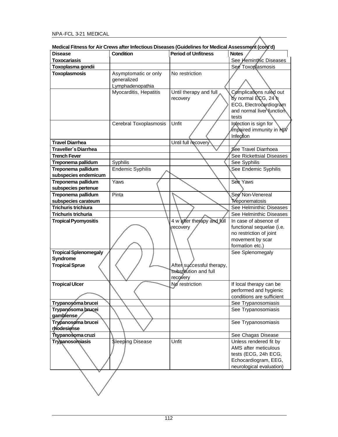|                                   | medical Fitness for Air Grews after imectious Diseases (Guidelines for medical Assessment (Corit d) |                                    |                                                                                                                |
|-----------------------------------|-----------------------------------------------------------------------------------------------------|------------------------------------|----------------------------------------------------------------------------------------------------------------|
| <b>Disease</b>                    | <b>Condition</b>                                                                                    | <b>Period of Unfitness</b>         | <b>Notes</b>                                                                                                   |
| <b>Toxocariasis</b>               |                                                                                                     |                                    | See Heminthic Diseases                                                                                         |
| Toxoplasma gondii                 |                                                                                                     |                                    | See Toxoplasmosis                                                                                              |
| <b>Toxoplasmosis</b>              | Asymptomatic or only<br>generalized                                                                 | No restriction                     |                                                                                                                |
|                                   | Lymphadenopathia                                                                                    |                                    |                                                                                                                |
|                                   | Myocarditis, Hepatitis                                                                              | Until therapy and full<br>recovery | Complications ruled out<br>by normal ECG, 24 h<br>ECG, Electrocardiogram<br>and normal liver tunction<br>tests |
|                                   | Cerebral Toxoplasmosis                                                                              | Unfit                              | Infection is sign for<br>Impaired immunity in NW<br>Infection                                                  |
| <b>Travel Diarrhea</b>            |                                                                                                     | Until full recovery                |                                                                                                                |
| Traveller's Diarrhea              |                                                                                                     |                                    | See Travel Diarrhoea                                                                                           |
| <b>Trench Fever</b>               |                                                                                                     |                                    | See Rickettsial Diseases                                                                                       |
| Treponema pallidum                | Syphilis                                                                                            |                                    | See Syphilis                                                                                                   |
| Treponema pallidum                | <b>Endemic Syphilis</b>                                                                             |                                    | See Endemic Syphilis                                                                                           |
| subspecies endemicum              |                                                                                                     |                                    |                                                                                                                |
| Treponema pallidum                | Yaws                                                                                                |                                    | See Yaws                                                                                                       |
| subspecies pertenue               |                                                                                                     |                                    |                                                                                                                |
| Treponema pallidum                | Pinta                                                                                               |                                    | See Non-Venereal                                                                                               |
| subspecies carateum               |                                                                                                     |                                    | Treponematosis                                                                                                 |
| <b>Trichuris trichiura</b>        |                                                                                                     |                                    | See Helminthic Diseases                                                                                        |
| <b>Trichuris trichuria</b>        |                                                                                                     |                                    | See Helminthic Diseases                                                                                        |
| <b>Tropical Pyomyositis</b>       |                                                                                                     | 4 w after therapy and full         | In case of absence of                                                                                          |
|                                   |                                                                                                     | recovery                           | functional sequelae (i.e.                                                                                      |
|                                   |                                                                                                     |                                    | no restriction of joint                                                                                        |
|                                   |                                                                                                     |                                    | movement by scar                                                                                               |
|                                   |                                                                                                     |                                    | formation etc.)                                                                                                |
| <b>Tropical Splenomegaly</b>      |                                                                                                     |                                    | See Splenomegaly                                                                                               |
| Syndrome                          |                                                                                                     |                                    |                                                                                                                |
| <b>Tropical Sprue</b>             |                                                                                                     | Aften successful therapy,          |                                                                                                                |
|                                   |                                                                                                     | substitution and full              |                                                                                                                |
|                                   |                                                                                                     | recovery                           |                                                                                                                |
| <b>Tropical Ulcer</b>             |                                                                                                     | No restriction                     | If local therapy can be                                                                                        |
|                                   |                                                                                                     |                                    | performed and hygienic                                                                                         |
|                                   |                                                                                                     |                                    | conditions are sufficient                                                                                      |
| Trypanosóma brucei                |                                                                                                     |                                    | See Trypanosomiasis                                                                                            |
| Trypanosoma brucei                |                                                                                                     |                                    | See Trypanosomiasis                                                                                            |
| gambiense                         |                                                                                                     |                                    |                                                                                                                |
| Trypanosoma brucei<br>rhodesiense |                                                                                                     |                                    | See Trypanosomiasis                                                                                            |
| Trypanosoma cruzi                 |                                                                                                     |                                    | See Chagas Disease                                                                                             |
| Trypanosomiasis                   | <b>Sleeping Disease</b>                                                                             | Unfit                              | Unless rendered fit by                                                                                         |
|                                   |                                                                                                     |                                    | AMS after meticulous                                                                                           |
|                                   |                                                                                                     |                                    | tests (ECG, 24h ECG,                                                                                           |
|                                   |                                                                                                     |                                    | Echocardiogram, EEG,                                                                                           |
|                                   |                                                                                                     |                                    | neurological evaluation)                                                                                       |
|                                   |                                                                                                     |                                    |                                                                                                                |

**Medical Fitness for Air Crews after Infectious Diseases (Guidelines for Medical Assessment (cont'd)**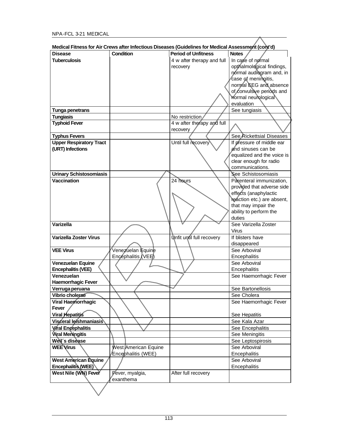|                                | Medical Fitness for Air Crews after Infectious Diseases (Guidelines for Medical Assessment (cont'd) |                            |                                  |
|--------------------------------|-----------------------------------------------------------------------------------------------------|----------------------------|----------------------------------|
| <b>Disease</b>                 | Condition                                                                                           | <b>Period of Unfitness</b> | <b>Notes</b>                     |
| <b>Tuberculosis</b>            |                                                                                                     | 4 w after therapy and full | In case of normal                |
|                                |                                                                                                     | recovery                   | opthalmological findings,        |
|                                |                                                                                                     |                            | normal audiogram and, in         |
|                                |                                                                                                     |                            | case of meningitis,              |
|                                |                                                                                                     |                            | normal EEG and absence           |
|                                |                                                                                                     |                            | of convulsive periods and        |
|                                |                                                                                                     |                            | Mormal neurological              |
|                                |                                                                                                     |                            | evaluation                       |
| Tunga penetrans                |                                                                                                     |                            | See tungiasis                    |
| <b>Tungiasis</b>               |                                                                                                     | No restriction             |                                  |
| <b>Typhoid Fever</b>           |                                                                                                     | 4 w after therapy and full |                                  |
|                                |                                                                                                     | recovery                   |                                  |
| <b>Typhus Fevers</b>           |                                                                                                     |                            | See Rickettsial Diseases         |
| <b>Upper Respiratory Tract</b> |                                                                                                     | Until full recovery        | If pressure of middle ear        |
| (URT) Infections               |                                                                                                     |                            | and sinuses can be               |
|                                |                                                                                                     |                            | equalized and the voice is       |
|                                |                                                                                                     |                            | clear enough for radio           |
|                                |                                                                                                     |                            | communications.                  |
| <b>Urinary Schistosomiasis</b> |                                                                                                     |                            | See Schistosomiasis              |
| <b>Vaccination</b>             |                                                                                                     | 24 hours                   | Parenteral immunization,         |
|                                |                                                                                                     |                            | provided that adverse side       |
|                                |                                                                                                     |                            | effects (anaphylactic            |
|                                |                                                                                                     |                            | reaction etc.) are absent,       |
|                                |                                                                                                     |                            | that may impair the              |
|                                |                                                                                                     |                            | ability to perform the<br>duties |
| <b>Varizella</b>               |                                                                                                     |                            | See Varizella Zoster             |
|                                |                                                                                                     |                            | Virus                            |
| Varizella Zoster Virus         |                                                                                                     | Unfit until full recovery  | If blisters have                 |
|                                |                                                                                                     |                            | disappeared                      |
| <b>VEE Virus</b>               | Venezuelan Equine                                                                                   |                            | See Arboviral                    |
|                                | Encephalitis (VEE)                                                                                  |                            | Encephalitis                     |
| Venezuelan Equine              |                                                                                                     |                            | See Arboviral                    |
| <b>Encephalitis (VEE)</b>      |                                                                                                     |                            | Encephalitis                     |
| Venezuelan                     |                                                                                                     |                            | See Haemorrhagic Fever           |
| <b>Haemorrhagic Fever</b>      |                                                                                                     |                            |                                  |
| Verruga peruana                |                                                                                                     |                            | See Bartonellosis                |
| Vibrio cholerae                |                                                                                                     |                            | See Cholera                      |
| <b>Viral Haemorrhagic</b>      |                                                                                                     |                            | See Haemorrhagic Fever           |
| Fever                          |                                                                                                     |                            |                                  |
| Viral Hepatitis                |                                                                                                     |                            | See Hepatitis                    |
| Visceral leishmaniasis         |                                                                                                     |                            | See Kala Azar                    |
| Viral Encephalitis             |                                                                                                     |                            | See Encephalitis                 |
| <b>Viral Meningitis</b>        |                                                                                                     |                            | See Meningitis                   |
| Weil's disease                 |                                                                                                     |                            | See Leptospirosis                |
| <b>WEE</b> Virus               | West American Equine                                                                                |                            | See Arboviral                    |
|                                | Encephalitis (WEE)                                                                                  |                            | Encephalitis                     |
| <b>West American Equine</b>    |                                                                                                     |                            | See Arboviral                    |
| Encephalitis (WEE)             |                                                                                                     |                            | Encephalitis                     |
| West Nile (WN) Fever           | Fever, myalgia,                                                                                     | After full recovery        |                                  |
|                                | exanthema                                                                                           |                            |                                  |
|                                |                                                                                                     |                            |                                  |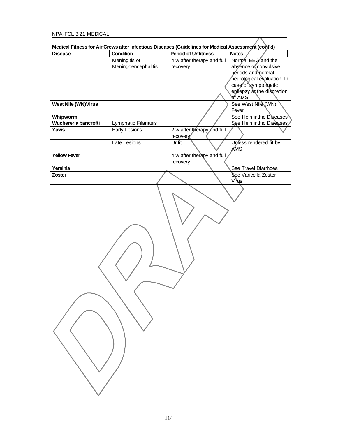| <b>Disease</b>             | Condition            | Medical Fitness for Air Crews after Infectious Diseases (Guidelines for Medical Assessment (cont'd)<br><b>Period of Unfitness</b> | <b>Notes</b>                         |
|----------------------------|----------------------|-----------------------------------------------------------------------------------------------------------------------------------|--------------------------------------|
|                            | Meningitis or        | 4 w after therapy and full                                                                                                        | Normal EEG and the                   |
|                            | Meningoencephalitis  | recovery                                                                                                                          | absence of convulsive                |
|                            |                      |                                                                                                                                   | periods and normal                   |
|                            |                      |                                                                                                                                   | neurological evaluation. In          |
|                            |                      |                                                                                                                                   | case of symptomatic                  |
|                            |                      |                                                                                                                                   | epilepsy at the discretion           |
|                            |                      |                                                                                                                                   | of AMS                               |
| <b>West Nile (WN)Virus</b> |                      |                                                                                                                                   | See West Nile (WN)                   |
|                            |                      |                                                                                                                                   | Fever                                |
| Whipworm                   |                      |                                                                                                                                   | See Helminthic Diseases              |
| Wuchereria bancrofti       | Lymphatic Filariasis |                                                                                                                                   | See Helminthic Diseases              |
| Yaws                       | Early Lesions        | 2 w after therapy and full                                                                                                        |                                      |
|                            |                      | recovery                                                                                                                          |                                      |
|                            | Late Lesions         | Unfit                                                                                                                             | Unless rendered fit by               |
|                            |                      |                                                                                                                                   | AMS                                  |
| <b>Yellow Fever</b>        |                      | 4 w after therapy and full                                                                                                        |                                      |
|                            |                      | recovery                                                                                                                          |                                      |
| Yersinia                   |                      |                                                                                                                                   | See Travel Diarrhoea                 |
| Zoster                     |                      |                                                                                                                                   | See Varicella Zoster<br><b>Virus</b> |
|                            |                      |                                                                                                                                   |                                      |